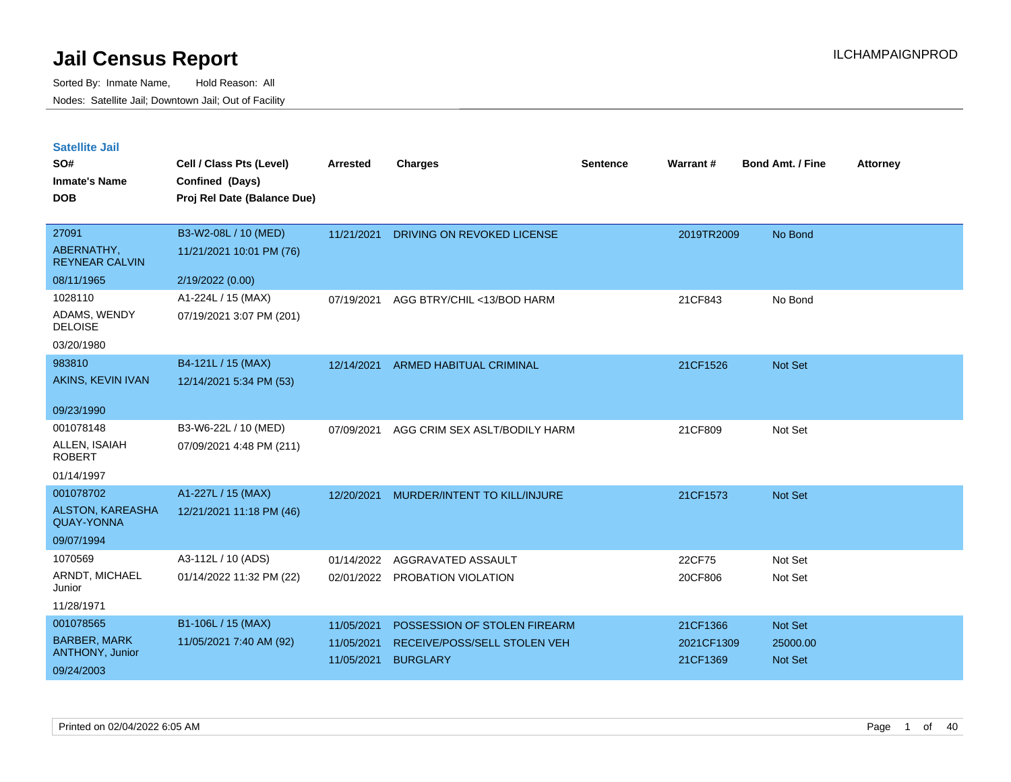| <b>Satellite Jail</b> |  |
|-----------------------|--|
|                       |  |

| SO#<br><b>Inmate's Name</b><br><b>DOB</b>    | Cell / Class Pts (Level)<br>Confined (Days)<br>Proj Rel Date (Balance Due) | <b>Arrested</b> | <b>Charges</b>                    | <b>Sentence</b> | Warrant#   | <b>Bond Amt. / Fine</b> | <b>Attorney</b> |
|----------------------------------------------|----------------------------------------------------------------------------|-----------------|-----------------------------------|-----------------|------------|-------------------------|-----------------|
| 27091                                        | B3-W2-08L / 10 (MED)                                                       | 11/21/2021      | <b>DRIVING ON REVOKED LICENSE</b> |                 | 2019TR2009 | No Bond                 |                 |
| ABERNATHY,<br><b>REYNEAR CALVIN</b>          | 11/21/2021 10:01 PM (76)                                                   |                 |                                   |                 |            |                         |                 |
| 08/11/1965                                   | 2/19/2022 (0.00)                                                           |                 |                                   |                 |            |                         |                 |
| 1028110                                      | A1-224L / 15 (MAX)                                                         | 07/19/2021      | AGG BTRY/CHIL <13/BOD HARM        |                 | 21CF843    | No Bond                 |                 |
| ADAMS, WENDY<br><b>DELOISE</b>               | 07/19/2021 3:07 PM (201)                                                   |                 |                                   |                 |            |                         |                 |
| 03/20/1980                                   |                                                                            |                 |                                   |                 |            |                         |                 |
| 983810                                       | B4-121L / 15 (MAX)                                                         | 12/14/2021      | <b>ARMED HABITUAL CRIMINAL</b>    |                 | 21CF1526   | Not Set                 |                 |
| AKINS, KEVIN IVAN                            | 12/14/2021 5:34 PM (53)                                                    |                 |                                   |                 |            |                         |                 |
| 09/23/1990                                   |                                                                            |                 |                                   |                 |            |                         |                 |
| 001078148                                    | B3-W6-22L / 10 (MED)                                                       | 07/09/2021      | AGG CRIM SEX ASLT/BODILY HARM     |                 | 21CF809    | Not Set                 |                 |
| ALLEN, ISAIAH<br><b>ROBERT</b>               | 07/09/2021 4:48 PM (211)                                                   |                 |                                   |                 |            |                         |                 |
| 01/14/1997                                   |                                                                            |                 |                                   |                 |            |                         |                 |
| 001078702                                    | A1-227L / 15 (MAX)                                                         | 12/20/2021      | MURDER/INTENT TO KILL/INJURE      |                 | 21CF1573   | <b>Not Set</b>          |                 |
| <b>ALSTON, KAREASHA</b><br><b>QUAY-YONNA</b> | 12/21/2021 11:18 PM (46)                                                   |                 |                                   |                 |            |                         |                 |
| 09/07/1994                                   |                                                                            |                 |                                   |                 |            |                         |                 |
| 1070569                                      | A3-112L / 10 (ADS)                                                         | 01/14/2022      | AGGRAVATED ASSAULT                |                 | 22CF75     | Not Set                 |                 |
| ARNDT, MICHAEL<br>Junior                     | 01/14/2022 11:32 PM (22)                                                   |                 | 02/01/2022 PROBATION VIOLATION    |                 | 20CF806    | Not Set                 |                 |
| 11/28/1971                                   |                                                                            |                 |                                   |                 |            |                         |                 |
| 001078565                                    | B1-106L / 15 (MAX)                                                         | 11/05/2021      | POSSESSION OF STOLEN FIREARM      |                 | 21CF1366   | Not Set                 |                 |
| <b>BARBER, MARK</b>                          | 11/05/2021 7:40 AM (92)                                                    | 11/05/2021      | RECEIVE/POSS/SELL STOLEN VEH      |                 | 2021CF1309 | 25000.00                |                 |
| ANTHONY, Junior<br>09/24/2003                |                                                                            | 11/05/2021      | <b>BURGLARY</b>                   |                 | 21CF1369   | <b>Not Set</b>          |                 |
|                                              |                                                                            |                 |                                   |                 |            |                         |                 |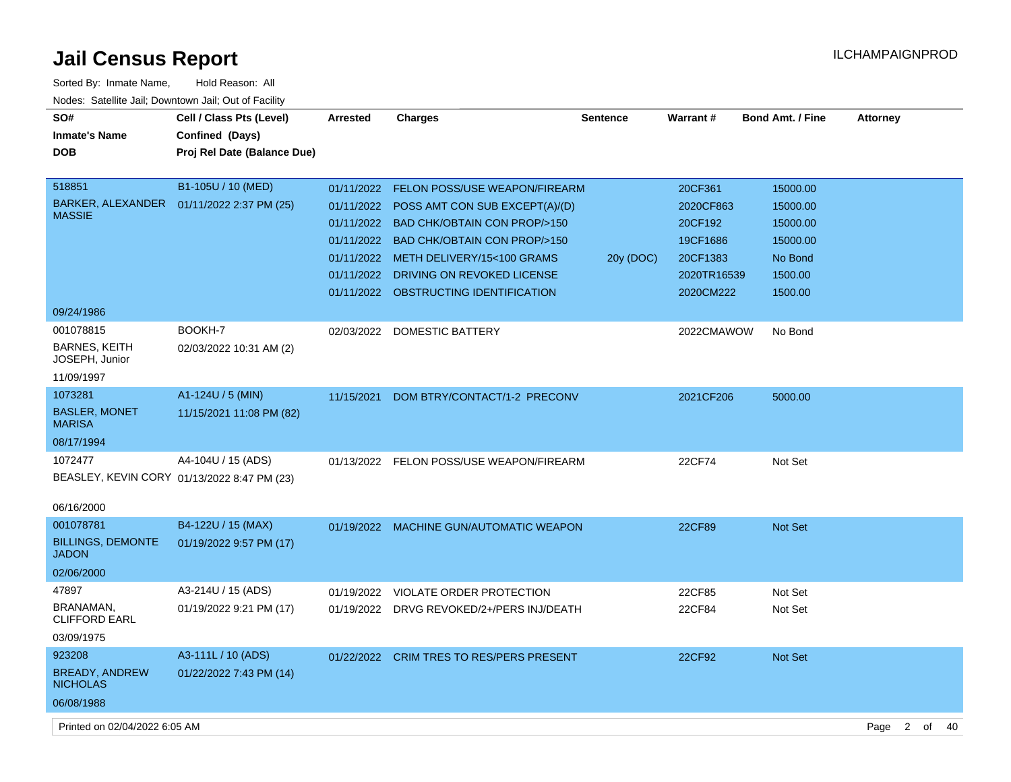| Sorted By: Inmate Name,                               | Hold Reason: All                            |            |                                           |                 |             |                         |                        |          |
|-------------------------------------------------------|---------------------------------------------|------------|-------------------------------------------|-----------------|-------------|-------------------------|------------------------|----------|
| Nodes: Satellite Jail; Downtown Jail; Out of Facility |                                             |            |                                           |                 |             |                         |                        |          |
| SO#                                                   | Cell / Class Pts (Level)                    | Arrested   | <b>Charges</b>                            | <b>Sentence</b> | Warrant#    | <b>Bond Amt. / Fine</b> | <b>Attorney</b>        |          |
| <b>Inmate's Name</b>                                  | Confined (Days)                             |            |                                           |                 |             |                         |                        |          |
| <b>DOB</b>                                            | Proj Rel Date (Balance Due)                 |            |                                           |                 |             |                         |                        |          |
|                                                       |                                             |            |                                           |                 |             |                         |                        |          |
| 518851                                                | B1-105U / 10 (MED)                          |            | 01/11/2022 FELON POSS/USE WEAPON/FIREARM  |                 | 20CF361     | 15000.00                |                        |          |
| BARKER, ALEXANDER  01/11/2022 2:37 PM (25)            |                                             |            | 01/11/2022 POSS AMT CON SUB EXCEPT(A)/(D) |                 | 2020CF863   | 15000.00                |                        |          |
| <b>MASSIE</b>                                         |                                             |            | 01/11/2022 BAD CHK/OBTAIN CON PROP/>150   |                 | 20CF192     | 15000.00                |                        |          |
|                                                       |                                             |            | 01/11/2022 BAD CHK/OBTAIN CON PROP/>150   |                 | 19CF1686    | 15000.00                |                        |          |
|                                                       |                                             |            | 01/11/2022 METH DELIVERY/15<100 GRAMS     | 20y (DOC)       | 20CF1383    | No Bond                 |                        |          |
|                                                       |                                             |            | 01/11/2022 DRIVING ON REVOKED LICENSE     |                 | 2020TR16539 | 1500.00                 |                        |          |
|                                                       |                                             |            | 01/11/2022 OBSTRUCTING IDENTIFICATION     |                 | 2020CM222   | 1500.00                 |                        |          |
| 09/24/1986                                            |                                             |            |                                           |                 |             |                         |                        |          |
| 001078815                                             | BOOKH-7                                     |            | 02/03/2022 DOMESTIC BATTERY               |                 | 2022CMAWOW  | No Bond                 |                        |          |
| <b>BARNES, KEITH</b>                                  | 02/03/2022 10:31 AM (2)                     |            |                                           |                 |             |                         |                        |          |
| JOSEPH, Junior                                        |                                             |            |                                           |                 |             |                         |                        |          |
| 11/09/1997                                            |                                             |            |                                           |                 |             |                         |                        |          |
| 1073281                                               | A1-124U / 5 (MIN)                           | 11/15/2021 | DOM BTRY/CONTACT/1-2 PRECONV              |                 | 2021CF206   | 5000.00                 |                        |          |
| <b>BASLER, MONET</b><br><b>MARISA</b>                 | 11/15/2021 11:08 PM (82)                    |            |                                           |                 |             |                         |                        |          |
| 08/17/1994                                            |                                             |            |                                           |                 |             |                         |                        |          |
| 1072477                                               | A4-104U / 15 (ADS)                          |            | 01/13/2022 FELON POSS/USE WEAPON/FIREARM  |                 | 22CF74      | Not Set                 |                        |          |
|                                                       | BEASLEY, KEVIN CORY 01/13/2022 8:47 PM (23) |            |                                           |                 |             |                         |                        |          |
|                                                       |                                             |            |                                           |                 |             |                         |                        |          |
| 06/16/2000                                            |                                             |            |                                           |                 |             |                         |                        |          |
| 001078781                                             | B4-122U / 15 (MAX)                          |            | 01/19/2022 MACHINE GUN/AUTOMATIC WEAPON   |                 | 22CF89      | <b>Not Set</b>          |                        |          |
| <b>BILLINGS, DEMONTE</b><br><b>JADON</b>              | 01/19/2022 9:57 PM (17)                     |            |                                           |                 |             |                         |                        |          |
| 02/06/2000                                            |                                             |            |                                           |                 |             |                         |                        |          |
| 47897                                                 | A3-214U / 15 (ADS)                          | 01/19/2022 | VIOLATE ORDER PROTECTION                  |                 | 22CF85      | Not Set                 |                        |          |
| BRANAMAN,                                             | 01/19/2022 9:21 PM (17)                     |            | 01/19/2022 DRVG REVOKED/2+/PERS INJ/DEATH |                 | 22CF84      | Not Set                 |                        |          |
| <b>CLIFFORD EARL</b>                                  |                                             |            |                                           |                 |             |                         |                        |          |
| 03/09/1975                                            |                                             |            |                                           |                 |             |                         |                        |          |
| 923208                                                | A3-111L / 10 (ADS)                          |            | 01/22/2022 CRIM TRES TO RES/PERS PRESENT  |                 | 22CF92      | Not Set                 |                        |          |
| <b>BREADY, ANDREW</b><br><b>NICHOLAS</b>              | 01/22/2022 7:43 PM (14)                     |            |                                           |                 |             |                         |                        |          |
| 06/08/1988                                            |                                             |            |                                           |                 |             |                         |                        |          |
| Printed on 02/04/2022 6:05 AM                         |                                             |            |                                           |                 |             |                         | $\overline{2}$<br>Page | of<br>40 |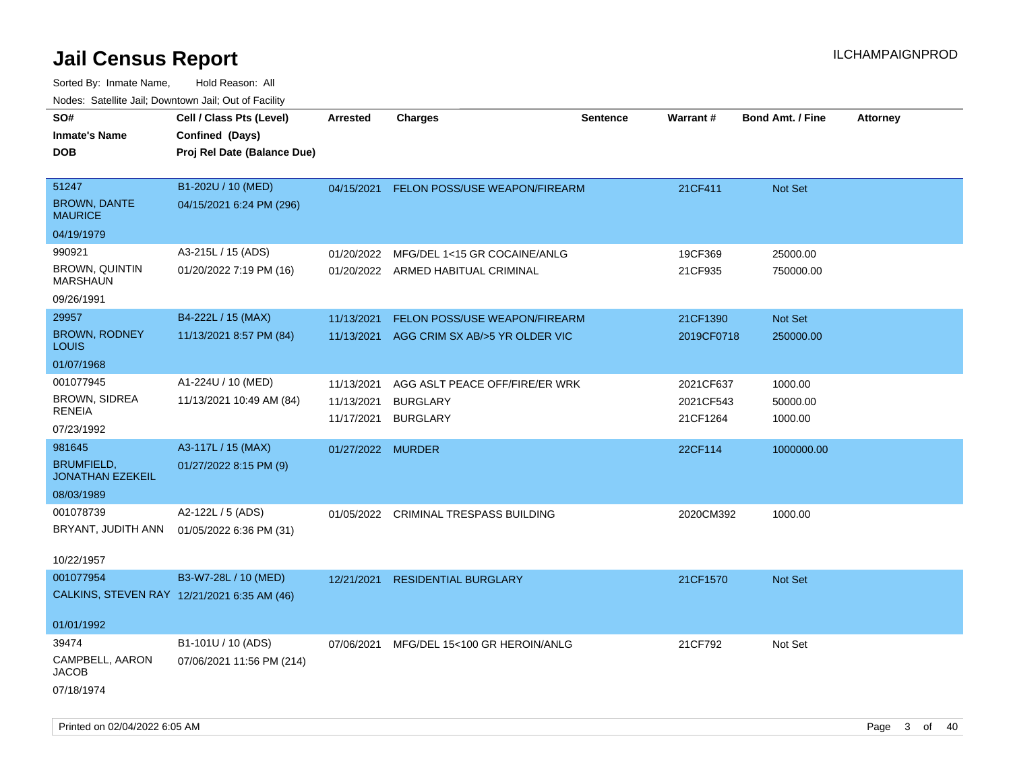| Todoo. Catolino can, Bowritown can, Oat or I domt<br>SO#<br><b>Inmate's Name</b><br><b>DOB</b> | Cell / Class Pts (Level)<br>Confined (Days)<br>Proj Rel Date (Balance Due) | <b>Arrested</b>                        | <b>Charges</b>                                                       | <b>Sentence</b> | Warrant#                           | <b>Bond Amt. / Fine</b>        | <b>Attorney</b> |
|------------------------------------------------------------------------------------------------|----------------------------------------------------------------------------|----------------------------------------|----------------------------------------------------------------------|-----------------|------------------------------------|--------------------------------|-----------------|
| 51247<br><b>BROWN, DANTE</b><br><b>MAURICE</b>                                                 | B1-202U / 10 (MED)<br>04/15/2021 6:24 PM (296)                             | 04/15/2021                             | <b>FELON POSS/USE WEAPON/FIREARM</b>                                 |                 | 21CF411                            | Not Set                        |                 |
| 04/19/1979                                                                                     |                                                                            |                                        |                                                                      |                 |                                    |                                |                 |
| 990921<br><b>BROWN, QUINTIN</b><br><b>MARSHAUN</b>                                             | A3-215L / 15 (ADS)<br>01/20/2022 7:19 PM (16)                              | 01/20/2022                             | MFG/DEL 1<15 GR COCAINE/ANLG<br>01/20/2022 ARMED HABITUAL CRIMINAL   |                 | 19CF369<br>21CF935                 | 25000.00<br>750000.00          |                 |
| 09/26/1991                                                                                     |                                                                            |                                        |                                                                      |                 |                                    |                                |                 |
| 29957<br><b>BROWN, RODNEY</b><br><b>LOUIS</b>                                                  | B4-222L / 15 (MAX)<br>11/13/2021 8:57 PM (84)                              | 11/13/2021<br>11/13/2021               | FELON POSS/USE WEAPON/FIREARM<br>AGG CRIM SX AB/>5 YR OLDER VIC      |                 | 21CF1390<br>2019CF0718             | Not Set<br>250000.00           |                 |
| 01/07/1968                                                                                     |                                                                            |                                        |                                                                      |                 |                                    |                                |                 |
| 001077945<br><b>BROWN, SIDREA</b><br><b>RENEIA</b><br>07/23/1992                               | A1-224U / 10 (MED)<br>11/13/2021 10:49 AM (84)                             | 11/13/2021<br>11/13/2021<br>11/17/2021 | AGG ASLT PEACE OFF/FIRE/ER WRK<br><b>BURGLARY</b><br><b>BURGLARY</b> |                 | 2021CF637<br>2021CF543<br>21CF1264 | 1000.00<br>50000.00<br>1000.00 |                 |
| 981645                                                                                         | A3-117L / 15 (MAX)                                                         | 01/27/2022 MURDER                      |                                                                      |                 | 22CF114                            | 1000000.00                     |                 |
| <b>BRUMFIELD,</b><br><b>JONATHAN EZEKEIL</b>                                                   | 01/27/2022 8:15 PM (9)                                                     |                                        |                                                                      |                 |                                    |                                |                 |
| 08/03/1989                                                                                     |                                                                            |                                        |                                                                      |                 |                                    |                                |                 |
| 001078739<br>BRYANT, JUDITH ANN<br>10/22/1957                                                  | A2-122L / 5 (ADS)<br>01/05/2022 6:36 PM (31)                               | 01/05/2022                             | <b>CRIMINAL TRESPASS BUILDING</b>                                    |                 | 2020CM392                          | 1000.00                        |                 |
| 001077954<br>CALKINS, STEVEN RAY 12/21/2021 6:35 AM (46)                                       | B3-W7-28L / 10 (MED)                                                       | 12/21/2021                             | <b>RESIDENTIAL BURGLARY</b>                                          |                 | 21CF1570                           | Not Set                        |                 |
| 01/01/1992                                                                                     |                                                                            |                                        |                                                                      |                 |                                    |                                |                 |
| 39474                                                                                          | B1-101U / 10 (ADS)                                                         | 07/06/2021                             | MFG/DEL 15<100 GR HEROIN/ANLG                                        |                 | 21CF792                            | Not Set                        |                 |
| CAMPBELL, AARON<br><b>JACOB</b><br>07/18/1974                                                  | 07/06/2021 11:56 PM (214)                                                  |                                        |                                                                      |                 |                                    |                                |                 |
|                                                                                                |                                                                            |                                        |                                                                      |                 |                                    |                                |                 |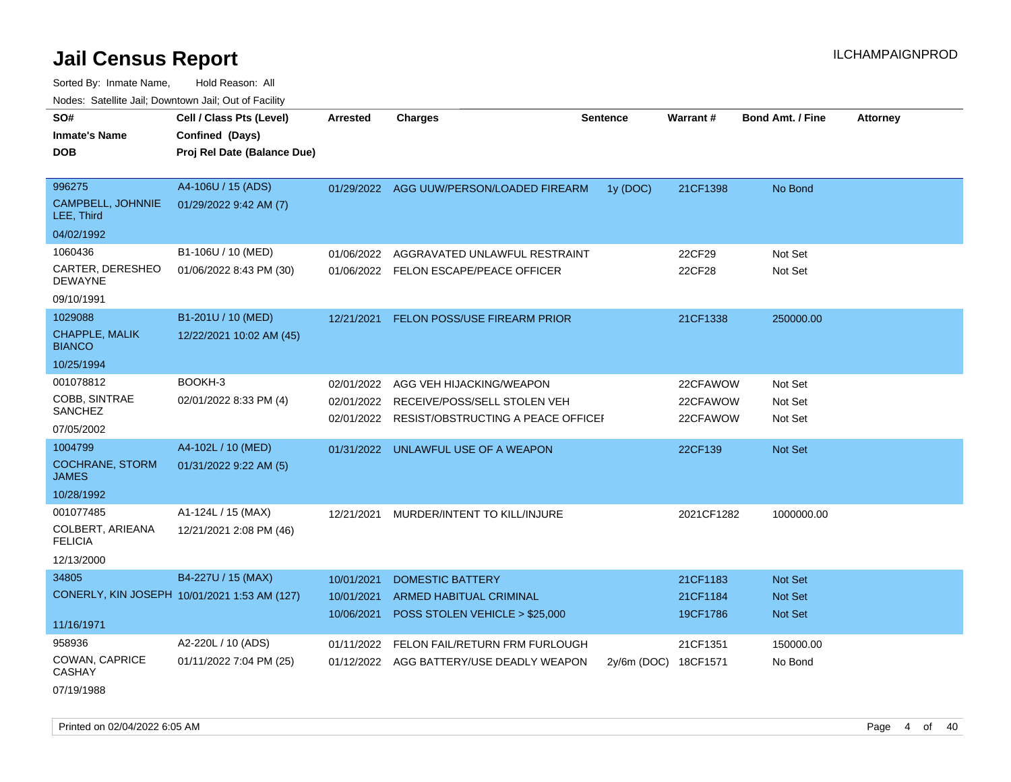Sorted By: Inmate Name, Hold Reason: All Nodes: Satellite Jail; Downtown Jail; Out of Facility

| rouce. Calcillic Jali, Downtown Jali, Out of Facility |                                              |            |                                          |                 |                 |                         |                 |
|-------------------------------------------------------|----------------------------------------------|------------|------------------------------------------|-----------------|-----------------|-------------------------|-----------------|
| SO#<br><b>Inmate's Name</b>                           | Cell / Class Pts (Level)<br>Confined (Days)  | Arrested   | <b>Charges</b>                           | <b>Sentence</b> | <b>Warrant#</b> | <b>Bond Amt. / Fine</b> | <b>Attorney</b> |
| <b>DOB</b>                                            | Proj Rel Date (Balance Due)                  |            |                                          |                 |                 |                         |                 |
|                                                       |                                              |            |                                          |                 |                 |                         |                 |
| 996275                                                | A4-106U / 15 (ADS)                           |            | 01/29/2022 AGG UUW/PERSON/LOADED FIREARM | 1y (DOC)        | 21CF1398        | No Bond                 |                 |
| CAMPBELL, JOHNNIE<br>LEE, Third                       | 01/29/2022 9:42 AM (7)                       |            |                                          |                 |                 |                         |                 |
| 04/02/1992                                            |                                              |            |                                          |                 |                 |                         |                 |
| 1060436                                               | B1-106U / 10 (MED)                           | 01/06/2022 | AGGRAVATED UNLAWFUL RESTRAINT            |                 | 22CF29          | Not Set                 |                 |
| CARTER, DERESHEO<br><b>DEWAYNE</b>                    | 01/06/2022 8:43 PM (30)                      |            | 01/06/2022 FELON ESCAPE/PEACE OFFICER    |                 | 22CF28          | Not Set                 |                 |
| 09/10/1991                                            |                                              |            |                                          |                 |                 |                         |                 |
| 1029088                                               | B1-201U / 10 (MED)                           | 12/21/2021 | FELON POSS/USE FIREARM PRIOR             |                 | 21CF1338        | 250000.00               |                 |
| <b>CHAPPLE, MALIK</b><br><b>BIANCO</b>                | 12/22/2021 10:02 AM (45)                     |            |                                          |                 |                 |                         |                 |
| 10/25/1994                                            |                                              |            |                                          |                 |                 |                         |                 |
| 001078812                                             | BOOKH-3                                      | 02/01/2022 | AGG VEH HIJACKING/WEAPON                 |                 | 22CFAWOW        | Not Set                 |                 |
| COBB, SINTRAE                                         | 02/01/2022 8:33 PM (4)                       | 02/01/2022 | RECEIVE/POSS/SELL STOLEN VEH             |                 | 22CFAWOW        | Not Set                 |                 |
| <b>SANCHEZ</b>                                        |                                              | 02/01/2022 | RESIST/OBSTRUCTING A PEACE OFFICEI       |                 | 22CFAWOW        | Not Set                 |                 |
| 07/05/2002                                            |                                              |            |                                          |                 |                 |                         |                 |
| 1004799                                               | A4-102L / 10 (MED)                           | 01/31/2022 | UNLAWFUL USE OF A WEAPON                 |                 | 22CF139         | <b>Not Set</b>          |                 |
| <b>COCHRANE, STORM</b><br><b>JAMES</b>                | 01/31/2022 9:22 AM (5)                       |            |                                          |                 |                 |                         |                 |
| 10/28/1992                                            |                                              |            |                                          |                 |                 |                         |                 |
| 001077485                                             | A1-124L / 15 (MAX)                           | 12/21/2021 | MURDER/INTENT TO KILL/INJURE             |                 | 2021CF1282      | 1000000.00              |                 |
| COLBERT, ARIEANA<br><b>FELICIA</b>                    | 12/21/2021 2:08 PM (46)                      |            |                                          |                 |                 |                         |                 |
| 12/13/2000                                            |                                              |            |                                          |                 |                 |                         |                 |
| 34805                                                 | B4-227U / 15 (MAX)                           | 10/01/2021 | <b>DOMESTIC BATTERY</b>                  |                 | 21CF1183        | <b>Not Set</b>          |                 |
|                                                       | CONERLY, KIN JOSEPH 10/01/2021 1:53 AM (127) | 10/01/2021 | ARMED HABITUAL CRIMINAL                  |                 | 21CF1184        | <b>Not Set</b>          |                 |
|                                                       |                                              | 10/06/2021 | POSS STOLEN VEHICLE > \$25,000           |                 | 19CF1786        | Not Set                 |                 |
| 11/16/1971                                            |                                              |            |                                          |                 |                 |                         |                 |
| 958936                                                | A2-220L / 10 (ADS)                           | 01/11/2022 | FELON FAIL/RETURN FRM FURLOUGH           |                 | 21CF1351        | 150000.00               |                 |
| COWAN, CAPRICE<br><b>CASHAY</b>                       | 01/11/2022 7:04 PM (25)                      |            | 01/12/2022 AGG BATTERY/USE DEADLY WEAPON | $2v/6m$ (DOC)   | 18CF1571        | No Bond                 |                 |

07/19/1988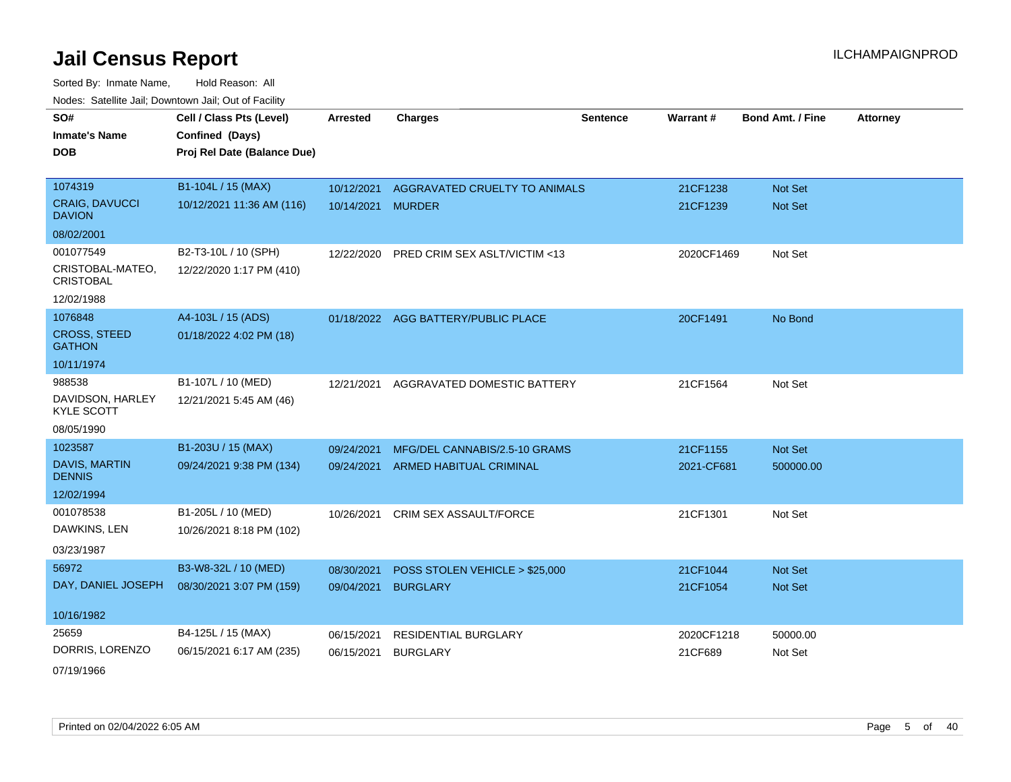Sorted By: Inmate Name, Hold Reason: All Nodes: Satellite Jail; Downtown Jail; Out of Facility

| SO#                                   | Cell / Class Pts (Level)    | <b>Arrested</b> | <b>Charges</b>                      | <b>Sentence</b> | Warrant#   | <b>Bond Amt. / Fine</b> | <b>Attorney</b> |
|---------------------------------------|-----------------------------|-----------------|-------------------------------------|-----------------|------------|-------------------------|-----------------|
| <b>Inmate's Name</b>                  | Confined (Days)             |                 |                                     |                 |            |                         |                 |
| <b>DOB</b>                            | Proj Rel Date (Balance Due) |                 |                                     |                 |            |                         |                 |
|                                       |                             |                 |                                     |                 |            |                         |                 |
| 1074319                               | B1-104L / 15 (MAX)          | 10/12/2021      | AGGRAVATED CRUELTY TO ANIMALS       |                 | 21CF1238   | Not Set                 |                 |
| CRAIG, DAVUCCI<br><b>DAVION</b>       | 10/12/2021 11:36 AM (116)   | 10/14/2021      | <b>MURDER</b>                       |                 | 21CF1239   | <b>Not Set</b>          |                 |
| 08/02/2001                            |                             |                 |                                     |                 |            |                         |                 |
| 001077549                             | B2-T3-10L / 10 (SPH)        | 12/22/2020      | PRED CRIM SEX ASLT/VICTIM <13       |                 | 2020CF1469 | Not Set                 |                 |
| CRISTOBAL-MATEO,<br><b>CRISTOBAL</b>  | 12/22/2020 1:17 PM (410)    |                 |                                     |                 |            |                         |                 |
| 12/02/1988                            |                             |                 |                                     |                 |            |                         |                 |
| 1076848                               | A4-103L / 15 (ADS)          |                 | 01/18/2022 AGG BATTERY/PUBLIC PLACE |                 | 20CF1491   | No Bond                 |                 |
| <b>CROSS, STEED</b><br><b>GATHON</b>  | 01/18/2022 4:02 PM (18)     |                 |                                     |                 |            |                         |                 |
| 10/11/1974                            |                             |                 |                                     |                 |            |                         |                 |
| 988538                                | B1-107L / 10 (MED)          | 12/21/2021      | AGGRAVATED DOMESTIC BATTERY         |                 | 21CF1564   | Not Set                 |                 |
| DAVIDSON, HARLEY<br><b>KYLE SCOTT</b> | 12/21/2021 5:45 AM (46)     |                 |                                     |                 |            |                         |                 |
| 08/05/1990                            |                             |                 |                                     |                 |            |                         |                 |
| 1023587                               | B1-203U / 15 (MAX)          | 09/24/2021      | MFG/DEL CANNABIS/2.5-10 GRAMS       |                 | 21CF1155   | <b>Not Set</b>          |                 |
| <b>DAVIS, MARTIN</b><br><b>DENNIS</b> | 09/24/2021 9:38 PM (134)    | 09/24/2021      | <b>ARMED HABITUAL CRIMINAL</b>      |                 | 2021-CF681 | 500000.00               |                 |
| 12/02/1994                            |                             |                 |                                     |                 |            |                         |                 |
| 001078538                             | B1-205L / 10 (MED)          | 10/26/2021      | CRIM SEX ASSAULT/FORCE              |                 | 21CF1301   | Not Set                 |                 |
| DAWKINS, LEN                          | 10/26/2021 8:18 PM (102)    |                 |                                     |                 |            |                         |                 |
| 03/23/1987                            |                             |                 |                                     |                 |            |                         |                 |
| 56972                                 | B3-W8-32L / 10 (MED)        | 08/30/2021      | POSS STOLEN VEHICLE > \$25,000      |                 | 21CF1044   | <b>Not Set</b>          |                 |
| DAY, DANIEL JOSEPH                    | 08/30/2021 3:07 PM (159)    | 09/04/2021      | <b>BURGLARY</b>                     |                 | 21CF1054   | Not Set                 |                 |
|                                       |                             |                 |                                     |                 |            |                         |                 |
| 10/16/1982                            |                             |                 |                                     |                 |            |                         |                 |
| 25659                                 | B4-125L / 15 (MAX)          | 06/15/2021      | RESIDENTIAL BURGLARY                |                 | 2020CF1218 | 50000.00                |                 |
| DORRIS, LORENZO                       | 06/15/2021 6:17 AM (235)    | 06/15/2021      | <b>BURGLARY</b>                     |                 | 21CF689    | Not Set                 |                 |
|                                       |                             |                 |                                     |                 |            |                         |                 |

07/19/1966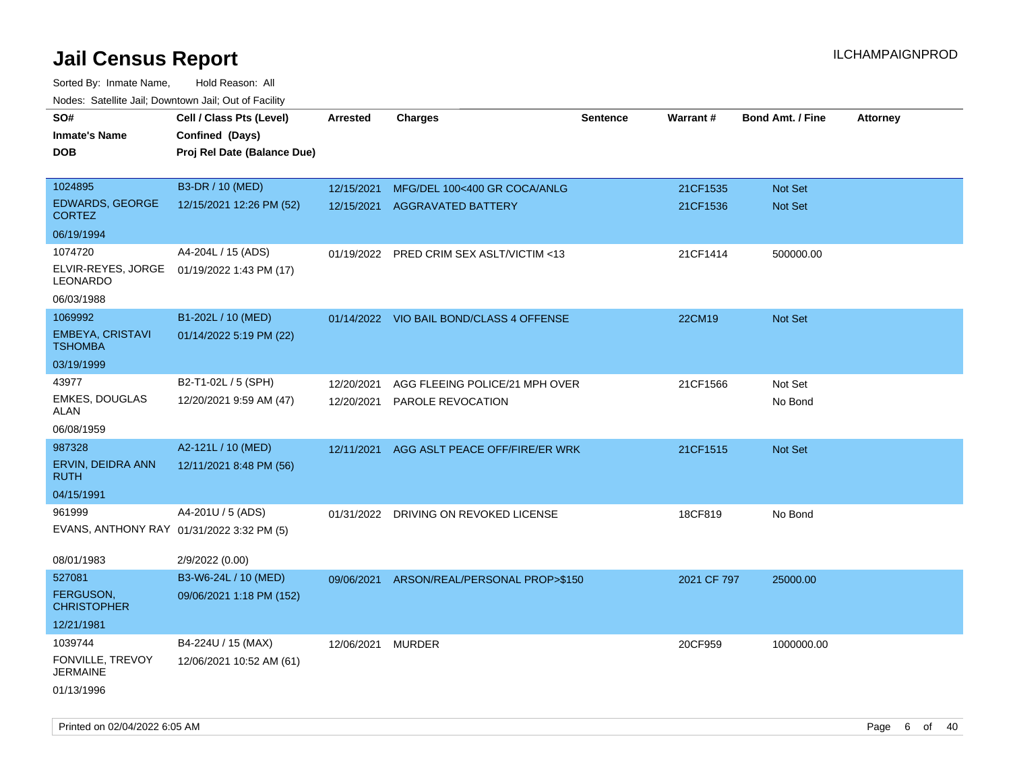| <b>NOULD:</b> Catoline bail, Downtown bail, Out of I dollty |                             |                   |                                          |                 |             |                         |                 |
|-------------------------------------------------------------|-----------------------------|-------------------|------------------------------------------|-----------------|-------------|-------------------------|-----------------|
| SO#                                                         | Cell / Class Pts (Level)    | <b>Arrested</b>   | <b>Charges</b>                           | <b>Sentence</b> | Warrant#    | <b>Bond Amt. / Fine</b> | <b>Attorney</b> |
| <b>Inmate's Name</b>                                        | Confined (Days)             |                   |                                          |                 |             |                         |                 |
| <b>DOB</b>                                                  | Proj Rel Date (Balance Due) |                   |                                          |                 |             |                         |                 |
|                                                             |                             |                   |                                          |                 |             |                         |                 |
| 1024895                                                     | B3-DR / 10 (MED)            | 12/15/2021        | MFG/DEL 100<400 GR COCA/ANLG             |                 | 21CF1535    | <b>Not Set</b>          |                 |
| <b>EDWARDS, GEORGE</b><br><b>CORTEZ</b>                     | 12/15/2021 12:26 PM (52)    | 12/15/2021        | AGGRAVATED BATTERY                       |                 | 21CF1536    | Not Set                 |                 |
| 06/19/1994                                                  |                             |                   |                                          |                 |             |                         |                 |
| 1074720                                                     | A4-204L / 15 (ADS)          |                   | 01/19/2022 PRED CRIM SEX ASLT/VICTIM <13 |                 | 21CF1414    | 500000.00               |                 |
| ELVIR-REYES, JORGE<br><b>LEONARDO</b>                       | 01/19/2022 1:43 PM (17)     |                   |                                          |                 |             |                         |                 |
| 06/03/1988                                                  |                             |                   |                                          |                 |             |                         |                 |
| 1069992                                                     | B1-202L / 10 (MED)          |                   | 01/14/2022 VIO BAIL BOND/CLASS 4 OFFENSE |                 | 22CM19      | Not Set                 |                 |
| EMBEYA, CRISTAVI<br><b>TSHOMBA</b>                          | 01/14/2022 5:19 PM (22)     |                   |                                          |                 |             |                         |                 |
| 03/19/1999                                                  |                             |                   |                                          |                 |             |                         |                 |
| 43977                                                       | B2-T1-02L / 5 (SPH)         | 12/20/2021        | AGG FLEEING POLICE/21 MPH OVER           |                 | 21CF1566    | Not Set                 |                 |
| <b>EMKES, DOUGLAS</b><br>ALAN                               | 12/20/2021 9:59 AM (47)     | 12/20/2021        | PAROLE REVOCATION                        |                 |             | No Bond                 |                 |
| 06/08/1959                                                  |                             |                   |                                          |                 |             |                         |                 |
| 987328                                                      | A2-121L / 10 (MED)          | 12/11/2021        | AGG ASLT PEACE OFF/FIRE/ER WRK           |                 | 21CF1515    | <b>Not Set</b>          |                 |
| ERVIN, DEIDRA ANN<br><b>RUTH</b>                            | 12/11/2021 8:48 PM (56)     |                   |                                          |                 |             |                         |                 |
| 04/15/1991                                                  |                             |                   |                                          |                 |             |                         |                 |
| 961999                                                      | A4-201U / 5 (ADS)           |                   | 01/31/2022 DRIVING ON REVOKED LICENSE    |                 | 18CF819     | No Bond                 |                 |
| EVANS, ANTHONY RAY 01/31/2022 3:32 PM (5)                   |                             |                   |                                          |                 |             |                         |                 |
| 08/01/1983                                                  | 2/9/2022 (0.00)             |                   |                                          |                 |             |                         |                 |
| 527081                                                      | B3-W6-24L / 10 (MED)        | 09/06/2021        | ARSON/REAL/PERSONAL PROP>\$150           |                 | 2021 CF 797 | 25000.00                |                 |
| FERGUSON,<br><b>CHRISTOPHER</b>                             | 09/06/2021 1:18 PM (152)    |                   |                                          |                 |             |                         |                 |
| 12/21/1981                                                  |                             |                   |                                          |                 |             |                         |                 |
| 1039744                                                     | B4-224U / 15 (MAX)          | 12/06/2021 MURDER |                                          |                 | 20CF959     | 1000000.00              |                 |
| FONVILLE, TREVOY<br><b>JERMAINE</b>                         | 12/06/2021 10:52 AM (61)    |                   |                                          |                 |             |                         |                 |
| 01/13/1996                                                  |                             |                   |                                          |                 |             |                         |                 |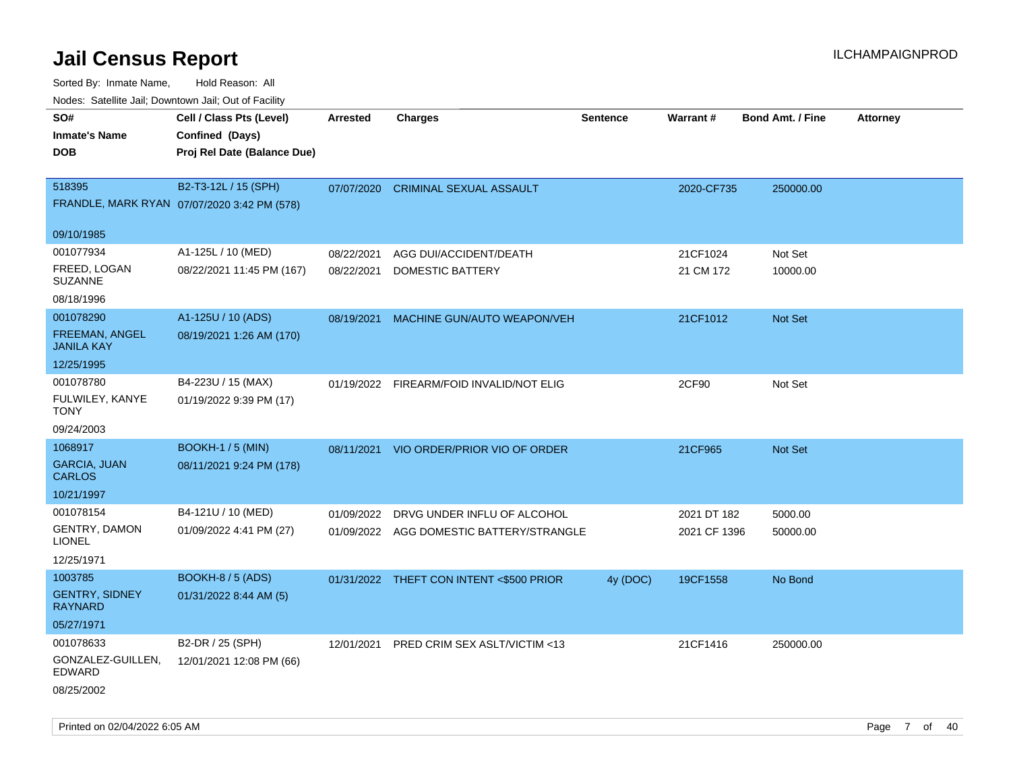| Nodes. Satellite Jali, Downtown Jali, Out of Facility |                                             |                 |                                          |                 |              |                         |                 |
|-------------------------------------------------------|---------------------------------------------|-----------------|------------------------------------------|-----------------|--------------|-------------------------|-----------------|
| SO#                                                   | Cell / Class Pts (Level)                    | <b>Arrested</b> | <b>Charges</b>                           | <b>Sentence</b> | Warrant#     | <b>Bond Amt. / Fine</b> | <b>Attorney</b> |
| <b>Inmate's Name</b>                                  | Confined (Days)                             |                 |                                          |                 |              |                         |                 |
| DOB                                                   | Proj Rel Date (Balance Due)                 |                 |                                          |                 |              |                         |                 |
|                                                       |                                             |                 |                                          |                 |              |                         |                 |
| 518395                                                | B2-T3-12L / 15 (SPH)                        | 07/07/2020      | <b>CRIMINAL SEXUAL ASSAULT</b>           |                 | 2020-CF735   | 250000.00               |                 |
|                                                       | FRANDLE, MARK RYAN 07/07/2020 3:42 PM (578) |                 |                                          |                 |              |                         |                 |
| 09/10/1985                                            |                                             |                 |                                          |                 |              |                         |                 |
| 001077934                                             | A1-125L / 10 (MED)                          | 08/22/2021      | AGG DUI/ACCIDENT/DEATH                   |                 | 21CF1024     | Not Set                 |                 |
| FREED, LOGAN<br><b>SUZANNE</b>                        | 08/22/2021 11:45 PM (167)                   | 08/22/2021      | DOMESTIC BATTERY                         |                 | 21 CM 172    | 10000.00                |                 |
| 08/18/1996                                            |                                             |                 |                                          |                 |              |                         |                 |
| 001078290                                             | A1-125U / 10 (ADS)                          | 08/19/2021      | MACHINE GUN/AUTO WEAPON/VEH              |                 | 21CF1012     | Not Set                 |                 |
| <b>FREEMAN, ANGEL</b><br>JANILA KAY                   | 08/19/2021 1:26 AM (170)                    |                 |                                          |                 |              |                         |                 |
| 12/25/1995                                            |                                             |                 |                                          |                 |              |                         |                 |
| 001078780                                             | B4-223U / 15 (MAX)                          |                 | 01/19/2022 FIREARM/FOID INVALID/NOT ELIG |                 | 2CF90        | Not Set                 |                 |
| FULWILEY, KANYE<br>TONY                               | 01/19/2022 9:39 PM (17)                     |                 |                                          |                 |              |                         |                 |
| 09/24/2003                                            |                                             |                 |                                          |                 |              |                         |                 |
| 1068917                                               | <b>BOOKH-1 / 5 (MIN)</b>                    | 08/11/2021      | VIO ORDER/PRIOR VIO OF ORDER             |                 | 21CF965      | <b>Not Set</b>          |                 |
| <b>GARCIA, JUAN</b><br>CARLOS                         | 08/11/2021 9:24 PM (178)                    |                 |                                          |                 |              |                         |                 |
| 10/21/1997                                            |                                             |                 |                                          |                 |              |                         |                 |
| 001078154                                             | B4-121U / 10 (MED)                          | 01/09/2022      | DRVG UNDER INFLU OF ALCOHOL              |                 | 2021 DT 182  | 5000.00                 |                 |
| GENTRY, DAMON<br>LIONEL                               | 01/09/2022 4:41 PM (27)                     |                 | 01/09/2022 AGG DOMESTIC BATTERY/STRANGLE |                 | 2021 CF 1396 | 50000.00                |                 |
| 12/25/1971                                            |                                             |                 |                                          |                 |              |                         |                 |
| 1003785                                               | <b>BOOKH-8 / 5 (ADS)</b>                    |                 | 01/31/2022 THEFT CON INTENT <\$500 PRIOR | 4y (DOC)        | 19CF1558     | No Bond                 |                 |
| <b>GENTRY, SIDNEY</b><br>RAYNARD                      | 01/31/2022 8:44 AM (5)                      |                 |                                          |                 |              |                         |                 |
| 05/27/1971                                            |                                             |                 |                                          |                 |              |                         |                 |
| 001078633                                             | B2-DR / 25 (SPH)                            | 12/01/2021      | PRED CRIM SEX ASLT/VICTIM <13            |                 | 21CF1416     | 250000.00               |                 |
| GONZALEZ-GUILLEN,<br>EDWARD                           | 12/01/2021 12:08 PM (66)                    |                 |                                          |                 |              |                         |                 |
| 08/25/2002                                            |                                             |                 |                                          |                 |              |                         |                 |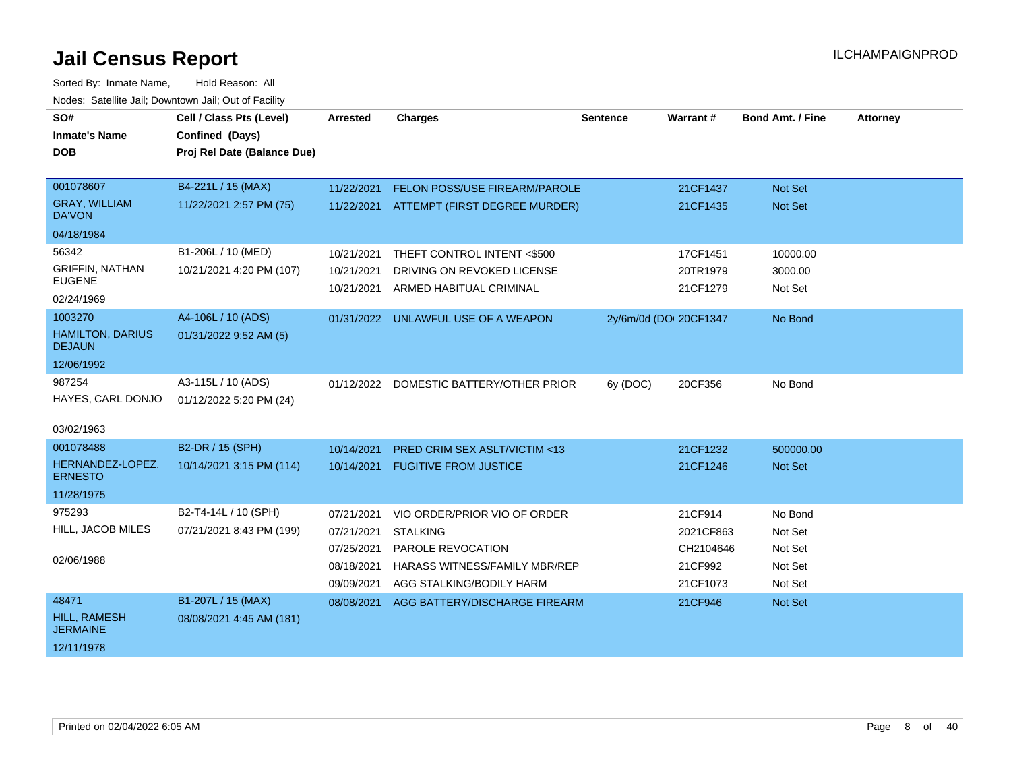| SO#<br><b>Inmate's Name</b>              | Cell / Class Pts (Level)<br>Confined (Days) | <b>Arrested</b> | <b>Charges</b>                           | <b>Sentence</b>        | Warrant#  | <b>Bond Amt. / Fine</b> | <b>Attorney</b> |
|------------------------------------------|---------------------------------------------|-----------------|------------------------------------------|------------------------|-----------|-------------------------|-----------------|
| <b>DOB</b>                               | Proj Rel Date (Balance Due)                 |                 |                                          |                        |           |                         |                 |
|                                          |                                             |                 |                                          |                        |           |                         |                 |
| 001078607                                | B4-221L / 15 (MAX)                          | 11/22/2021      | <b>FELON POSS/USE FIREARM/PAROLE</b>     |                        | 21CF1437  | Not Set                 |                 |
| <b>GRAY, WILLIAM</b><br><b>DA'VON</b>    | 11/22/2021 2:57 PM (75)                     |                 | 11/22/2021 ATTEMPT (FIRST DEGREE MURDER) |                        | 21CF1435  | <b>Not Set</b>          |                 |
| 04/18/1984                               |                                             |                 |                                          |                        |           |                         |                 |
| 56342                                    | B1-206L / 10 (MED)                          | 10/21/2021      | THEFT CONTROL INTENT <\$500              |                        | 17CF1451  | 10000.00                |                 |
| <b>GRIFFIN, NATHAN</b><br><b>EUGENE</b>  | 10/21/2021 4:20 PM (107)                    | 10/21/2021      | DRIVING ON REVOKED LICENSE               |                        | 20TR1979  | 3000.00                 |                 |
| 02/24/1969                               |                                             | 10/21/2021      | ARMED HABITUAL CRIMINAL                  |                        | 21CF1279  | Not Set                 |                 |
| 1003270                                  | A4-106L / 10 (ADS)                          |                 | 01/31/2022 UNLAWFUL USE OF A WEAPON      | 2y/6m/0d (DOI 20CF1347 |           | No Bond                 |                 |
| <b>HAMILTON, DARIUS</b><br><b>DEJAUN</b> | 01/31/2022 9:52 AM (5)                      |                 |                                          |                        |           |                         |                 |
| 12/06/1992                               |                                             |                 |                                          |                        |           |                         |                 |
| 987254                                   | A3-115L / 10 (ADS)                          |                 | 01/12/2022 DOMESTIC BATTERY/OTHER PRIOR  | 6y (DOC)               | 20CF356   | No Bond                 |                 |
| HAYES, CARL DONJO                        | 01/12/2022 5:20 PM (24)                     |                 |                                          |                        |           |                         |                 |
| 03/02/1963                               |                                             |                 |                                          |                        |           |                         |                 |
| 001078488                                | B2-DR / 15 (SPH)                            | 10/14/2021      | <b>PRED CRIM SEX ASLT/VICTIM &lt;13</b>  |                        | 21CF1232  | 500000.00               |                 |
| HERNANDEZ-LOPEZ,<br><b>ERNESTO</b>       | 10/14/2021 3:15 PM (114)                    | 10/14/2021      | <b>FUGITIVE FROM JUSTICE</b>             |                        | 21CF1246  | Not Set                 |                 |
| 11/28/1975                               |                                             |                 |                                          |                        |           |                         |                 |
| 975293                                   | B2-T4-14L / 10 (SPH)                        | 07/21/2021      | VIO ORDER/PRIOR VIO OF ORDER             |                        | 21CF914   | No Bond                 |                 |
| HILL, JACOB MILES                        | 07/21/2021 8:43 PM (199)                    | 07/21/2021      | <b>STALKING</b>                          |                        | 2021CF863 | Not Set                 |                 |
|                                          |                                             | 07/25/2021      | PAROLE REVOCATION                        |                        | CH2104646 | Not Set                 |                 |
| 02/06/1988                               |                                             | 08/18/2021      | HARASS WITNESS/FAMILY MBR/REP            |                        | 21CF992   | Not Set                 |                 |
|                                          |                                             | 09/09/2021      | AGG STALKING/BODILY HARM                 |                        | 21CF1073  | Not Set                 |                 |
| 48471                                    | B1-207L / 15 (MAX)                          | 08/08/2021      | AGG BATTERY/DISCHARGE FIREARM            |                        | 21CF946   | Not Set                 |                 |
| <b>HILL, RAMESH</b><br><b>JERMAINE</b>   | 08/08/2021 4:45 AM (181)                    |                 |                                          |                        |           |                         |                 |
| 12/11/1978                               |                                             |                 |                                          |                        |           |                         |                 |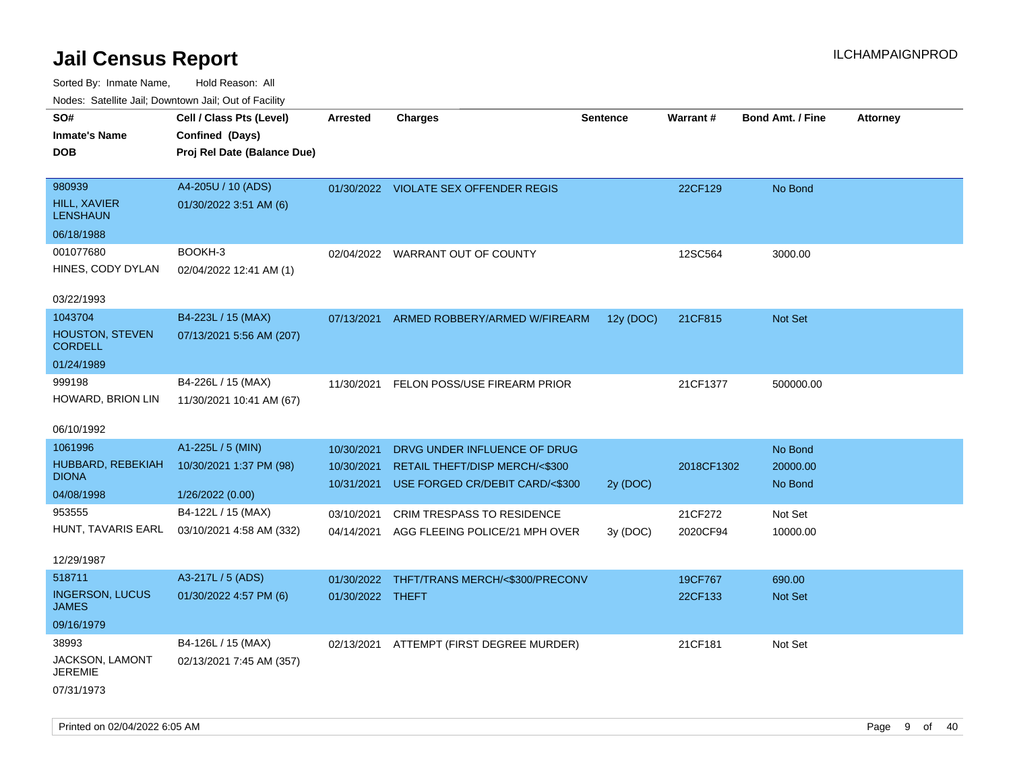| roacs. Catellite Jall, Downtown Jall, Out of Facility |                             |                  |                                            |                 |                 |                         |                 |
|-------------------------------------------------------|-----------------------------|------------------|--------------------------------------------|-----------------|-----------------|-------------------------|-----------------|
| SO#                                                   | Cell / Class Pts (Level)    | <b>Arrested</b>  | <b>Charges</b>                             | <b>Sentence</b> | <b>Warrant#</b> | <b>Bond Amt. / Fine</b> | <b>Attorney</b> |
| <b>Inmate's Name</b>                                  | Confined (Days)             |                  |                                            |                 |                 |                         |                 |
| <b>DOB</b>                                            | Proj Rel Date (Balance Due) |                  |                                            |                 |                 |                         |                 |
|                                                       |                             |                  |                                            |                 |                 |                         |                 |
| 980939                                                | A4-205U / 10 (ADS)          |                  | 01/30/2022 VIOLATE SEX OFFENDER REGIS      |                 | 22CF129         | No Bond                 |                 |
| <b>HILL, XAVIER</b><br><b>LENSHAUN</b>                | 01/30/2022 3:51 AM (6)      |                  |                                            |                 |                 |                         |                 |
| 06/18/1988                                            |                             |                  |                                            |                 |                 |                         |                 |
| 001077680                                             | BOOKH-3                     |                  | 02/04/2022 WARRANT OUT OF COUNTY           |                 | 12SC564         | 3000.00                 |                 |
| HINES, CODY DYLAN                                     | 02/04/2022 12:41 AM (1)     |                  |                                            |                 |                 |                         |                 |
|                                                       |                             |                  |                                            |                 |                 |                         |                 |
| 03/22/1993                                            |                             |                  |                                            |                 |                 |                         |                 |
| 1043704                                               | B4-223L / 15 (MAX)          | 07/13/2021       | ARMED ROBBERY/ARMED W/FIREARM              | 12y (DOC)       | 21CF815         | Not Set                 |                 |
| <b>HOUSTON, STEVEN</b><br><b>CORDELL</b>              | 07/13/2021 5:56 AM (207)    |                  |                                            |                 |                 |                         |                 |
| 01/24/1989                                            |                             |                  |                                            |                 |                 |                         |                 |
| 999198                                                | B4-226L / 15 (MAX)          | 11/30/2021       | FELON POSS/USE FIREARM PRIOR               |                 | 21CF1377        | 500000.00               |                 |
| HOWARD, BRION LIN                                     | 11/30/2021 10:41 AM (67)    |                  |                                            |                 |                 |                         |                 |
|                                                       |                             |                  |                                            |                 |                 |                         |                 |
| 06/10/1992                                            |                             |                  |                                            |                 |                 |                         |                 |
| 1061996                                               | A1-225L / 5 (MIN)           | 10/30/2021       | DRVG UNDER INFLUENCE OF DRUG               |                 |                 | No Bond                 |                 |
| HUBBARD, REBEKIAH                                     | 10/30/2021 1:37 PM (98)     | 10/30/2021       | RETAIL THEFT/DISP MERCH/<\$300             |                 | 2018CF1302      | 20000.00                |                 |
| <b>DIONA</b>                                          |                             | 10/31/2021       | USE FORGED CR/DEBIT CARD/<\$300            | 2y (DOC)        |                 | No Bond                 |                 |
| 04/08/1998                                            | 1/26/2022 (0.00)            |                  |                                            |                 |                 |                         |                 |
| 953555                                                | B4-122L / 15 (MAX)          | 03/10/2021       | CRIM TRESPASS TO RESIDENCE                 |                 | 21CF272         | Not Set                 |                 |
| HUNT, TAVARIS EARL                                    | 03/10/2021 4:58 AM (332)    |                  | 04/14/2021 AGG FLEEING POLICE/21 MPH OVER  | 3y (DOC)        | 2020CF94        | 10000.00                |                 |
| 12/29/1987                                            |                             |                  |                                            |                 |                 |                         |                 |
| 518711                                                | A3-217L / 5 (ADS)           |                  | 01/30/2022 THFT/TRANS MERCH/<\$300/PRECONV |                 | 19CF767         | 690.00                  |                 |
| <b>INGERSON, LUCUS</b><br><b>JAMES</b>                | 01/30/2022 4:57 PM (6)      | 01/30/2022 THEFT |                                            |                 | 22CF133         | <b>Not Set</b>          |                 |
| 09/16/1979                                            |                             |                  |                                            |                 |                 |                         |                 |
| 38993                                                 | B4-126L / 15 (MAX)          |                  | 02/13/2021 ATTEMPT (FIRST DEGREE MURDER)   |                 | 21CF181         | Not Set                 |                 |
| JACKSON, LAMONT<br><b>JEREMIE</b>                     | 02/13/2021 7:45 AM (357)    |                  |                                            |                 |                 |                         |                 |
| 07/31/1973                                            |                             |                  |                                            |                 |                 |                         |                 |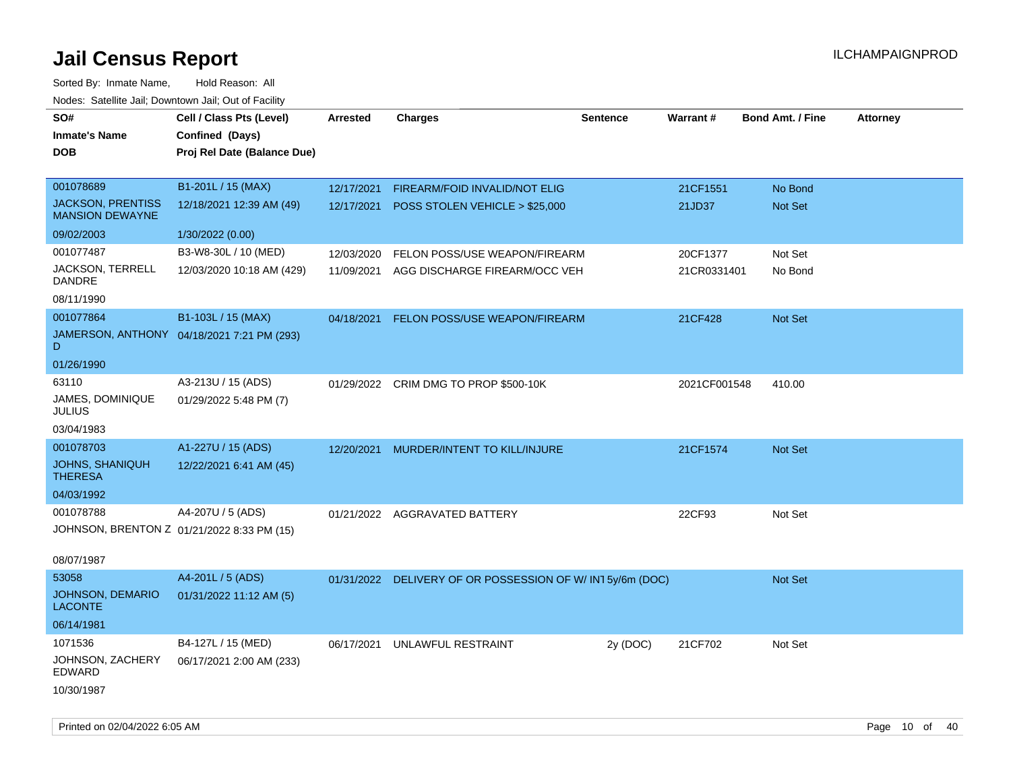| SO#<br><b>Inmate's Name</b><br><b>DOB</b>          | Cell / Class Pts (Level)<br>Confined (Days)<br>Proj Rel Date (Balance Due) | <b>Arrested</b> | <b>Charges</b>                                | <b>Sentence</b> | Warrant#     | <b>Bond Amt. / Fine</b> | <b>Attorney</b> |
|----------------------------------------------------|----------------------------------------------------------------------------|-----------------|-----------------------------------------------|-----------------|--------------|-------------------------|-----------------|
| 001078689                                          | B1-201L / 15 (MAX)                                                         | 12/17/2021      | FIREARM/FOID INVALID/NOT ELIG                 |                 | 21CF1551     | No Bond                 |                 |
| <b>JACKSON, PRENTISS</b><br><b>MANSION DEWAYNE</b> | 12/18/2021 12:39 AM (49)                                                   | 12/17/2021      | POSS STOLEN VEHICLE > \$25,000                |                 | 21JD37       | Not Set                 |                 |
| 09/02/2003                                         | 1/30/2022 (0.00)                                                           |                 |                                               |                 |              |                         |                 |
| 001077487                                          | B3-W8-30L / 10 (MED)                                                       | 12/03/2020      | FELON POSS/USE WEAPON/FIREARM                 |                 | 20CF1377     | Not Set                 |                 |
| JACKSON, TERRELL<br>DANDRE                         | 12/03/2020 10:18 AM (429)                                                  | 11/09/2021      | AGG DISCHARGE FIREARM/OCC VEH                 |                 | 21CR0331401  | No Bond                 |                 |
| 08/11/1990                                         |                                                                            |                 |                                               |                 |              |                         |                 |
| 001077864                                          | B1-103L / 15 (MAX)                                                         | 04/18/2021      | FELON POSS/USE WEAPON/FIREARM                 |                 | 21CF428      | <b>Not Set</b>          |                 |
| D                                                  | JAMERSON, ANTHONY 04/18/2021 7:21 PM (293)                                 |                 |                                               |                 |              |                         |                 |
| 01/26/1990                                         |                                                                            |                 |                                               |                 |              |                         |                 |
| 63110                                              | A3-213U / 15 (ADS)                                                         |                 | 01/29/2022 CRIM DMG TO PROP \$500-10K         |                 | 2021CF001548 | 410.00                  |                 |
| JAMES, DOMINIQUE<br><b>JULIUS</b>                  | 01/29/2022 5:48 PM (7)                                                     |                 |                                               |                 |              |                         |                 |
| 03/04/1983                                         |                                                                            |                 |                                               |                 |              |                         |                 |
| 001078703                                          | A1-227U / 15 (ADS)                                                         | 12/20/2021      | MURDER/INTENT TO KILL/INJURE                  |                 | 21CF1574     | <b>Not Set</b>          |                 |
| JOHNS, SHANIQUH<br><b>THERESA</b>                  | 12/22/2021 6:41 AM (45)                                                    |                 |                                               |                 |              |                         |                 |
| 04/03/1992                                         |                                                                            |                 |                                               |                 |              |                         |                 |
| 001078788                                          | A4-207U / 5 (ADS)                                                          |                 | 01/21/2022 AGGRAVATED BATTERY                 |                 | 22CF93       | Not Set                 |                 |
| JOHNSON, BRENTON Z 01/21/2022 8:33 PM (15)         |                                                                            |                 |                                               |                 |              |                         |                 |
| 08/07/1987                                         |                                                                            |                 |                                               |                 |              |                         |                 |
| 53058                                              | A4-201L / 5 (ADS)                                                          | 01/31/2022      | DELIVERY OF OR POSSESSION OF W/IN15y/6m (DOC) |                 |              | Not Set                 |                 |
| JOHNSON, DEMARIO<br><b>LACONTE</b>                 | 01/31/2022 11:12 AM (5)                                                    |                 |                                               |                 |              |                         |                 |
| 06/14/1981                                         |                                                                            |                 |                                               |                 |              |                         |                 |
| 1071536                                            | B4-127L / 15 (MED)                                                         | 06/17/2021      | UNLAWFUL RESTRAINT                            | 2y (DOC)        | 21CF702      | Not Set                 |                 |
| JOHNSON, ZACHERY<br><b>EDWARD</b>                  | 06/17/2021 2:00 AM (233)                                                   |                 |                                               |                 |              |                         |                 |
| 10/30/1987                                         |                                                                            |                 |                                               |                 |              |                         |                 |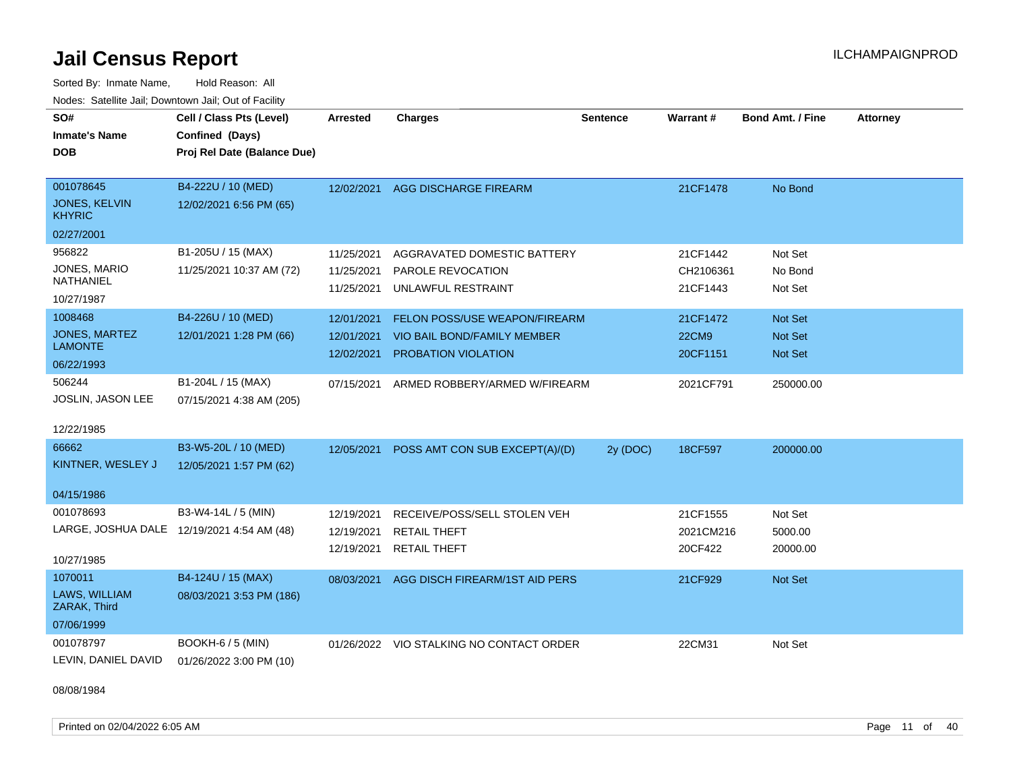Sorted By: Inmate Name, Hold Reason: All Nodes: Satellite Jail; Downtown Jail; Out of Facility

| SO#                                        | Cell / Class Pts (Level)    | Arrested   | <b>Charges</b>                           | <b>Sentence</b> | <b>Warrant#</b> | <b>Bond Amt. / Fine</b> | <b>Attorney</b> |
|--------------------------------------------|-----------------------------|------------|------------------------------------------|-----------------|-----------------|-------------------------|-----------------|
| <b>Inmate's Name</b>                       | Confined (Days)             |            |                                          |                 |                 |                         |                 |
| <b>DOB</b>                                 | Proj Rel Date (Balance Due) |            |                                          |                 |                 |                         |                 |
|                                            |                             |            |                                          |                 |                 |                         |                 |
| 001078645                                  | B4-222U / 10 (MED)          | 12/02/2021 | AGG DISCHARGE FIREARM                    |                 | 21CF1478        | No Bond                 |                 |
| <b>JONES, KELVIN</b><br><b>KHYRIC</b>      | 12/02/2021 6:56 PM (65)     |            |                                          |                 |                 |                         |                 |
| 02/27/2001                                 |                             |            |                                          |                 |                 |                         |                 |
| 956822                                     | B1-205U / 15 (MAX)          | 11/25/2021 | AGGRAVATED DOMESTIC BATTERY              |                 | 21CF1442        | Not Set                 |                 |
| JONES, MARIO                               | 11/25/2021 10:37 AM (72)    | 11/25/2021 | PAROLE REVOCATION                        |                 | CH2106361       | No Bond                 |                 |
| NATHANIEL                                  |                             | 11/25/2021 | UNLAWFUL RESTRAINT                       |                 | 21CF1443        | Not Set                 |                 |
| 10/27/1987                                 |                             |            |                                          |                 |                 |                         |                 |
| 1008468                                    | B4-226U / 10 (MED)          | 12/01/2021 | FELON POSS/USE WEAPON/FIREARM            |                 | 21CF1472        | Not Set                 |                 |
| <b>JONES, MARTEZ</b>                       | 12/01/2021 1:28 PM (66)     | 12/01/2021 | VIO BAIL BOND/FAMILY MEMBER              |                 | <b>22CM9</b>    | Not Set                 |                 |
| <b>LAMONTE</b>                             |                             | 12/02/2021 | PROBATION VIOLATION                      |                 | 20CF1151        | Not Set                 |                 |
| 06/22/1993                                 |                             |            |                                          |                 |                 |                         |                 |
| 506244                                     | B1-204L / 15 (MAX)          | 07/15/2021 | ARMED ROBBERY/ARMED W/FIREARM            |                 | 2021CF791       | 250000.00               |                 |
| <b>JOSLIN, JASON LEE</b>                   | 07/15/2021 4:38 AM (205)    |            |                                          |                 |                 |                         |                 |
|                                            |                             |            |                                          |                 |                 |                         |                 |
| 12/22/1985                                 |                             |            |                                          |                 |                 |                         |                 |
| 66662                                      | B3-W5-20L / 10 (MED)        | 12/05/2021 | POSS AMT CON SUB EXCEPT(A)/(D)           | 2y (DOC)        | 18CF597         | 200000.00               |                 |
| KINTNER, WESLEY J                          | 12/05/2021 1:57 PM (62)     |            |                                          |                 |                 |                         |                 |
|                                            |                             |            |                                          |                 |                 |                         |                 |
| 04/15/1986                                 |                             |            |                                          |                 |                 |                         |                 |
| 001078693                                  | B3-W4-14L / 5 (MIN)         | 12/19/2021 | RECEIVE/POSS/SELL STOLEN VEH             |                 | 21CF1555        | Not Set                 |                 |
| LARGE, JOSHUA DALE 12/19/2021 4:54 AM (48) |                             | 12/19/2021 | <b>RETAIL THEFT</b>                      |                 | 2021CM216       | 5000.00                 |                 |
|                                            |                             | 12/19/2021 | <b>RETAIL THEFT</b>                      |                 | 20CF422         | 20000.00                |                 |
| 10/27/1985                                 |                             |            |                                          |                 |                 |                         |                 |
| 1070011                                    | B4-124U / 15 (MAX)          | 08/03/2021 | AGG DISCH FIREARM/1ST AID PERS           |                 | 21CF929         | Not Set                 |                 |
| LAWS, WILLIAM<br>ZARAK, Third              | 08/03/2021 3:53 PM (186)    |            |                                          |                 |                 |                         |                 |
| 07/06/1999                                 |                             |            |                                          |                 |                 |                         |                 |
| 001078797                                  | <b>BOOKH-6 / 5 (MIN)</b>    |            | 01/26/2022 VIO STALKING NO CONTACT ORDER |                 | 22CM31          | Not Set                 |                 |
| LEVIN, DANIEL DAVID                        | 01/26/2022 3:00 PM (10)     |            |                                          |                 |                 |                         |                 |

08/08/1984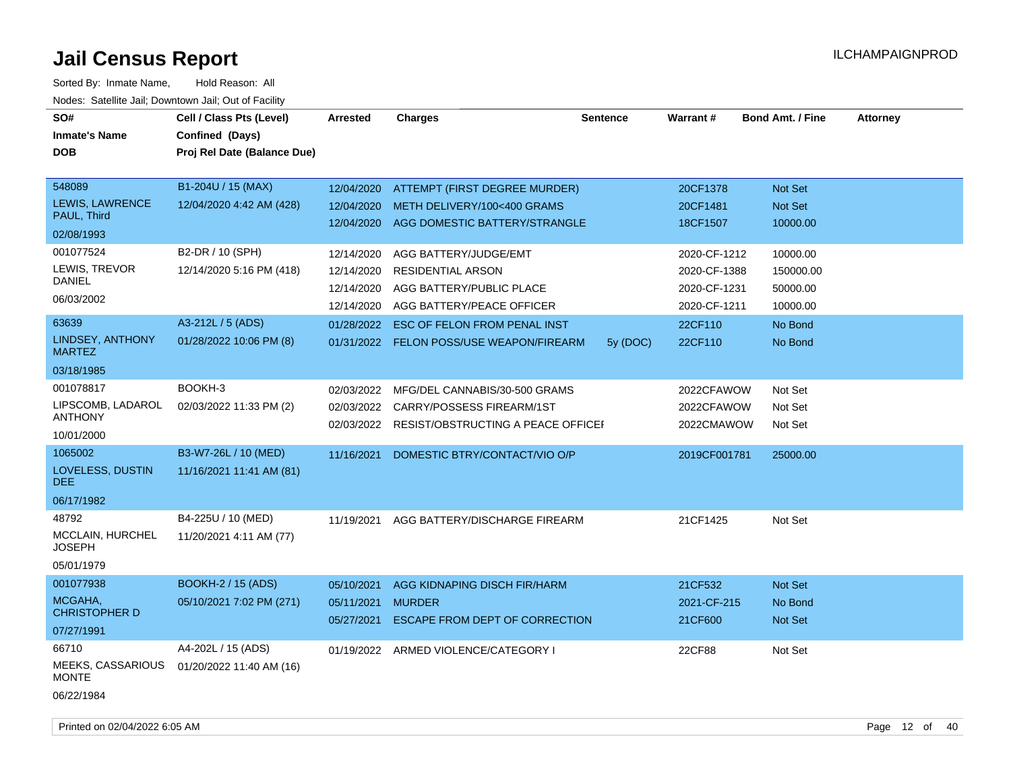| SO#<br><b>Inmate's Name</b><br><b>DOB</b>                       | Cell / Class Pts (Level)<br>Confined (Days)<br>Proj Rel Date (Balance Due) | Arrested                                             | <b>Charges</b>                                                                                              | <b>Sentence</b> | <b>Warrant#</b>                                              | <b>Bond Amt. / Fine</b>                       | <b>Attorney</b> |
|-----------------------------------------------------------------|----------------------------------------------------------------------------|------------------------------------------------------|-------------------------------------------------------------------------------------------------------------|-----------------|--------------------------------------------------------------|-----------------------------------------------|-----------------|
| 548089<br>LEWIS, LAWRENCE<br>PAUL, Third<br>02/08/1993          | B1-204U / 15 (MAX)<br>12/04/2020 4:42 AM (428)                             | 12/04/2020<br>12/04/2020<br>12/04/2020               | ATTEMPT (FIRST DEGREE MURDER)<br>METH DELIVERY/100<400 GRAMS<br>AGG DOMESTIC BATTERY/STRANGLE               |                 | 20CF1378<br>20CF1481<br>18CF1507                             | Not Set<br>Not Set<br>10000.00                |                 |
| 001077524<br>LEWIS, TREVOR<br><b>DANIEL</b><br>06/03/2002       | B2-DR / 10 (SPH)<br>12/14/2020 5:16 PM (418)                               | 12/14/2020<br>12/14/2020<br>12/14/2020<br>12/14/2020 | AGG BATTERY/JUDGE/EMT<br><b>RESIDENTIAL ARSON</b><br>AGG BATTERY/PUBLIC PLACE<br>AGG BATTERY/PEACE OFFICER  |                 | 2020-CF-1212<br>2020-CF-1388<br>2020-CF-1231<br>2020-CF-1211 | 10000.00<br>150000.00<br>50000.00<br>10000.00 |                 |
| 63639<br><b>LINDSEY, ANTHONY</b><br><b>MARTEZ</b><br>03/18/1985 | A3-212L / 5 (ADS)<br>01/28/2022 10:06 PM (8)                               | 01/28/2022                                           | <b>ESC OF FELON FROM PENAL INST</b><br>01/31/2022 FELON POSS/USE WEAPON/FIREARM                             | 5y (DOC)        | 22CF110<br>22CF110                                           | No Bond<br>No Bond                            |                 |
| 001078817<br>LIPSCOMB, LADAROL<br><b>ANTHONY</b><br>10/01/2000  | BOOKH-3<br>02/03/2022 11:33 PM (2)                                         | 02/03/2022<br>02/03/2022                             | MFG/DEL CANNABIS/30-500 GRAMS<br>CARRY/POSSESS FIREARM/1ST<br>02/03/2022 RESIST/OBSTRUCTING A PEACE OFFICEF |                 | 2022CFAWOW<br>2022CFAWOW<br>2022CMAWOW                       | Not Set<br>Not Set<br>Not Set                 |                 |
| 1065002<br>LOVELESS, DUSTIN<br>DEE.<br>06/17/1982               | B3-W7-26L / 10 (MED)<br>11/16/2021 11:41 AM (81)                           | 11/16/2021                                           | DOMESTIC BTRY/CONTACT/VIO O/P                                                                               |                 | 2019CF001781                                                 | 25000.00                                      |                 |
| 48792<br>MCCLAIN, HURCHEL<br><b>JOSEPH</b><br>05/01/1979        | B4-225U / 10 (MED)<br>11/20/2021 4:11 AM (77)                              | 11/19/2021                                           | AGG BATTERY/DISCHARGE FIREARM                                                                               |                 | 21CF1425                                                     | Not Set                                       |                 |
| 001077938<br>MCGAHA,<br><b>CHRISTOPHER D</b><br>07/27/1991      | BOOKH-2 / 15 (ADS)<br>05/10/2021 7:02 PM (271)                             | 05/10/2021<br>05/11/2021<br>05/27/2021               | AGG KIDNAPING DISCH FIR/HARM<br><b>MURDER</b><br>ESCAPE FROM DEPT OF CORRECTION                             |                 | 21CF532<br>2021-CF-215<br>21CF600                            | Not Set<br>No Bond<br>Not Set                 |                 |
| 66710<br>MEEKS, CASSARIOUS<br><b>MONTE</b><br>06/22/1984        | A4-202L / 15 (ADS)<br>01/20/2022 11:40 AM (16)                             |                                                      | 01/19/2022 ARMED VIOLENCE/CATEGORY I                                                                        |                 | 22CF88                                                       | Not Set                                       |                 |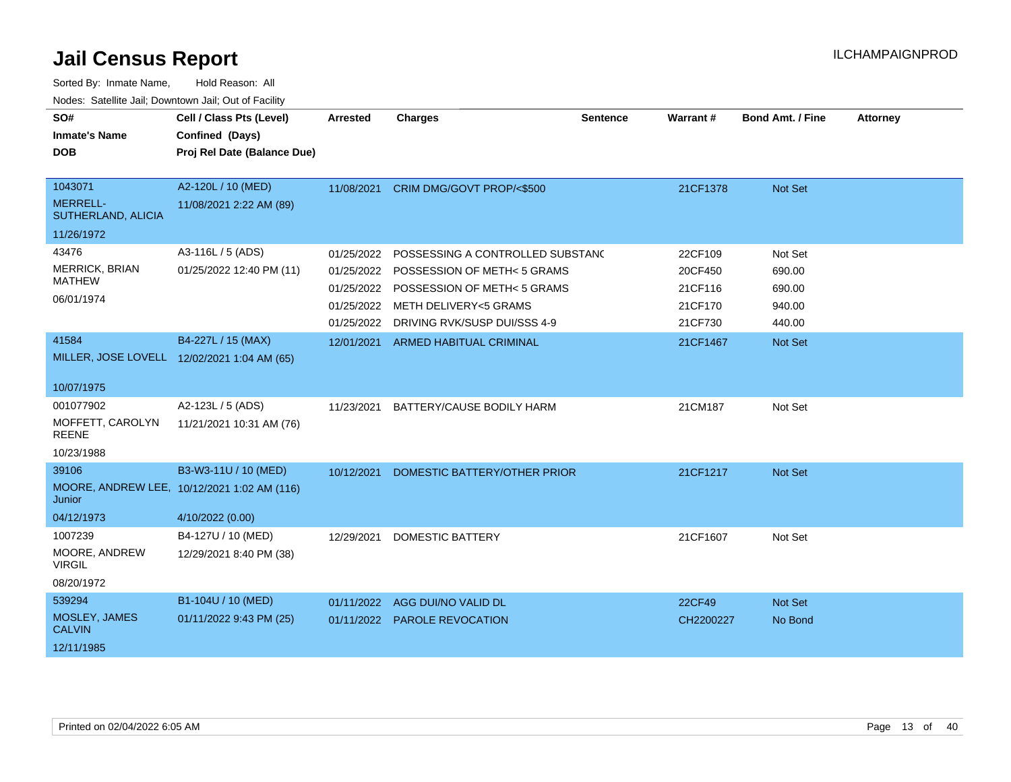| SO#<br><b>Inmate's Name</b><br><b>DOB</b>        | Cell / Class Pts (Level)<br>Confined (Days)<br>Proj Rel Date (Balance Due) | <b>Arrested</b> | <b>Charges</b>                         | <b>Sentence</b> | Warrant#  | <b>Bond Amt. / Fine</b> | <b>Attorney</b> |
|--------------------------------------------------|----------------------------------------------------------------------------|-----------------|----------------------------------------|-----------------|-----------|-------------------------|-----------------|
| 1043071<br><b>MERRELL-</b><br>SUTHERLAND, ALICIA | A2-120L / 10 (MED)<br>11/08/2021 2:22 AM (89)                              |                 | 11/08/2021 CRIM DMG/GOVT PROP/<\$500   |                 | 21CF1378  | Not Set                 |                 |
| 11/26/1972                                       |                                                                            |                 |                                        |                 |           |                         |                 |
| 43476                                            | A3-116L / 5 (ADS)                                                          | 01/25/2022      | POSSESSING A CONTROLLED SUBSTANC       |                 | 22CF109   | Not Set                 |                 |
| MERRICK, BRIAN<br><b>MATHEW</b>                  | 01/25/2022 12:40 PM (11)                                                   | 01/25/2022      | POSSESSION OF METH< 5 GRAMS            |                 | 20CF450   | 690.00                  |                 |
|                                                  |                                                                            |                 | 01/25/2022 POSSESSION OF METH< 5 GRAMS |                 | 21CF116   | 690.00                  |                 |
| 06/01/1974                                       |                                                                            | 01/25/2022      | <b>METH DELIVERY&lt;5 GRAMS</b>        |                 | 21CF170   | 940.00                  |                 |
|                                                  |                                                                            | 01/25/2022      | DRIVING RVK/SUSP DUI/SSS 4-9           |                 | 21CF730   | 440.00                  |                 |
| 41584                                            | B4-227L / 15 (MAX)                                                         | 12/01/2021      | <b>ARMED HABITUAL CRIMINAL</b>         |                 | 21CF1467  | Not Set                 |                 |
|                                                  | MILLER, JOSE LOVELL 12/02/2021 1:04 AM (65)                                |                 |                                        |                 |           |                         |                 |
| 10/07/1975                                       |                                                                            |                 |                                        |                 |           |                         |                 |
| 001077902                                        | A2-123L / 5 (ADS)                                                          | 11/23/2021      | BATTERY/CAUSE BODILY HARM              |                 | 21CM187   | Not Set                 |                 |
| MOFFETT, CAROLYN<br><b>REENE</b>                 | 11/21/2021 10:31 AM (76)                                                   |                 |                                        |                 |           |                         |                 |
| 10/23/1988                                       |                                                                            |                 |                                        |                 |           |                         |                 |
| 39106                                            | B3-W3-11U / 10 (MED)                                                       | 10/12/2021      | DOMESTIC BATTERY/OTHER PRIOR           |                 | 21CF1217  | Not Set                 |                 |
| Junior                                           | MOORE, ANDREW LEE, 10/12/2021 1:02 AM (116)                                |                 |                                        |                 |           |                         |                 |
| 04/12/1973                                       | 4/10/2022 (0.00)                                                           |                 |                                        |                 |           |                         |                 |
| 1007239                                          | B4-127U / 10 (MED)                                                         | 12/29/2021      | <b>DOMESTIC BATTERY</b>                |                 | 21CF1607  | Not Set                 |                 |
| MOORE, ANDREW<br><b>VIRGIL</b>                   | 12/29/2021 8:40 PM (38)                                                    |                 |                                        |                 |           |                         |                 |
| 08/20/1972                                       |                                                                            |                 |                                        |                 |           |                         |                 |
| 539294                                           | B1-104U / 10 (MED)                                                         | 01/11/2022      | AGG DUI/NO VALID DL                    |                 | 22CF49    | Not Set                 |                 |
| MOSLEY, JAMES<br><b>CALVIN</b>                   | 01/11/2022 9:43 PM (25)                                                    | 01/11/2022      | <b>PAROLE REVOCATION</b>               |                 | CH2200227 | No Bond                 |                 |
| 12/11/1985                                       |                                                                            |                 |                                        |                 |           |                         |                 |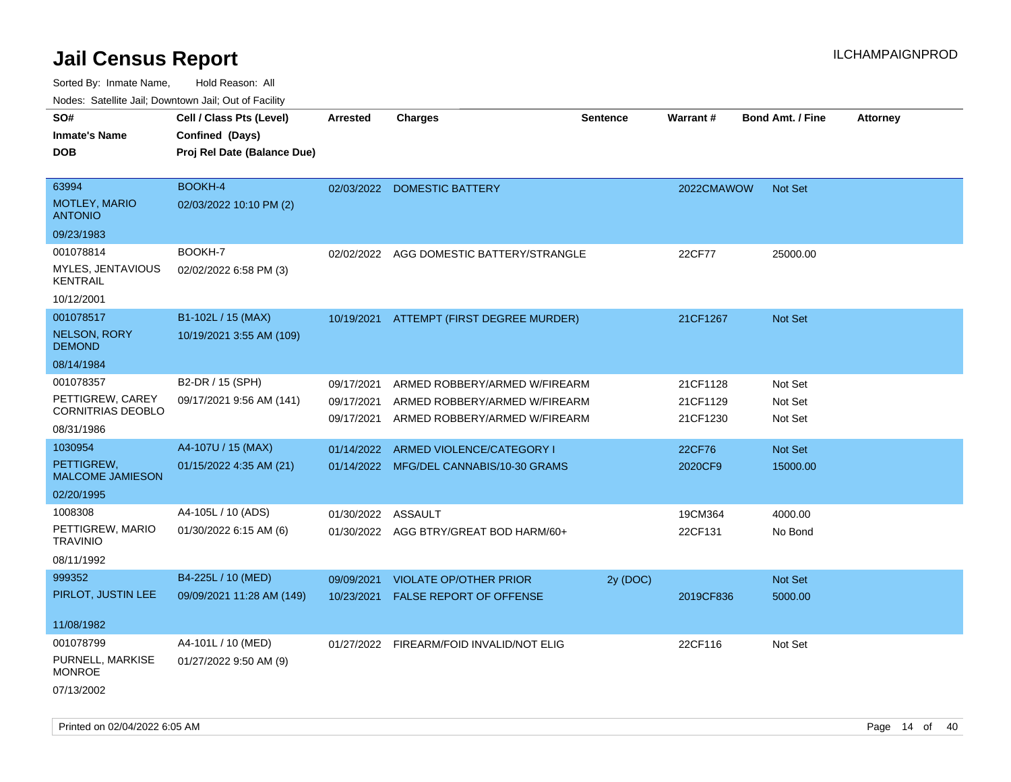| SO#<br>Inmate's Name                         | Cell / Class Pts (Level)<br>Confined (Days) | <b>Arrested</b> | <b>Charges</b>                           | <b>Sentence</b> | Warrant#   | <b>Bond Amt. / Fine</b> | <b>Attorney</b> |
|----------------------------------------------|---------------------------------------------|-----------------|------------------------------------------|-----------------|------------|-------------------------|-----------------|
| DOB                                          | Proj Rel Date (Balance Due)                 |                 |                                          |                 |            |                         |                 |
|                                              |                                             |                 |                                          |                 |            |                         |                 |
| 63994                                        | <b>BOOKH-4</b>                              | 02/03/2022      | <b>DOMESTIC BATTERY</b>                  |                 | 2022CMAWOW | <b>Not Set</b>          |                 |
| <b>MOTLEY, MARIO</b><br><b>ANTONIO</b>       | 02/03/2022 10:10 PM (2)                     |                 |                                          |                 |            |                         |                 |
| 09/23/1983                                   |                                             |                 |                                          |                 |            |                         |                 |
| 001078814                                    | BOOKH-7                                     | 02/02/2022      | AGG DOMESTIC BATTERY/STRANGLE            |                 | 22CF77     | 25000.00                |                 |
| MYLES, JENTAVIOUS<br><b>KENTRAIL</b>         | 02/02/2022 6:58 PM (3)                      |                 |                                          |                 |            |                         |                 |
| 10/12/2001                                   |                                             |                 |                                          |                 |            |                         |                 |
| 001078517                                    | B1-102L / 15 (MAX)                          |                 | 10/19/2021 ATTEMPT (FIRST DEGREE MURDER) |                 | 21CF1267   | <b>Not Set</b>          |                 |
| <b>NELSON, RORY</b><br><b>DEMOND</b>         | 10/19/2021 3:55 AM (109)                    |                 |                                          |                 |            |                         |                 |
| 08/14/1984                                   |                                             |                 |                                          |                 |            |                         |                 |
| 001078357                                    | B2-DR / 15 (SPH)                            | 09/17/2021      | ARMED ROBBERY/ARMED W/FIREARM            |                 | 21CF1128   | Not Set                 |                 |
| PETTIGREW, CAREY<br><b>CORNITRIAS DEOBLO</b> | 09/17/2021 9:56 AM (141)                    | 09/17/2021      | ARMED ROBBERY/ARMED W/FIREARM            |                 | 21CF1129   | Not Set                 |                 |
| 08/31/1986                                   |                                             | 09/17/2021      | ARMED ROBBERY/ARMED W/FIREARM            |                 | 21CF1230   | Not Set                 |                 |
| 1030954                                      | A4-107U / 15 (MAX)                          | 01/14/2022      | ARMED VIOLENCE/CATEGORY I                |                 | 22CF76     | <b>Not Set</b>          |                 |
| PETTIGREW.<br><b>MALCOME JAMIESON</b>        | 01/15/2022 4:35 AM (21)                     |                 | 01/14/2022 MFG/DEL CANNABIS/10-30 GRAMS  |                 | 2020CF9    | 15000.00                |                 |
| 02/20/1995                                   |                                             |                 |                                          |                 |            |                         |                 |
| 1008308                                      | A4-105L / 10 (ADS)                          | 01/30/2022      | ASSAULT                                  |                 | 19CM364    | 4000.00                 |                 |
| PETTIGREW, MARIO<br><b>TRAVINIO</b>          | 01/30/2022 6:15 AM (6)                      |                 | 01/30/2022 AGG BTRY/GREAT BOD HARM/60+   |                 | 22CF131    | No Bond                 |                 |
| 08/11/1992                                   |                                             |                 |                                          |                 |            |                         |                 |
| 999352                                       | B4-225L / 10 (MED)                          | 09/09/2021      | <b>VIOLATE OP/OTHER PRIOR</b>            | 2y (DOC)        |            | Not Set                 |                 |
| PIRLOT, JUSTIN LEE                           | 09/09/2021 11:28 AM (149)                   | 10/23/2021      | FALSE REPORT OF OFFENSE                  |                 | 2019CF836  | 5000.00                 |                 |
| 11/08/1982                                   |                                             |                 |                                          |                 |            |                         |                 |
| 001078799                                    | A4-101L / 10 (MED)                          |                 | 01/27/2022 FIREARM/FOID INVALID/NOT ELIG |                 | 22CF116    | Not Set                 |                 |
| PURNELL, MARKISE<br><b>MONROE</b>            | 01/27/2022 9:50 AM (9)                      |                 |                                          |                 |            |                         |                 |
| 07/13/2002                                   |                                             |                 |                                          |                 |            |                         |                 |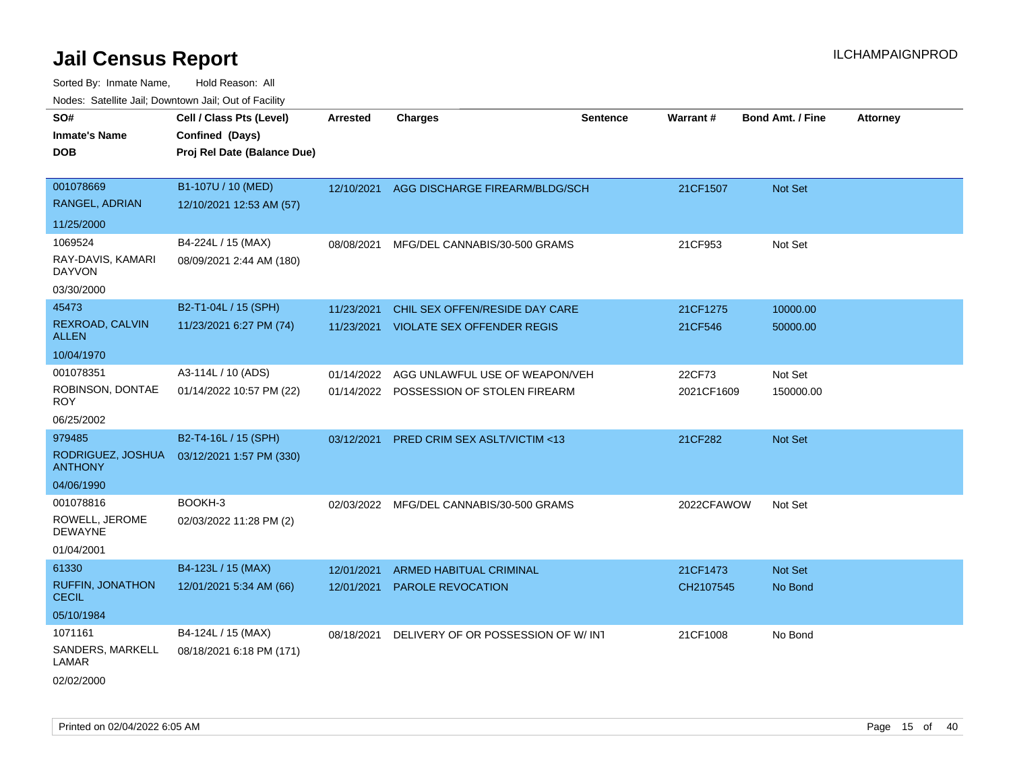| Todoo. Catolino can, Bomnomi can, Cat of Faoint<br>SO# | Cell / Class Pts (Level)    | <b>Arrested</b> | <b>Charges</b>                            | <b>Sentence</b> | Warrant#   | <b>Bond Amt. / Fine</b> | <b>Attorney</b> |
|--------------------------------------------------------|-----------------------------|-----------------|-------------------------------------------|-----------------|------------|-------------------------|-----------------|
| <b>Inmate's Name</b>                                   | Confined (Days)             |                 |                                           |                 |            |                         |                 |
| <b>DOB</b>                                             | Proj Rel Date (Balance Due) |                 |                                           |                 |            |                         |                 |
| 001078669                                              |                             |                 |                                           |                 |            |                         |                 |
| RANGEL, ADRIAN                                         | B1-107U / 10 (MED)          |                 | 12/10/2021 AGG DISCHARGE FIREARM/BLDG/SCH |                 | 21CF1507   | Not Set                 |                 |
|                                                        | 12/10/2021 12:53 AM (57)    |                 |                                           |                 |            |                         |                 |
| 11/25/2000                                             |                             |                 |                                           |                 |            |                         |                 |
| 1069524                                                | B4-224L / 15 (MAX)          | 08/08/2021      | MFG/DEL CANNABIS/30-500 GRAMS             |                 | 21CF953    | Not Set                 |                 |
| RAY-DAVIS, KAMARI<br><b>DAYVON</b>                     | 08/09/2021 2:44 AM (180)    |                 |                                           |                 |            |                         |                 |
| 03/30/2000                                             |                             |                 |                                           |                 |            |                         |                 |
| 45473                                                  | B2-T1-04L / 15 (SPH)        | 11/23/2021      | CHIL SEX OFFEN/RESIDE DAY CARE            |                 | 21CF1275   | 10000.00                |                 |
| REXROAD, CALVIN<br><b>ALLEN</b>                        | 11/23/2021 6:27 PM (74)     |                 | 11/23/2021 VIOLATE SEX OFFENDER REGIS     |                 | 21CF546    | 50000.00                |                 |
| 10/04/1970                                             |                             |                 |                                           |                 |            |                         |                 |
| 001078351                                              | A3-114L / 10 (ADS)          | 01/14/2022      | AGG UNLAWFUL USE OF WEAPON/VEH            |                 | 22CF73     | Not Set                 |                 |
| ROBINSON, DONTAE<br><b>ROY</b>                         | 01/14/2022 10:57 PM (22)    |                 | 01/14/2022 POSSESSION OF STOLEN FIREARM   |                 | 2021CF1609 | 150000.00               |                 |
| 06/25/2002                                             |                             |                 |                                           |                 |            |                         |                 |
| 979485                                                 | B2-T4-16L / 15 (SPH)        | 03/12/2021      | PRED CRIM SEX ASLT/VICTIM <13             |                 | 21CF282    | Not Set                 |                 |
| RODRIGUEZ, JOSHUA<br><b>ANTHONY</b>                    | 03/12/2021 1:57 PM (330)    |                 |                                           |                 |            |                         |                 |
| 04/06/1990                                             |                             |                 |                                           |                 |            |                         |                 |
| 001078816                                              | BOOKH-3                     | 02/03/2022      | MFG/DEL CANNABIS/30-500 GRAMS             |                 | 2022CFAWOW | Not Set                 |                 |
| ROWELL, JEROME<br><b>DEWAYNE</b>                       | 02/03/2022 11:28 PM (2)     |                 |                                           |                 |            |                         |                 |
| 01/04/2001                                             |                             |                 |                                           |                 |            |                         |                 |
| 61330                                                  | B4-123L / 15 (MAX)          | 12/01/2021      | <b>ARMED HABITUAL CRIMINAL</b>            |                 | 21CF1473   | Not Set                 |                 |
| <b>RUFFIN, JONATHON</b><br><b>CECIL</b>                | 12/01/2021 5:34 AM (66)     | 12/01/2021      | PAROLE REVOCATION                         |                 | CH2107545  | No Bond                 |                 |
| 05/10/1984                                             |                             |                 |                                           |                 |            |                         |                 |
| 1071161                                                | B4-124L / 15 (MAX)          | 08/18/2021      | DELIVERY OF OR POSSESSION OF W/INT        |                 | 21CF1008   | No Bond                 |                 |
| SANDERS, MARKELL<br>LAMAR                              | 08/18/2021 6:18 PM (171)    |                 |                                           |                 |            |                         |                 |
| 02/02/2000                                             |                             |                 |                                           |                 |            |                         |                 |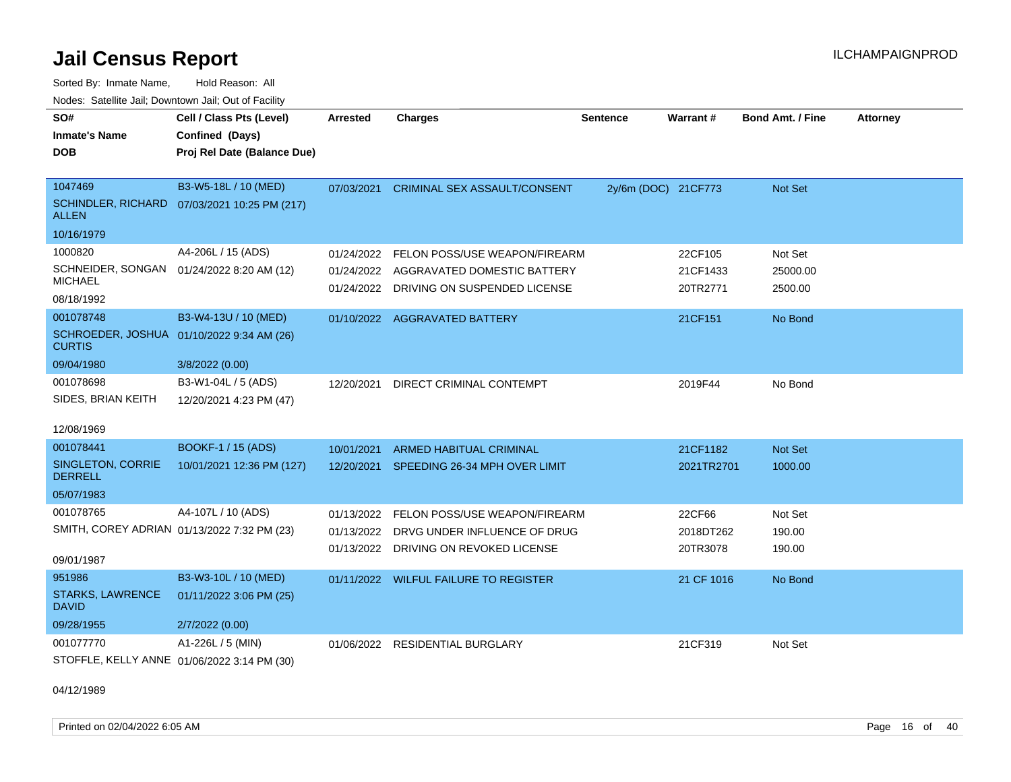Sorted By: Inmate Name, Hold Reason: All Nodes: Satellite Jail; Downtown Jail; Out of Facility

| SO#                                                        | Cell / Class Pts (Level)                     | <b>Arrested</b> | <b>Charges</b>                           | <b>Sentence</b>     | <b>Warrant#</b> | <b>Bond Amt. / Fine</b> | <b>Attorney</b> |
|------------------------------------------------------------|----------------------------------------------|-----------------|------------------------------------------|---------------------|-----------------|-------------------------|-----------------|
| <b>Inmate's Name</b>                                       | Confined (Days)                              |                 |                                          |                     |                 |                         |                 |
| <b>DOB</b>                                                 | Proj Rel Date (Balance Due)                  |                 |                                          |                     |                 |                         |                 |
|                                                            |                                              |                 |                                          |                     |                 |                         |                 |
| 1047469                                                    | B3-W5-18L / 10 (MED)                         | 07/03/2021      | <b>CRIMINAL SEX ASSAULT/CONSENT</b>      | 2y/6m (DOC) 21CF773 |                 | Not Set                 |                 |
| <b>ALLEN</b>                                               | SCHINDLER, RICHARD 07/03/2021 10:25 PM (217) |                 |                                          |                     |                 |                         |                 |
| 10/16/1979                                                 |                                              |                 |                                          |                     |                 |                         |                 |
| 1000820                                                    | A4-206L / 15 (ADS)                           | 01/24/2022      | FELON POSS/USE WEAPON/FIREARM            |                     | 22CF105         | Not Set                 |                 |
|                                                            | SCHNEIDER, SONGAN 01/24/2022 8:20 AM (12)    |                 | 01/24/2022 AGGRAVATED DOMESTIC BATTERY   |                     | 21CF1433        | 25000.00                |                 |
| <b>MICHAEL</b>                                             |                                              | 01/24/2022      | DRIVING ON SUSPENDED LICENSE             |                     | 20TR2771        | 2500.00                 |                 |
| 08/18/1992                                                 |                                              |                 |                                          |                     |                 |                         |                 |
| 001078748                                                  | B3-W4-13U / 10 (MED)                         |                 | 01/10/2022 AGGRAVATED BATTERY            |                     | 21CF151         | No Bond                 |                 |
| SCHROEDER, JOSHUA 01/10/2022 9:34 AM (26)<br><b>CURTIS</b> |                                              |                 |                                          |                     |                 |                         |                 |
| 09/04/1980                                                 | 3/8/2022 (0.00)                              |                 |                                          |                     |                 |                         |                 |
| 001078698                                                  | B3-W1-04L / 5 (ADS)                          | 12/20/2021      | DIRECT CRIMINAL CONTEMPT                 |                     | 2019F44         | No Bond                 |                 |
| SIDES, BRIAN KEITH                                         | 12/20/2021 4:23 PM (47)                      |                 |                                          |                     |                 |                         |                 |
| 12/08/1969                                                 |                                              |                 |                                          |                     |                 |                         |                 |
| 001078441                                                  | BOOKF-1 / 15 (ADS)                           | 10/01/2021      | <b>ARMED HABITUAL CRIMINAL</b>           |                     | 21CF1182        | <b>Not Set</b>          |                 |
| SINGLETON, CORRIE<br><b>DERRELL</b>                        | 10/01/2021 12:36 PM (127)                    |                 | 12/20/2021 SPEEDING 26-34 MPH OVER LIMIT |                     | 2021TR2701      | 1000.00                 |                 |
| 05/07/1983                                                 |                                              |                 |                                          |                     |                 |                         |                 |
| 001078765                                                  | A4-107L / 10 (ADS)                           | 01/13/2022      | FELON POSS/USE WEAPON/FIREARM            |                     | 22CF66          | Not Set                 |                 |
|                                                            | SMITH, COREY ADRIAN 01/13/2022 7:32 PM (23)  | 01/13/2022      | DRVG UNDER INFLUENCE OF DRUG             |                     | 2018DT262       | 190.00                  |                 |
|                                                            |                                              | 01/13/2022      | DRIVING ON REVOKED LICENSE               |                     | 20TR3078        | 190.00                  |                 |
| 09/01/1987                                                 |                                              |                 |                                          |                     |                 |                         |                 |
| 951986                                                     | B3-W3-10L / 10 (MED)                         |                 | 01/11/2022 WILFUL FAILURE TO REGISTER    |                     | 21 CF 1016      | No Bond                 |                 |
| <b>STARKS, LAWRENCE</b><br><b>DAVID</b>                    | 01/11/2022 3:06 PM (25)                      |                 |                                          |                     |                 |                         |                 |
| 09/28/1955                                                 | 2/7/2022 (0.00)                              |                 |                                          |                     |                 |                         |                 |
| 001077770                                                  | A1-226L / 5 (MIN)                            | 01/06/2022      | <b>RESIDENTIAL BURGLARY</b>              |                     | 21CF319         | Not Set                 |                 |
|                                                            | STOFFLE, KELLY ANNE 01/06/2022 3:14 PM (30)  |                 |                                          |                     |                 |                         |                 |

04/12/1989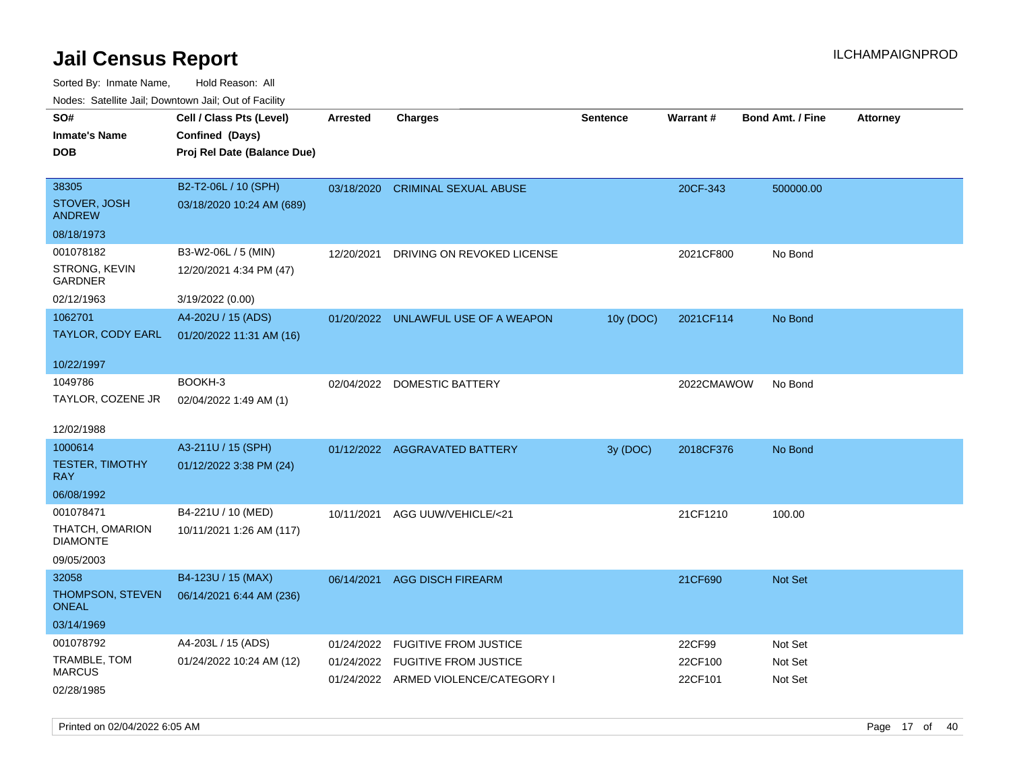Sorted By: Inmate Name, Hold Reason: All Nodes: Satellite Jail; Downtown Jail; Out of Facility

| rougs. Calcing Jan, Downtown Jan, Out of Facility |                             |                 |                                      |                 |                 |                         |                 |
|---------------------------------------------------|-----------------------------|-----------------|--------------------------------------|-----------------|-----------------|-------------------------|-----------------|
| SO#                                               | Cell / Class Pts (Level)    | <b>Arrested</b> | <b>Charges</b>                       | <b>Sentence</b> | <b>Warrant#</b> | <b>Bond Amt. / Fine</b> | <b>Attorney</b> |
| <b>Inmate's Name</b>                              | Confined (Days)             |                 |                                      |                 |                 |                         |                 |
| <b>DOB</b>                                        | Proj Rel Date (Balance Due) |                 |                                      |                 |                 |                         |                 |
|                                                   |                             |                 |                                      |                 |                 |                         |                 |
| 38305                                             | B2-T2-06L / 10 (SPH)        |                 | 03/18/2020 CRIMINAL SEXUAL ABUSE     |                 | 20CF-343        | 500000.00               |                 |
| STOVER, JOSH<br><b>ANDREW</b>                     | 03/18/2020 10:24 AM (689)   |                 |                                      |                 |                 |                         |                 |
| 08/18/1973                                        |                             |                 |                                      |                 |                 |                         |                 |
| 001078182                                         | B3-W2-06L / 5 (MIN)         | 12/20/2021      | DRIVING ON REVOKED LICENSE           |                 | 2021CF800       | No Bond                 |                 |
| STRONG, KEVIN<br>GARDNER                          | 12/20/2021 4:34 PM (47)     |                 |                                      |                 |                 |                         |                 |
| 02/12/1963                                        | 3/19/2022 (0.00)            |                 |                                      |                 |                 |                         |                 |
| 1062701                                           | A4-202U / 15 (ADS)          |                 | 01/20/2022 UNLAWFUL USE OF A WEAPON  | 10y (DOC)       | 2021CF114       | No Bond                 |                 |
| TAYLOR, CODY EARL                                 | 01/20/2022 11:31 AM (16)    |                 |                                      |                 |                 |                         |                 |
|                                                   |                             |                 |                                      |                 |                 |                         |                 |
| 10/22/1997                                        |                             |                 |                                      |                 |                 |                         |                 |
| 1049786                                           | BOOKH-3                     |                 | 02/04/2022 DOMESTIC BATTERY          |                 | 2022CMAWOW      | No Bond                 |                 |
| TAYLOR, COZENE JR                                 | 02/04/2022 1:49 AM (1)      |                 |                                      |                 |                 |                         |                 |
|                                                   |                             |                 |                                      |                 |                 |                         |                 |
| 12/02/1988                                        |                             |                 |                                      |                 |                 |                         |                 |
| 1000614                                           | A3-211U / 15 (SPH)          |                 | 01/12/2022 AGGRAVATED BATTERY        | 3y (DOC)        | 2018CF376       | No Bond                 |                 |
| <b>TESTER, TIMOTHY</b><br><b>RAY</b>              | 01/12/2022 3:38 PM (24)     |                 |                                      |                 |                 |                         |                 |
| 06/08/1992                                        |                             |                 |                                      |                 |                 |                         |                 |
| 001078471                                         | B4-221U / 10 (MED)          | 10/11/2021      | AGG UUW/VEHICLE/<21                  |                 | 21CF1210        | 100.00                  |                 |
| THATCH, OMARION                                   | 10/11/2021 1:26 AM (117)    |                 |                                      |                 |                 |                         |                 |
| <b>DIAMONTE</b>                                   |                             |                 |                                      |                 |                 |                         |                 |
| 09/05/2003                                        |                             |                 |                                      |                 |                 |                         |                 |
| 32058                                             | B4-123U / 15 (MAX)          | 06/14/2021      | <b>AGG DISCH FIREARM</b>             |                 | 21CF690         | <b>Not Set</b>          |                 |
| THOMPSON, STEVEN                                  | 06/14/2021 6:44 AM (236)    |                 |                                      |                 |                 |                         |                 |
| <b>ONEAL</b>                                      |                             |                 |                                      |                 |                 |                         |                 |
| 03/14/1969                                        |                             |                 |                                      |                 |                 |                         |                 |
| 001078792                                         | A4-203L / 15 (ADS)          | 01/24/2022      | <b>FUGITIVE FROM JUSTICE</b>         |                 | 22CF99          | Not Set                 |                 |
| TRAMBLE, TOM                                      | 01/24/2022 10:24 AM (12)    |                 | 01/24/2022 FUGITIVE FROM JUSTICE     |                 | 22CF100         | Not Set                 |                 |
| <b>MARCUS</b>                                     |                             |                 | 01/24/2022 ARMED VIOLENCE/CATEGORY I |                 | 22CF101         | Not Set                 |                 |
| 02/28/1985                                        |                             |                 |                                      |                 |                 |                         |                 |

Printed on 02/04/2022 6:05 AM Page 17 of 40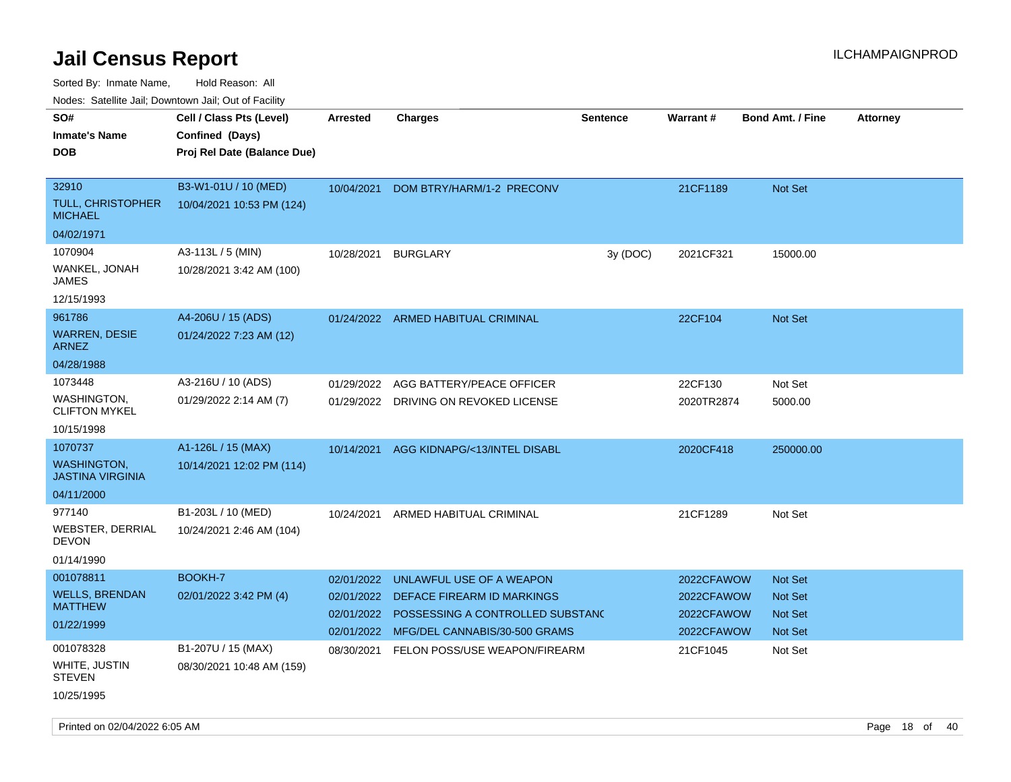Sorted By: Inmate Name, Hold Reason: All

Nodes: Satellite Jail; Downtown Jail; Out of Facility

| ivoues. Salellite Jali, Downtown Jali, Out of Facility |                             |                 |                                       |                 |            |                         |                 |
|--------------------------------------------------------|-----------------------------|-----------------|---------------------------------------|-----------------|------------|-------------------------|-----------------|
| SO#                                                    | Cell / Class Pts (Level)    | <b>Arrested</b> | <b>Charges</b>                        | <b>Sentence</b> | Warrant#   | <b>Bond Amt. / Fine</b> | <b>Attorney</b> |
| <b>Inmate's Name</b>                                   | Confined (Days)             |                 |                                       |                 |            |                         |                 |
| <b>DOB</b>                                             | Proj Rel Date (Balance Due) |                 |                                       |                 |            |                         |                 |
|                                                        |                             |                 |                                       |                 |            |                         |                 |
| 32910                                                  | B3-W1-01U / 10 (MED)        | 10/04/2021      | DOM BTRY/HARM/1-2 PRECONV             |                 | 21CF1189   | Not Set                 |                 |
| TULL, CHRISTOPHER<br><b>MICHAEL</b>                    | 10/04/2021 10:53 PM (124)   |                 |                                       |                 |            |                         |                 |
| 04/02/1971                                             |                             |                 |                                       |                 |            |                         |                 |
| 1070904                                                | A3-113L / 5 (MIN)           | 10/28/2021      | <b>BURGLARY</b>                       | 3y (DOC)        | 2021CF321  | 15000.00                |                 |
| WANKEL, JONAH<br><b>JAMES</b>                          | 10/28/2021 3:42 AM (100)    |                 |                                       |                 |            |                         |                 |
| 12/15/1993                                             |                             |                 |                                       |                 |            |                         |                 |
| 961786                                                 | A4-206U / 15 (ADS)          |                 | 01/24/2022 ARMED HABITUAL CRIMINAL    |                 | 22CF104    | <b>Not Set</b>          |                 |
| <b>WARREN, DESIE</b><br><b>ARNEZ</b>                   | 01/24/2022 7:23 AM (12)     |                 |                                       |                 |            |                         |                 |
| 04/28/1988                                             |                             |                 |                                       |                 |            |                         |                 |
| 1073448                                                | A3-216U / 10 (ADS)          | 01/29/2022      | AGG BATTERY/PEACE OFFICER             |                 | 22CF130    | Not Set                 |                 |
| <b>WASHINGTON,</b><br><b>CLIFTON MYKEL</b>             | 01/29/2022 2:14 AM (7)      |                 | 01/29/2022 DRIVING ON REVOKED LICENSE |                 | 2020TR2874 | 5000.00                 |                 |
| 10/15/1998                                             |                             |                 |                                       |                 |            |                         |                 |
| 1070737                                                | A1-126L / 15 (MAX)          | 10/14/2021      | AGG KIDNAPG/<13/INTEL DISABL          |                 | 2020CF418  | 250000.00               |                 |
| <b>WASHINGTON,</b><br><b>JASTINA VIRGINIA</b>          | 10/14/2021 12:02 PM (114)   |                 |                                       |                 |            |                         |                 |
| 04/11/2000                                             |                             |                 |                                       |                 |            |                         |                 |
| 977140                                                 | B1-203L / 10 (MED)          | 10/24/2021      | ARMED HABITUAL CRIMINAL               |                 | 21CF1289   | Not Set                 |                 |
| WEBSTER, DERRIAL<br><b>DEVON</b>                       | 10/24/2021 2:46 AM (104)    |                 |                                       |                 |            |                         |                 |
| 01/14/1990                                             |                             |                 |                                       |                 |            |                         |                 |
| 001078811                                              | BOOKH-7                     | 02/01/2022      | UNLAWFUL USE OF A WEAPON              |                 | 2022CFAWOW | Not Set                 |                 |
| <b>WELLS, BRENDAN</b>                                  | 02/01/2022 3:42 PM (4)      | 02/01/2022      | DEFACE FIREARM ID MARKINGS            |                 | 2022CFAWOW | <b>Not Set</b>          |                 |
| <b>MATTHEW</b>                                         |                             | 02/01/2022      | POSSESSING A CONTROLLED SUBSTANC      |                 | 2022CFAWOW | <b>Not Set</b>          |                 |
| 01/22/1999                                             |                             | 02/01/2022      | MFG/DEL CANNABIS/30-500 GRAMS         |                 | 2022CFAWOW | Not Set                 |                 |
| 001078328                                              | B1-207U / 15 (MAX)          | 08/30/2021      | FELON POSS/USE WEAPON/FIREARM         |                 | 21CF1045   | Not Set                 |                 |
| WHITE, JUSTIN<br><b>STEVEN</b>                         | 08/30/2021 10:48 AM (159)   |                 |                                       |                 |            |                         |                 |
| 10/25/1995                                             |                             |                 |                                       |                 |            |                         |                 |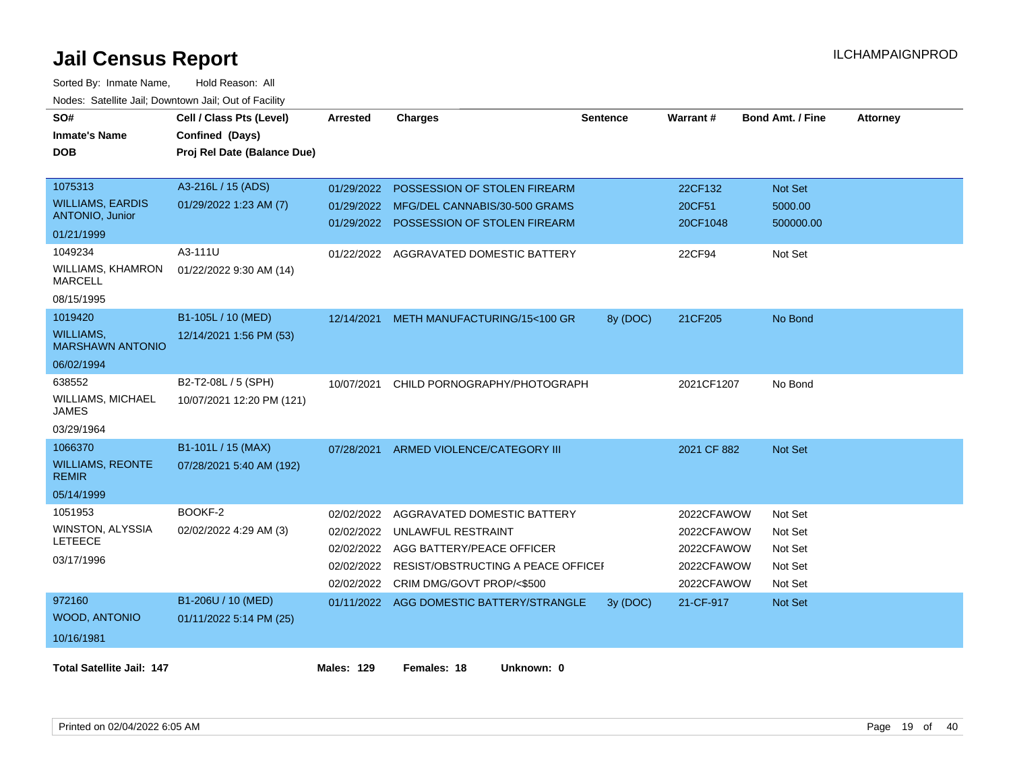| SO#<br><b>Inmate's Name</b><br><b>DOB</b>         | Cell / Class Pts (Level)<br>Confined (Days)<br>Proj Rel Date (Balance Due) | <b>Arrested</b>          | <b>Charges</b>                                                | <b>Sentence</b> | Warrant#           | <b>Bond Amt. / Fine</b> | <b>Attorney</b> |
|---------------------------------------------------|----------------------------------------------------------------------------|--------------------------|---------------------------------------------------------------|-----------------|--------------------|-------------------------|-----------------|
| 1075313                                           | A3-216L / 15 (ADS)                                                         | 01/29/2022               | POSSESSION OF STOLEN FIREARM                                  |                 | 22CF132            | Not Set                 |                 |
| <b>WILLIAMS, EARDIS</b><br><b>ANTONIO, Junior</b> | 01/29/2022 1:23 AM (7)                                                     | 01/29/2022<br>01/29/2022 | MFG/DEL CANNABIS/30-500 GRAMS<br>POSSESSION OF STOLEN FIREARM |                 | 20CF51<br>20CF1048 | 5000.00<br>500000.00    |                 |
| 01/21/1999                                        |                                                                            |                          |                                                               |                 |                    |                         |                 |
| 1049234                                           | A3-111U                                                                    |                          | 01/22/2022 AGGRAVATED DOMESTIC BATTERY                        |                 | 22CF94             | Not Set                 |                 |
| <b>WILLIAMS, KHAMRON</b><br><b>MARCELL</b>        | 01/22/2022 9:30 AM (14)                                                    |                          |                                                               |                 |                    |                         |                 |
| 08/15/1995                                        |                                                                            |                          |                                                               |                 |                    |                         |                 |
| 1019420                                           | B1-105L / 10 (MED)                                                         | 12/14/2021               | METH MANUFACTURING/15<100 GR                                  | 8y (DOC)        | 21CF205            | No Bond                 |                 |
| <b>WILLIAMS,</b><br><b>MARSHAWN ANTONIO</b>       | 12/14/2021 1:56 PM (53)                                                    |                          |                                                               |                 |                    |                         |                 |
| 06/02/1994                                        |                                                                            |                          |                                                               |                 |                    |                         |                 |
| 638552                                            | B2-T2-08L / 5 (SPH)                                                        | 10/07/2021               | CHILD PORNOGRAPHY/PHOTOGRAPH                                  |                 | 2021CF1207         | No Bond                 |                 |
| <b>WILLIAMS, MICHAEL</b><br><b>JAMES</b>          | 10/07/2021 12:20 PM (121)                                                  |                          |                                                               |                 |                    |                         |                 |
| 03/29/1964                                        |                                                                            |                          |                                                               |                 |                    |                         |                 |
| 1066370                                           | B1-101L / 15 (MAX)                                                         | 07/28/2021               | ARMED VIOLENCE/CATEGORY III                                   |                 | 2021 CF 882        | Not Set                 |                 |
| <b>WILLIAMS, REONTE</b><br><b>REMIR</b>           | 07/28/2021 5:40 AM (192)                                                   |                          |                                                               |                 |                    |                         |                 |
| 05/14/1999                                        |                                                                            |                          |                                                               |                 |                    |                         |                 |
| 1051953                                           | BOOKF-2                                                                    | 02/02/2022               | AGGRAVATED DOMESTIC BATTERY                                   |                 | 2022CFAWOW         | Not Set                 |                 |
| <b>WINSTON, ALYSSIA</b>                           | 02/02/2022 4:29 AM (3)                                                     | 02/02/2022               | UNLAWFUL RESTRAINT                                            |                 | 2022CFAWOW         | Not Set                 |                 |
| <b>LETEECE</b>                                    |                                                                            | 02/02/2022               | AGG BATTERY/PEACE OFFICER                                     |                 | 2022CFAWOW         | Not Set                 |                 |
| 03/17/1996                                        |                                                                            | 02/02/2022               | RESIST/OBSTRUCTING A PEACE OFFICEI                            |                 | 2022CFAWOW         | Not Set                 |                 |
|                                                   |                                                                            | 02/02/2022               | CRIM DMG/GOVT PROP/<\$500                                     |                 | 2022CFAWOW         | Not Set                 |                 |
| 972160                                            | B1-206U / 10 (MED)                                                         |                          | 01/11/2022 AGG DOMESTIC BATTERY/STRANGLE                      | 3y (DOC)        | 21-CF-917          | Not Set                 |                 |
| <b>WOOD, ANTONIO</b>                              | 01/11/2022 5:14 PM (25)                                                    |                          |                                                               |                 |                    |                         |                 |
| 10/16/1981                                        |                                                                            |                          |                                                               |                 |                    |                         |                 |
| <b>Total Satellite Jail: 147</b>                  |                                                                            | <b>Males: 129</b>        | Females: 18<br>Unknown: 0                                     |                 |                    |                         |                 |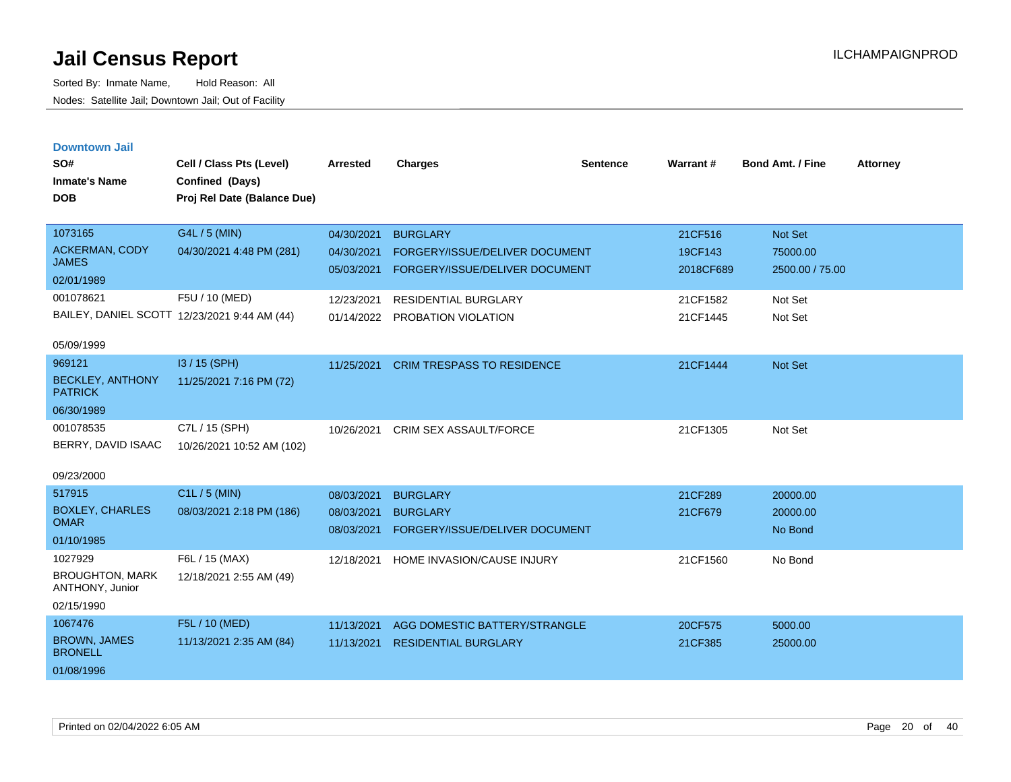| <b>Downtown Jail</b><br>SO#               | Cell / Class Pts (Level)                     | <b>Arrested</b> | <b>Charges</b>                    | <b>Sentence</b> | Warrant#  | <b>Bond Amt. / Fine</b> | <b>Attorney</b> |
|-------------------------------------------|----------------------------------------------|-----------------|-----------------------------------|-----------------|-----------|-------------------------|-----------------|
| <b>Inmate's Name</b>                      | Confined (Days)                              |                 |                                   |                 |           |                         |                 |
| <b>DOB</b>                                | Proj Rel Date (Balance Due)                  |                 |                                   |                 |           |                         |                 |
|                                           |                                              |                 |                                   |                 |           |                         |                 |
| 1073165                                   | G4L / 5 (MIN)                                | 04/30/2021      | <b>BURGLARY</b>                   |                 | 21CF516   | <b>Not Set</b>          |                 |
| ACKERMAN, CODY<br><b>JAMES</b>            | 04/30/2021 4:48 PM (281)                     | 04/30/2021      | FORGERY/ISSUE/DELIVER DOCUMENT    |                 | 19CF143   | 75000.00                |                 |
| 02/01/1989                                |                                              | 05/03/2021      | FORGERY/ISSUE/DELIVER DOCUMENT    |                 | 2018CF689 | 2500.00 / 75.00         |                 |
| 001078621                                 | F5U / 10 (MED)                               | 12/23/2021      | <b>RESIDENTIAL BURGLARY</b>       |                 | 21CF1582  | Not Set                 |                 |
|                                           | BAILEY, DANIEL SCOTT 12/23/2021 9:44 AM (44) | 01/14/2022      | PROBATION VIOLATION               |                 | 21CF1445  | Not Set                 |                 |
|                                           |                                              |                 |                                   |                 |           |                         |                 |
| 05/09/1999                                |                                              |                 |                                   |                 |           |                         |                 |
| 969121                                    | I3 / 15 (SPH)                                | 11/25/2021      | <b>CRIM TRESPASS TO RESIDENCE</b> |                 | 21CF1444  | <b>Not Set</b>          |                 |
| <b>BECKLEY, ANTHONY</b><br><b>PATRICK</b> | 11/25/2021 7:16 PM (72)                      |                 |                                   |                 |           |                         |                 |
| 06/30/1989                                |                                              |                 |                                   |                 |           |                         |                 |
| 001078535                                 | C7L / 15 (SPH)                               | 10/26/2021      | <b>CRIM SEX ASSAULT/FORCE</b>     |                 | 21CF1305  | Not Set                 |                 |
| BERRY, DAVID ISAAC                        | 10/26/2021 10:52 AM (102)                    |                 |                                   |                 |           |                         |                 |
| 09/23/2000                                |                                              |                 |                                   |                 |           |                         |                 |
| 517915                                    | $C1L / 5$ (MIN)                              | 08/03/2021      | <b>BURGLARY</b>                   |                 | 21CF289   | 20000.00                |                 |
| <b>BOXLEY, CHARLES</b>                    | 08/03/2021 2:18 PM (186)                     | 08/03/2021      | <b>BURGLARY</b>                   |                 | 21CF679   | 20000.00                |                 |
| <b>OMAR</b>                               |                                              | 08/03/2021      | FORGERY/ISSUE/DELIVER DOCUMENT    |                 |           | No Bond                 |                 |
| 01/10/1985<br>1027929                     |                                              |                 |                                   |                 |           |                         |                 |
| <b>BROUGHTON, MARK</b>                    | F6L / 15 (MAX)<br>12/18/2021 2:55 AM (49)    | 12/18/2021      | HOME INVASION/CAUSE INJURY        |                 | 21CF1560  | No Bond                 |                 |
| ANTHONY, Junior                           |                                              |                 |                                   |                 |           |                         |                 |
| 02/15/1990                                |                                              |                 |                                   |                 |           |                         |                 |
| 1067476                                   | F5L / 10 (MED)                               | 11/13/2021      | AGG DOMESTIC BATTERY/STRANGLE     |                 | 20CF575   | 5000.00                 |                 |
| <b>BROWN, JAMES</b><br><b>BRONELL</b>     | 11/13/2021 2:35 AM (84)                      | 11/13/2021      | <b>RESIDENTIAL BURGLARY</b>       |                 | 21CF385   | 25000.00                |                 |
| 01/08/1996                                |                                              |                 |                                   |                 |           |                         |                 |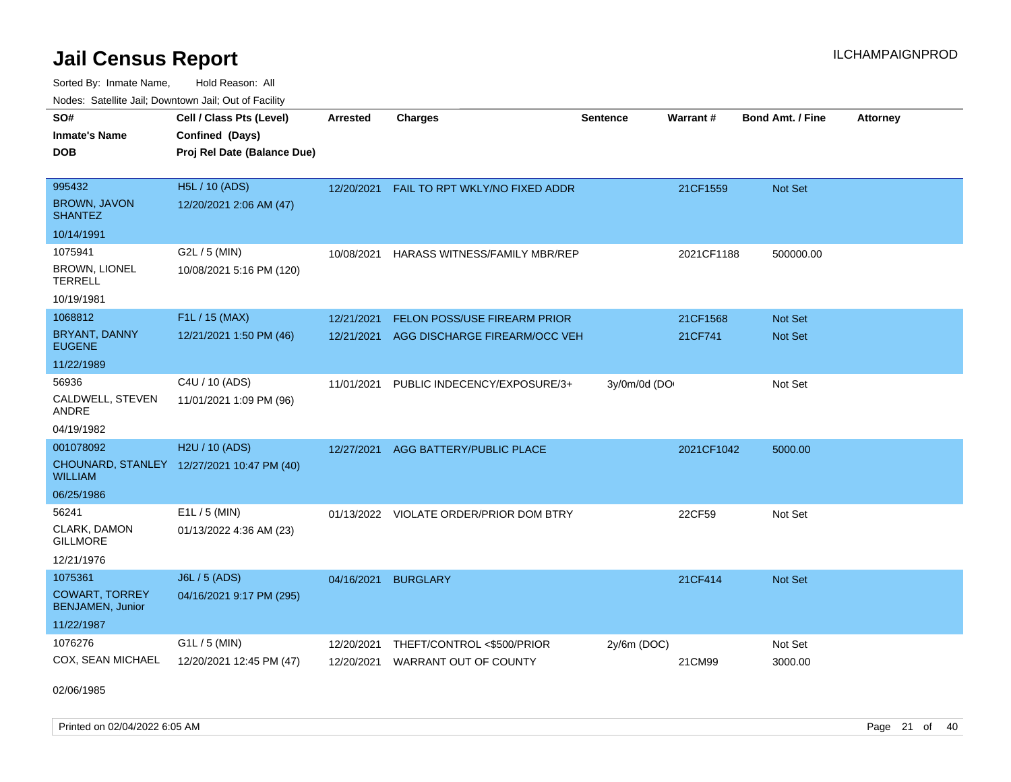Sorted By: Inmate Name, Hold Reason: All

| Nodes: Satellite Jail; Downtown Jail; Out of Facility |                                            |                 |                                       |                 |            |                  |                 |
|-------------------------------------------------------|--------------------------------------------|-----------------|---------------------------------------|-----------------|------------|------------------|-----------------|
| SO#                                                   | Cell / Class Pts (Level)                   | <b>Arrested</b> | <b>Charges</b>                        | <b>Sentence</b> | Warrant#   | Bond Amt. / Fine | <b>Attorney</b> |
| <b>Inmate's Name</b>                                  | Confined (Days)                            |                 |                                       |                 |            |                  |                 |
| <b>DOB</b>                                            | Proj Rel Date (Balance Due)                |                 |                                       |                 |            |                  |                 |
|                                                       |                                            |                 |                                       |                 |            |                  |                 |
| 995432                                                | H5L / 10 (ADS)                             | 12/20/2021      | <b>FAIL TO RPT WKLY/NO FIXED ADDR</b> |                 | 21CF1559   | Not Set          |                 |
| <b>BROWN, JAVON</b><br><b>SHANTEZ</b>                 | 12/20/2021 2:06 AM (47)                    |                 |                                       |                 |            |                  |                 |
| 10/14/1991                                            |                                            |                 |                                       |                 |            |                  |                 |
| 1075941                                               | G2L / 5 (MIN)                              | 10/08/2021      | <b>HARASS WITNESS/FAMILY MBR/REP</b>  |                 | 2021CF1188 | 500000.00        |                 |
| <b>BROWN, LIONEL</b><br><b>TERRELL</b>                | 10/08/2021 5:16 PM (120)                   |                 |                                       |                 |            |                  |                 |
| 10/19/1981                                            |                                            |                 |                                       |                 |            |                  |                 |
| 1068812                                               | F1L / 15 (MAX)                             | 12/21/2021      | <b>FELON POSS/USE FIREARM PRIOR</b>   |                 | 21CF1568   | <b>Not Set</b>   |                 |
| BRYANT, DANNY<br><b>EUGENE</b>                        | 12/21/2021 1:50 PM (46)                    | 12/21/2021      | AGG DISCHARGE FIREARM/OCC VEH         |                 | 21CF741    | Not Set          |                 |
| 11/22/1989                                            |                                            |                 |                                       |                 |            |                  |                 |
| 56936                                                 | C4U / 10 (ADS)                             | 11/01/2021      | PUBLIC INDECENCY/EXPOSURE/3+          | 3y/0m/0d (DO    |            | Not Set          |                 |
| CALDWELL, STEVEN<br>ANDRE                             | 11/01/2021 1:09 PM (96)                    |                 |                                       |                 |            |                  |                 |
| 04/19/1982                                            |                                            |                 |                                       |                 |            |                  |                 |
| 001078092                                             | H <sub>2</sub> U / 10 (ADS)                | 12/27/2021      | <b>AGG BATTERY/PUBLIC PLACE</b>       |                 | 2021CF1042 | 5000.00          |                 |
| <b>WILLIAM</b>                                        | CHOUNARD, STANLEY 12/27/2021 10:47 PM (40) |                 |                                       |                 |            |                  |                 |
| 06/25/1986                                            |                                            |                 |                                       |                 |            |                  |                 |
| 56241                                                 | $E1L / 5$ (MIN)                            | 01/13/2022      | VIOLATE ORDER/PRIOR DOM BTRY          |                 | 22CF59     | Not Set          |                 |
| CLARK, DAMON<br><b>GILLMORE</b>                       | 01/13/2022 4:36 AM (23)                    |                 |                                       |                 |            |                  |                 |
| 12/21/1976                                            |                                            |                 |                                       |                 |            |                  |                 |
| 1075361                                               | <b>J6L / 5 (ADS)</b>                       | 04/16/2021      | <b>BURGLARY</b>                       |                 | 21CF414    | <b>Not Set</b>   |                 |
| <b>COWART, TORREY</b><br><b>BENJAMEN, Junior</b>      | 04/16/2021 9:17 PM (295)                   |                 |                                       |                 |            |                  |                 |
| 11/22/1987                                            |                                            |                 |                                       |                 |            |                  |                 |
| 1076276                                               | G1L / 5 (MIN)                              | 12/20/2021      | THEFT/CONTROL <\$500/PRIOR            | $2y/6m$ (DOC)   |            | Not Set          |                 |
| COX, SEAN MICHAEL                                     | 12/20/2021 12:45 PM (47)                   | 12/20/2021      | WARRANT OUT OF COUNTY                 |                 | 21CM99     | 3000.00          |                 |

02/06/1985

Printed on 02/04/2022 6:05 AM Page 21 of 40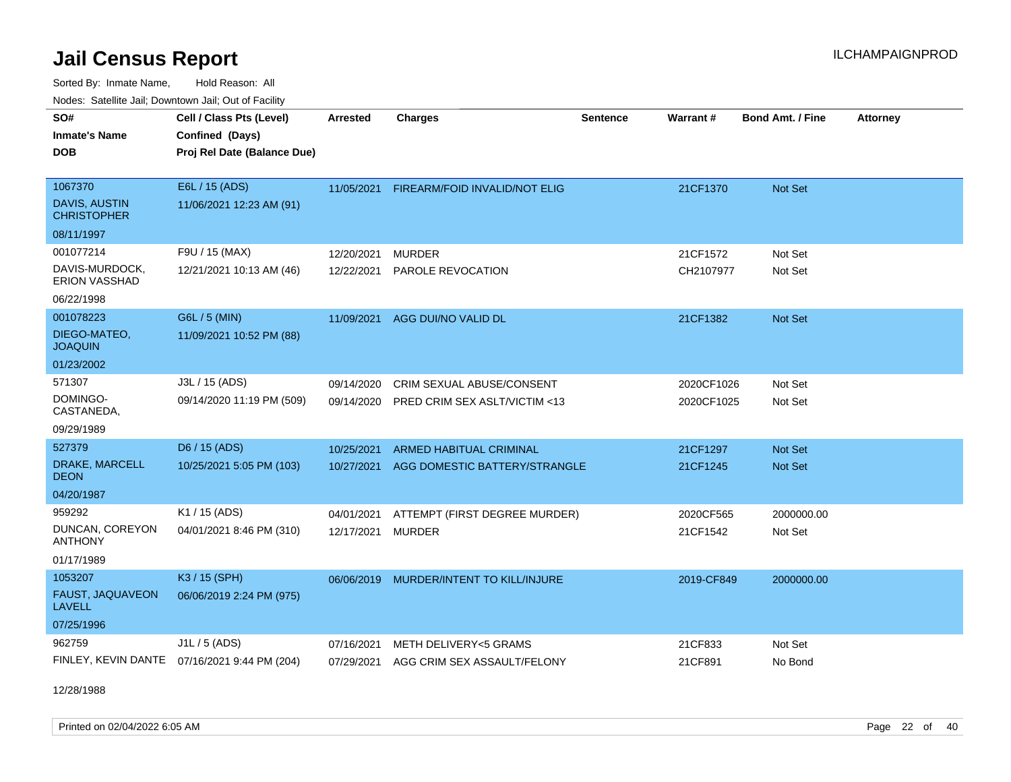Sorted By: Inmate Name, Hold Reason: All Nodes: Satellite Jail; Downtown Jail; Out of Facility

| SO#<br><b>Inmate's Name</b><br><b>DOB</b>      | Cell / Class Pts (Level)<br>Confined (Days)<br>Proj Rel Date (Balance Due) | <b>Arrested</b> | <b>Charges</b>                 | <b>Sentence</b> | Warrant#   | <b>Bond Amt. / Fine</b> | <b>Attorney</b> |
|------------------------------------------------|----------------------------------------------------------------------------|-----------------|--------------------------------|-----------------|------------|-------------------------|-----------------|
| 1067370<br>DAVIS, AUSTIN<br><b>CHRISTOPHER</b> | E6L / 15 (ADS)<br>11/06/2021 12:23 AM (91)                                 | 11/05/2021      | FIREARM/FOID INVALID/NOT ELIG  |                 | 21CF1370   | Not Set                 |                 |
| 08/11/1997                                     |                                                                            |                 |                                |                 |            |                         |                 |
| 001077214                                      | F9U / 15 (MAX)                                                             | 12/20/2021      | <b>MURDER</b>                  |                 | 21CF1572   | Not Set                 |                 |
| DAVIS-MURDOCK,<br><b>ERION VASSHAD</b>         | 12/21/2021 10:13 AM (46)                                                   | 12/22/2021      | PAROLE REVOCATION              |                 | CH2107977  | Not Set                 |                 |
| 06/22/1998                                     |                                                                            |                 |                                |                 |            |                         |                 |
| 001078223                                      | G6L / 5 (MIN)                                                              | 11/09/2021      | AGG DUI/NO VALID DL            |                 | 21CF1382   | Not Set                 |                 |
| DIEGO-MATEO,<br><b>JOAQUIN</b>                 | 11/09/2021 10:52 PM (88)                                                   |                 |                                |                 |            |                         |                 |
| 01/23/2002                                     |                                                                            |                 |                                |                 |            |                         |                 |
| 571307                                         | J3L / 15 (ADS)                                                             | 09/14/2020      | CRIM SEXUAL ABUSE/CONSENT      |                 | 2020CF1026 | Not Set                 |                 |
| DOMINGO-<br>CASTANEDA,                         | 09/14/2020 11:19 PM (509)                                                  | 09/14/2020      | PRED CRIM SEX ASLT/VICTIM <13  |                 | 2020CF1025 | Not Set                 |                 |
| 09/29/1989                                     |                                                                            |                 |                                |                 |            |                         |                 |
| 527379                                         | D6 / 15 (ADS)                                                              | 10/25/2021      | <b>ARMED HABITUAL CRIMINAL</b> |                 | 21CF1297   | Not Set                 |                 |
| DRAKE, MARCELL<br><b>DEON</b>                  | 10/25/2021 5:05 PM (103)                                                   | 10/27/2021      | AGG DOMESTIC BATTERY/STRANGLE  |                 | 21CF1245   | Not Set                 |                 |
| 04/20/1987                                     |                                                                            |                 |                                |                 |            |                         |                 |
| 959292                                         | K1 / 15 (ADS)                                                              | 04/01/2021      | ATTEMPT (FIRST DEGREE MURDER)  |                 | 2020CF565  | 2000000.00              |                 |
| DUNCAN, COREYON<br><b>ANTHONY</b>              | 04/01/2021 8:46 PM (310)                                                   | 12/17/2021      | <b>MURDER</b>                  |                 | 21CF1542   | Not Set                 |                 |
| 01/17/1989                                     |                                                                            |                 |                                |                 |            |                         |                 |
| 1053207                                        | K3 / 15 (SPH)                                                              | 06/06/2019      | MURDER/INTENT TO KILL/INJURE   |                 | 2019-CF849 | 2000000.00              |                 |
| FAUST, JAQUAVEON<br><b>LAVELL</b>              | 06/06/2019 2:24 PM (975)                                                   |                 |                                |                 |            |                         |                 |
| 07/25/1996                                     |                                                                            |                 |                                |                 |            |                         |                 |
| 962759                                         | $J1L / 5$ (ADS)                                                            | 07/16/2021      | METH DELIVERY<5 GRAMS          |                 | 21CF833    | Not Set                 |                 |
| FINLEY, KEVIN DANTE                            | 07/16/2021 9:44 PM (204)                                                   | 07/29/2021      | AGG CRIM SEX ASSAULT/FELONY    |                 | 21CF891    | No Bond                 |                 |

12/28/1988

Printed on 02/04/2022 6:05 AM Page 22 of 40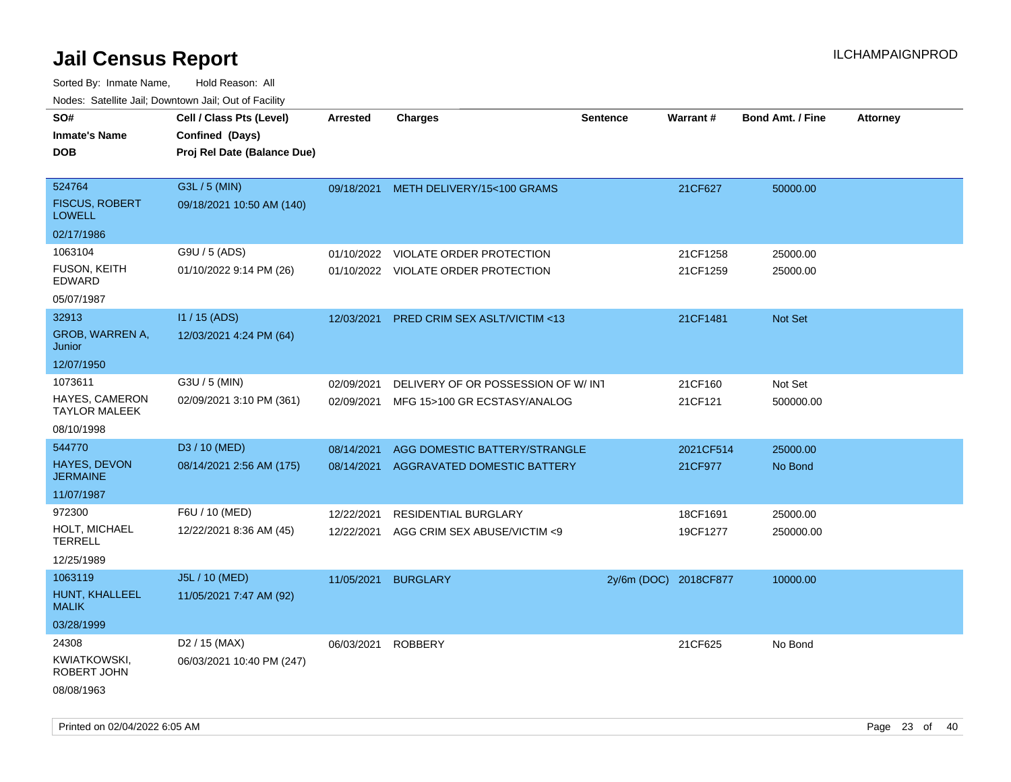| ivouss. Satellite Jali, Downtown Jali, Out of Facility        |                                                                            |                          |                                                                    |                       |                      |                         |                 |
|---------------------------------------------------------------|----------------------------------------------------------------------------|--------------------------|--------------------------------------------------------------------|-----------------------|----------------------|-------------------------|-----------------|
| SO#<br>Inmate's Name<br><b>DOB</b>                            | Cell / Class Pts (Level)<br>Confined (Days)<br>Proj Rel Date (Balance Due) | <b>Arrested</b>          | <b>Charges</b>                                                     | <b>Sentence</b>       | Warrant#             | <b>Bond Amt. / Fine</b> | <b>Attorney</b> |
| 524764<br><b>FISCUS, ROBERT</b><br>LOWELL                     | G3L / 5 (MIN)<br>09/18/2021 10:50 AM (140)                                 | 09/18/2021               | METH DELIVERY/15<100 GRAMS                                         |                       | 21CF627              | 50000.00                |                 |
| 02/17/1986<br>1063104<br>FUSON, KEITH<br>EDWARD<br>05/07/1987 | G9U / 5 (ADS)<br>01/10/2022 9:14 PM (26)                                   | 01/10/2022               | VIOLATE ORDER PROTECTION<br>01/10/2022 VIOLATE ORDER PROTECTION    |                       | 21CF1258<br>21CF1259 | 25000.00<br>25000.00    |                 |
| 32913<br>GROB, WARREN A,<br>Junior<br>12/07/1950              | I1 / 15 (ADS)<br>12/03/2021 4:24 PM (64)                                   | 12/03/2021               | <b>PRED CRIM SEX ASLT/VICTIM &lt;13</b>                            |                       | 21CF1481             | <b>Not Set</b>          |                 |
| 1073611<br>HAYES, CAMERON<br>TAYLOR MALEEK<br>08/10/1998      | G3U / 5 (MIN)<br>02/09/2021 3:10 PM (361)                                  | 02/09/2021<br>02/09/2021 | DELIVERY OF OR POSSESSION OF W/INT<br>MFG 15>100 GR ECSTASY/ANALOG |                       | 21CF160<br>21CF121   | Not Set<br>500000.00    |                 |
| 544770<br>HAYES, DEVON<br>JERMAINE<br>11/07/1987              | D3 / 10 (MED)<br>08/14/2021 2:56 AM (175)                                  | 08/14/2021<br>08/14/2021 | AGG DOMESTIC BATTERY/STRANGLE<br>AGGRAVATED DOMESTIC BATTERY       |                       | 2021CF514<br>21CF977 | 25000.00<br>No Bond     |                 |
| 972300<br>HOLT, MICHAEL<br>TERRELL<br>12/25/1989              | F6U / 10 (MED)<br>12/22/2021 8:36 AM (45)                                  | 12/22/2021<br>12/22/2021 | <b>RESIDENTIAL BURGLARY</b><br>AGG CRIM SEX ABUSE/VICTIM <9        |                       | 18CF1691<br>19CF1277 | 25000.00<br>250000.00   |                 |
| 1063119<br>HUNT, KHALLEEL<br>MALIK<br>03/28/1999              | J5L / 10 (MED)<br>11/05/2021 7:47 AM (92)                                  | 11/05/2021               | <b>BURGLARY</b>                                                    | 2y/6m (DOC) 2018CF877 |                      | 10000.00                |                 |
| 24308<br>KWIATKOWSKI,<br>ROBERT JOHN<br>08/08/1963            | D <sub>2</sub> / 15 (MAX)<br>06/03/2021 10:40 PM (247)                     | 06/03/2021               | <b>ROBBERY</b>                                                     |                       | 21CF625              | No Bond                 |                 |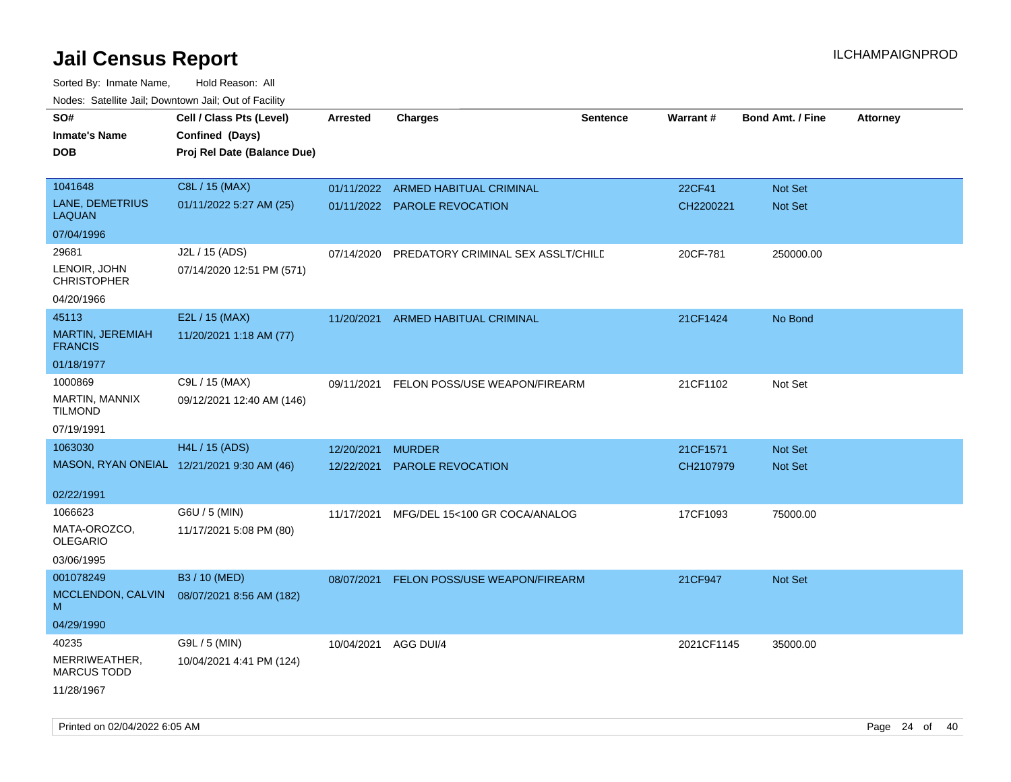| roaco. Catolino dall, Downtown dall, Out of Fability |                                            |                 |                                    |                 |                 |                         |                 |
|------------------------------------------------------|--------------------------------------------|-----------------|------------------------------------|-----------------|-----------------|-------------------------|-----------------|
| SO#                                                  | Cell / Class Pts (Level)                   | <b>Arrested</b> | Charges                            | <b>Sentence</b> | <b>Warrant#</b> | <b>Bond Amt. / Fine</b> | <b>Attorney</b> |
| <b>Inmate's Name</b>                                 | Confined (Days)                            |                 |                                    |                 |                 |                         |                 |
| <b>DOB</b>                                           | Proj Rel Date (Balance Due)                |                 |                                    |                 |                 |                         |                 |
|                                                      |                                            |                 |                                    |                 |                 |                         |                 |
| 1041648                                              | C8L / 15 (MAX)                             |                 | 01/11/2022 ARMED HABITUAL CRIMINAL |                 | 22CF41          | Not Set                 |                 |
| LANE, DEMETRIUS<br><b>LAQUAN</b>                     | 01/11/2022 5:27 AM (25)                    |                 | 01/11/2022 PAROLE REVOCATION       |                 | CH2200221       | Not Set                 |                 |
| 07/04/1996                                           |                                            |                 |                                    |                 |                 |                         |                 |
| 29681                                                | J2L / 15 (ADS)                             | 07/14/2020      | PREDATORY CRIMINAL SEX ASSLT/CHILE |                 | 20CF-781        | 250000.00               |                 |
| LENOIR, JOHN<br><b>CHRISTOPHER</b>                   | 07/14/2020 12:51 PM (571)                  |                 |                                    |                 |                 |                         |                 |
| 04/20/1966                                           |                                            |                 |                                    |                 |                 |                         |                 |
| 45113                                                | E2L / 15 (MAX)                             | 11/20/2021      | ARMED HABITUAL CRIMINAL            |                 | 21CF1424        | No Bond                 |                 |
| MARTIN, JEREMIAH<br><b>FRANCIS</b>                   | 11/20/2021 1:18 AM (77)                    |                 |                                    |                 |                 |                         |                 |
| 01/18/1977                                           |                                            |                 |                                    |                 |                 |                         |                 |
| 1000869                                              | C9L / 15 (MAX)                             | 09/11/2021      | FELON POSS/USE WEAPON/FIREARM      |                 | 21CF1102        | Not Set                 |                 |
| <b>MARTIN, MANNIX</b><br>TILMOND                     | 09/12/2021 12:40 AM (146)                  |                 |                                    |                 |                 |                         |                 |
| 07/19/1991                                           |                                            |                 |                                    |                 |                 |                         |                 |
| 1063030                                              | H4L / 15 (ADS)                             | 12/20/2021      | <b>MURDER</b>                      |                 | 21CF1571        | <b>Not Set</b>          |                 |
|                                                      | MASON, RYAN ONEIAL 12/21/2021 9:30 AM (46) | 12/22/2021      | <b>PAROLE REVOCATION</b>           |                 | CH2107979       | Not Set                 |                 |
| 02/22/1991                                           |                                            |                 |                                    |                 |                 |                         |                 |
| 1066623                                              | G6U / 5 (MIN)                              | 11/17/2021      | MFG/DEL 15<100 GR COCA/ANALOG      |                 | 17CF1093        | 75000.00                |                 |
| MATA-OROZCO.<br>OLEGARIO                             | 11/17/2021 5:08 PM (80)                    |                 |                                    |                 |                 |                         |                 |
| 03/06/1995                                           |                                            |                 |                                    |                 |                 |                         |                 |
| 001078249                                            | B3 / 10 (MED)                              | 08/07/2021      | FELON POSS/USE WEAPON/FIREARM      |                 | 21CF947         | <b>Not Set</b>          |                 |
| MCCLENDON, CALVIN<br>M                               | 08/07/2021 8:56 AM (182)                   |                 |                                    |                 |                 |                         |                 |
| 04/29/1990                                           |                                            |                 |                                    |                 |                 |                         |                 |
| 40235                                                | G9L / 5 (MIN)                              | 10/04/2021      | AGG DUI/4                          |                 | 2021CF1145      | 35000.00                |                 |
| MERRIWEATHER,<br><b>MARCUS TODD</b>                  | 10/04/2021 4:41 PM (124)                   |                 |                                    |                 |                 |                         |                 |
| 11/28/1967                                           |                                            |                 |                                    |                 |                 |                         |                 |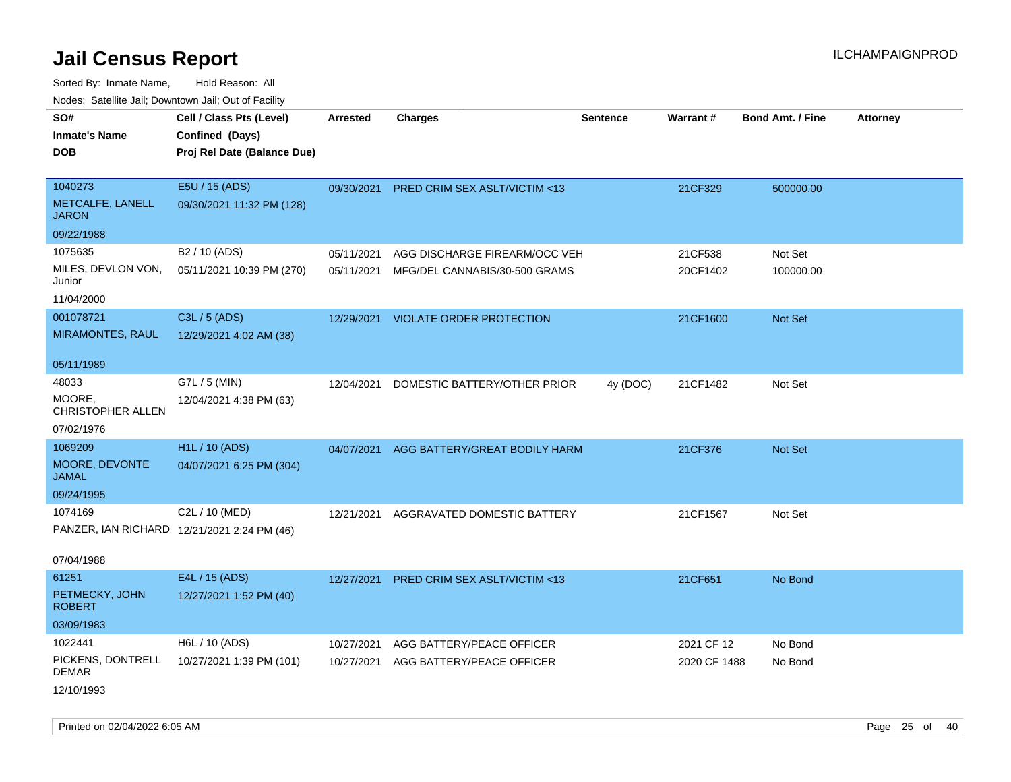Sorted By: Inmate Name, Hold Reason: All Nodes: Satellite Jail; Downtown Jail; Out of Facility

| roacs. Catellite Jall, Downtown Jall, Out of Facility |                                                                            |                          |                                                                |                 |                     |                         |                 |
|-------------------------------------------------------|----------------------------------------------------------------------------|--------------------------|----------------------------------------------------------------|-----------------|---------------------|-------------------------|-----------------|
| SO#<br><b>Inmate's Name</b><br><b>DOB</b>             | Cell / Class Pts (Level)<br>Confined (Days)<br>Proj Rel Date (Balance Due) | <b>Arrested</b>          | <b>Charges</b>                                                 | <b>Sentence</b> | <b>Warrant#</b>     | <b>Bond Amt. / Fine</b> | <b>Attorney</b> |
| 1040273<br>METCALFE, LANELL<br><b>JARON</b>           | E5U / 15 (ADS)<br>09/30/2021 11:32 PM (128)                                | 09/30/2021               | PRED CRIM SEX ASLT/VICTIM <13                                  |                 | 21CF329             | 500000.00               |                 |
| 09/22/1988                                            |                                                                            |                          |                                                                |                 |                     |                         |                 |
| 1075635<br>MILES, DEVLON VON,<br>Junior<br>11/04/2000 | B <sub>2</sub> / 10 (ADS)<br>05/11/2021 10:39 PM (270)                     | 05/11/2021<br>05/11/2021 | AGG DISCHARGE FIREARM/OCC VEH<br>MFG/DEL CANNABIS/30-500 GRAMS |                 | 21CF538<br>20CF1402 | Not Set<br>100000.00    |                 |
| 001078721                                             | C3L / 5 (ADS)                                                              | 12/29/2021               | VIOLATE ORDER PROTECTION                                       |                 | 21CF1600            | Not Set                 |                 |
| <b>MIRAMONTES, RAUL</b>                               | 12/29/2021 4:02 AM (38)                                                    |                          |                                                                |                 |                     |                         |                 |
| 05/11/1989                                            |                                                                            |                          |                                                                |                 |                     |                         |                 |
| 48033<br>MOORE,<br><b>CHRISTOPHER ALLEN</b>           | G7L / 5 (MIN)<br>12/04/2021 4:38 PM (63)                                   | 12/04/2021               | DOMESTIC BATTERY/OTHER PRIOR                                   | 4y (DOC)        | 21CF1482            | Not Set                 |                 |
| 07/02/1976                                            |                                                                            |                          |                                                                |                 |                     |                         |                 |
| 1069209                                               | H <sub>1</sub> L / 10 (ADS)                                                | 04/07/2021               | AGG BATTERY/GREAT BODILY HARM                                  |                 | 21CF376             | Not Set                 |                 |
| MOORE, DEVONTE<br><b>JAMAL</b>                        | 04/07/2021 6:25 PM (304)                                                   |                          |                                                                |                 |                     |                         |                 |
| 09/24/1995                                            |                                                                            |                          |                                                                |                 |                     |                         |                 |
| 1074169                                               | C2L / 10 (MED)                                                             | 12/21/2021               | AGGRAVATED DOMESTIC BATTERY                                    |                 | 21CF1567            | Not Set                 |                 |
|                                                       | PANZER, IAN RICHARD 12/21/2021 2:24 PM (46)                                |                          |                                                                |                 |                     |                         |                 |
| 07/04/1988                                            |                                                                            |                          |                                                                |                 |                     |                         |                 |
| 61251                                                 | E4L / 15 (ADS)                                                             | 12/27/2021               | PRED CRIM SEX ASLT/VICTIM <13                                  |                 | 21CF651             | No Bond                 |                 |
| PETMECKY, JOHN<br><b>ROBERT</b>                       | 12/27/2021 1:52 PM (40)                                                    |                          |                                                                |                 |                     |                         |                 |
| 03/09/1983                                            |                                                                            |                          |                                                                |                 |                     |                         |                 |
| 1022441                                               | H6L / 10 (ADS)                                                             | 10/27/2021               | AGG BATTERY/PEACE OFFICER                                      |                 | 2021 CF 12          | No Bond                 |                 |
| PICKENS, DONTRELL<br><b>DEMAR</b>                     | 10/27/2021 1:39 PM (101)                                                   | 10/27/2021               | AGG BATTERY/PEACE OFFICER                                      |                 | 2020 CF 1488        | No Bond                 |                 |
| 12/10/1993                                            |                                                                            |                          |                                                                |                 |                     |                         |                 |

Printed on 02/04/2022 6:05 AM Page 25 of 40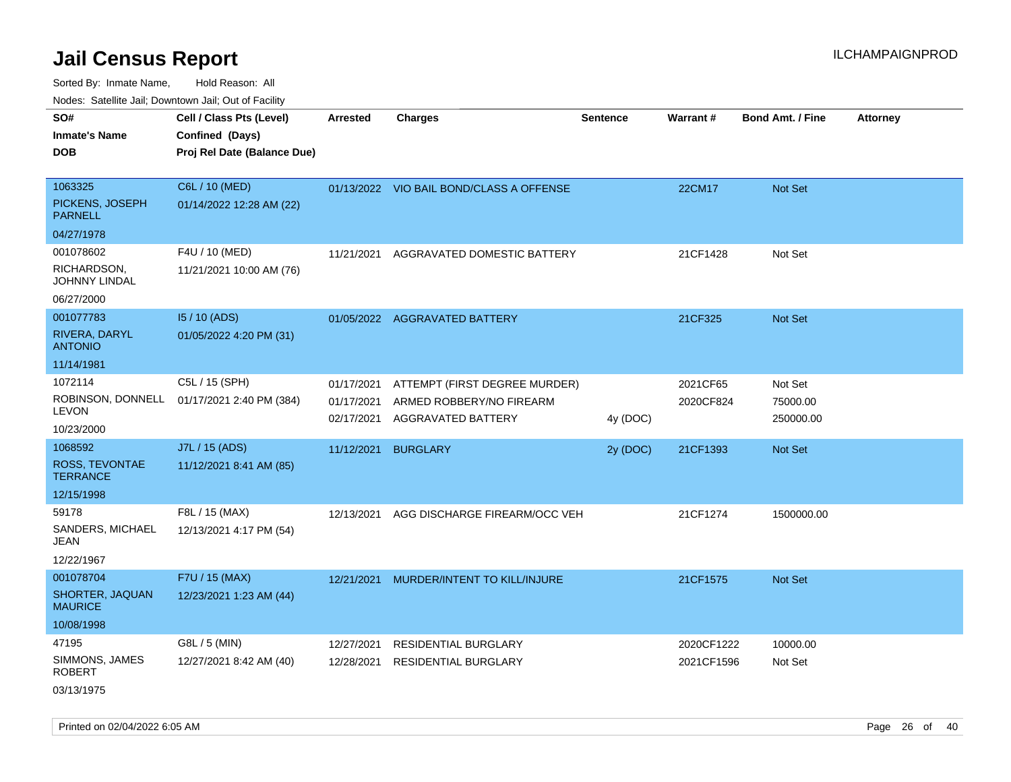Sorted By: Inmate Name, Hold Reason: All Nodes: Satellite Jail; Downtown Jail; Out of Facility

| rouco. Calcinic Jan, Downtown Jan, Out of Facility                    |                                                                            |                                        |                                                                                 |                 |                          |                                  |                 |
|-----------------------------------------------------------------------|----------------------------------------------------------------------------|----------------------------------------|---------------------------------------------------------------------------------|-----------------|--------------------------|----------------------------------|-----------------|
| SO#<br>Inmate's Name<br>DOB                                           | Cell / Class Pts (Level)<br>Confined (Days)<br>Proj Rel Date (Balance Due) | <b>Arrested</b>                        | <b>Charges</b>                                                                  | <b>Sentence</b> | Warrant#                 | <b>Bond Amt. / Fine</b>          | <b>Attorney</b> |
| 1063325<br>PICKENS, JOSEPH<br><b>PARNELL</b>                          | C6L / 10 (MED)<br>01/14/2022 12:28 AM (22)                                 |                                        | 01/13/2022 VIO BAIL BOND/CLASS A OFFENSE                                        |                 | 22CM17                   | Not Set                          |                 |
| 04/27/1978<br>001078602<br>RICHARDSON,<br>JOHNNY LINDAL<br>06/27/2000 | F4U / 10 (MED)<br>11/21/2021 10:00 AM (76)                                 | 11/21/2021                             | AGGRAVATED DOMESTIC BATTERY                                                     |                 | 21CF1428                 | Not Set                          |                 |
| 001077783<br>RIVERA, DARYL<br><b>ANTONIO</b><br>11/14/1981            | 15 / 10 (ADS)<br>01/05/2022 4:20 PM (31)                                   |                                        | 01/05/2022 AGGRAVATED BATTERY                                                   |                 | 21CF325                  | Not Set                          |                 |
| 1072114<br>ROBINSON, DONNELL<br>LEVON<br>10/23/2000                   | C5L / 15 (SPH)<br>01/17/2021 2:40 PM (384)                                 | 01/17/2021<br>01/17/2021<br>02/17/2021 | ATTEMPT (FIRST DEGREE MURDER)<br>ARMED ROBBERY/NO FIREARM<br>AGGRAVATED BATTERY | 4y (DOC)        | 2021CF65<br>2020CF824    | Not Set<br>75000.00<br>250000.00 |                 |
| 1068592<br>ROSS, TEVONTAE<br>TERRANCE<br>12/15/1998                   | J7L / 15 (ADS)<br>11/12/2021 8:41 AM (85)                                  | 11/12/2021                             | <b>BURGLARY</b>                                                                 | 2y (DOC)        | 21CF1393                 | <b>Not Set</b>                   |                 |
| 59178<br>SANDERS, MICHAEL<br>JEAN<br>12/22/1967                       | F8L / 15 (MAX)<br>12/13/2021 4:17 PM (54)                                  | 12/13/2021                             | AGG DISCHARGE FIREARM/OCC VEH                                                   |                 | 21CF1274                 | 1500000.00                       |                 |
| 001078704<br>SHORTER, JAQUAN<br>MAURICE<br>10/08/1998                 | F7U / 15 (MAX)<br>12/23/2021 1:23 AM (44)                                  | 12/21/2021                             | MURDER/INTENT TO KILL/INJURE                                                    |                 | 21CF1575                 | Not Set                          |                 |
| 47195<br>SIMMONS, JAMES<br>ROBERT<br>03/13/1975                       | G8L / 5 (MIN)<br>12/27/2021 8:42 AM (40)                                   | 12/27/2021<br>12/28/2021               | <b>RESIDENTIAL BURGLARY</b><br><b>RESIDENTIAL BURGLARY</b>                      |                 | 2020CF1222<br>2021CF1596 | 10000.00<br>Not Set              |                 |

Printed on 02/04/2022 6:05 AM Page 26 of 40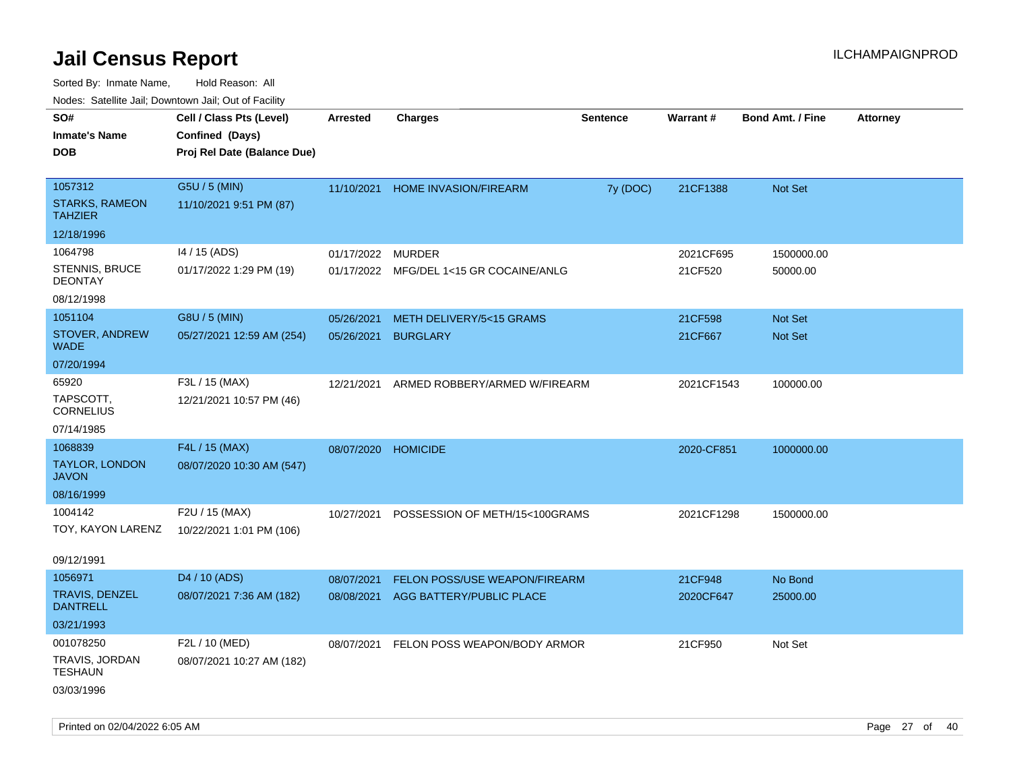| ivuutos. Saltiilit Jall, Duwilluwii Jall, Oul of Facility |                             |                     |                                         |                 |            |                         |                 |
|-----------------------------------------------------------|-----------------------------|---------------------|-----------------------------------------|-----------------|------------|-------------------------|-----------------|
| SO#                                                       | Cell / Class Pts (Level)    | <b>Arrested</b>     | <b>Charges</b>                          | <b>Sentence</b> | Warrant#   | <b>Bond Amt. / Fine</b> | <b>Attorney</b> |
| <b>Inmate's Name</b>                                      | Confined (Days)             |                     |                                         |                 |            |                         |                 |
| <b>DOB</b>                                                | Proj Rel Date (Balance Due) |                     |                                         |                 |            |                         |                 |
|                                                           |                             |                     |                                         |                 |            |                         |                 |
| 1057312                                                   | G5U / 5 (MIN)               | 11/10/2021          | <b>HOME INVASION/FIREARM</b>            | 7y (DOC)        | 21CF1388   | Not Set                 |                 |
| <b>STARKS, RAMEON</b><br><b>TAHZIER</b>                   | 11/10/2021 9:51 PM (87)     |                     |                                         |                 |            |                         |                 |
| 12/18/1996                                                |                             |                     |                                         |                 |            |                         |                 |
| 1064798                                                   | 14 / 15 (ADS)               | 01/17/2022          | <b>MURDER</b>                           |                 | 2021CF695  | 1500000.00              |                 |
| STENNIS, BRUCE<br><b>DEONTAY</b>                          | 01/17/2022 1:29 PM (19)     |                     | 01/17/2022 MFG/DEL 1<15 GR COCAINE/ANLG |                 | 21CF520    | 50000.00                |                 |
| 08/12/1998                                                |                             |                     |                                         |                 |            |                         |                 |
| 1051104                                                   | G8U / 5 (MIN)               | 05/26/2021          | METH DELIVERY/5<15 GRAMS                |                 | 21CF598    | Not Set                 |                 |
| STOVER, ANDREW<br><b>WADE</b>                             | 05/27/2021 12:59 AM (254)   | 05/26/2021          | <b>BURGLARY</b>                         |                 | 21CF667    | Not Set                 |                 |
| 07/20/1994                                                |                             |                     |                                         |                 |            |                         |                 |
| 65920                                                     | F3L / 15 (MAX)              | 12/21/2021          | ARMED ROBBERY/ARMED W/FIREARM           |                 | 2021CF1543 | 100000.00               |                 |
| TAPSCOTT,<br><b>CORNELIUS</b>                             | 12/21/2021 10:57 PM (46)    |                     |                                         |                 |            |                         |                 |
| 07/14/1985                                                |                             |                     |                                         |                 |            |                         |                 |
| 1068839                                                   | F4L / 15 (MAX)              | 08/07/2020 HOMICIDE |                                         |                 | 2020-CF851 | 1000000.00              |                 |
| <b>TAYLOR, LONDON</b><br><b>JAVON</b>                     | 08/07/2020 10:30 AM (547)   |                     |                                         |                 |            |                         |                 |
| 08/16/1999                                                |                             |                     |                                         |                 |            |                         |                 |
| 1004142                                                   | F2U / 15 (MAX)              | 10/27/2021          | POSSESSION OF METH/15<100GRAMS          |                 | 2021CF1298 | 1500000.00              |                 |
| TOY, KAYON LARENZ                                         | 10/22/2021 1:01 PM (106)    |                     |                                         |                 |            |                         |                 |
|                                                           |                             |                     |                                         |                 |            |                         |                 |
| 09/12/1991                                                |                             |                     |                                         |                 |            |                         |                 |
| 1056971                                                   | D4 / 10 (ADS)               | 08/07/2021          | <b>FELON POSS/USE WEAPON/FIREARM</b>    |                 | 21CF948    | No Bond                 |                 |
| <b>TRAVIS, DENZEL</b><br><b>DANTRELL</b>                  | 08/07/2021 7:36 AM (182)    | 08/08/2021          | AGG BATTERY/PUBLIC PLACE                |                 | 2020CF647  | 25000.00                |                 |
| 03/21/1993                                                |                             |                     |                                         |                 |            |                         |                 |
| 001078250                                                 | F2L / 10 (MED)              | 08/07/2021          | FELON POSS WEAPON/BODY ARMOR            |                 | 21CF950    | Not Set                 |                 |
| TRAVIS, JORDAN<br><b>TESHAUN</b>                          | 08/07/2021 10:27 AM (182)   |                     |                                         |                 |            |                         |                 |
| 03/03/1996                                                |                             |                     |                                         |                 |            |                         |                 |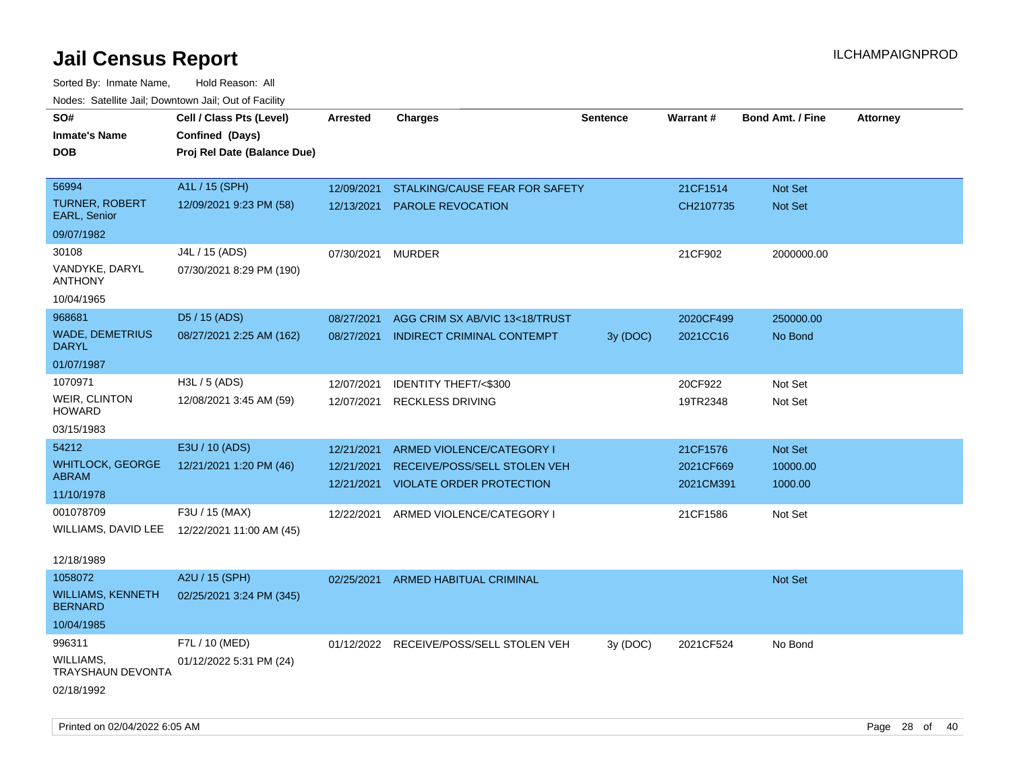| roaco. Catolino dall, Downtown dall, Out of Fability |                                                                            |                 |                                         |                 |           |                         |                 |
|------------------------------------------------------|----------------------------------------------------------------------------|-----------------|-----------------------------------------|-----------------|-----------|-------------------------|-----------------|
| SO#<br><b>Inmate's Name</b><br><b>DOB</b>            | Cell / Class Pts (Level)<br>Confined (Days)<br>Proj Rel Date (Balance Due) | <b>Arrested</b> | <b>Charges</b>                          | <b>Sentence</b> | Warrant#  | <b>Bond Amt. / Fine</b> | <b>Attorney</b> |
|                                                      |                                                                            |                 |                                         |                 |           |                         |                 |
| 56994                                                | A1L / 15 (SPH)                                                             | 12/09/2021      | STALKING/CAUSE FEAR FOR SAFETY          |                 | 21CF1514  | <b>Not Set</b>          |                 |
| <b>TURNER, ROBERT</b><br><b>EARL, Senior</b>         | 12/09/2021 9:23 PM (58)                                                    | 12/13/2021      | <b>PAROLE REVOCATION</b>                |                 | CH2107735 | <b>Not Set</b>          |                 |
| 09/07/1982                                           |                                                                            |                 |                                         |                 |           |                         |                 |
| 30108                                                | J4L / 15 (ADS)                                                             | 07/30/2021      | <b>MURDER</b>                           |                 | 21CF902   | 2000000.00              |                 |
| VANDYKE, DARYL<br><b>ANTHONY</b>                     | 07/30/2021 8:29 PM (190)                                                   |                 |                                         |                 |           |                         |                 |
| 10/04/1965                                           |                                                                            |                 |                                         |                 |           |                         |                 |
| 968681                                               | D5 / 15 (ADS)                                                              | 08/27/2021      | AGG CRIM SX AB/VIC 13<18/TRUST          |                 | 2020CF499 | 250000.00               |                 |
| <b>WADE, DEMETRIUS</b><br><b>DARYL</b>               | 08/27/2021 2:25 AM (162)                                                   | 08/27/2021      | <b>INDIRECT CRIMINAL CONTEMPT</b>       | 3y (DOC)        | 2021CC16  | No Bond                 |                 |
| 01/07/1987                                           |                                                                            |                 |                                         |                 |           |                         |                 |
| 1070971                                              | H3L / 5 (ADS)                                                              | 12/07/2021      | <b>IDENTITY THEFT/&lt;\$300</b>         |                 | 20CF922   | Not Set                 |                 |
| <b>WEIR, CLINTON</b><br><b>HOWARD</b>                | 12/08/2021 3:45 AM (59)                                                    | 12/07/2021      | <b>RECKLESS DRIVING</b>                 |                 | 19TR2348  | Not Set                 |                 |
| 03/15/1983                                           |                                                                            |                 |                                         |                 |           |                         |                 |
| 54212                                                | E3U / 10 (ADS)                                                             | 12/21/2021      | ARMED VIOLENCE/CATEGORY I               |                 | 21CF1576  | Not Set                 |                 |
| <b>WHITLOCK, GEORGE</b>                              | 12/21/2021 1:20 PM (46)                                                    | 12/21/2021      | RECEIVE/POSS/SELL STOLEN VEH            |                 | 2021CF669 | 10000.00                |                 |
| ABRAM                                                |                                                                            | 12/21/2021      | <b>VIOLATE ORDER PROTECTION</b>         |                 | 2021CM391 | 1000.00                 |                 |
| 11/10/1978<br>001078709                              | F3U / 15 (MAX)                                                             |                 |                                         |                 |           |                         |                 |
| WILLIAMS, DAVID LEE                                  | 12/22/2021 11:00 AM (45)                                                   |                 | 12/22/2021 ARMED VIOLENCE/CATEGORY I    |                 | 21CF1586  | Not Set                 |                 |
|                                                      |                                                                            |                 |                                         |                 |           |                         |                 |
| 12/18/1989                                           |                                                                            |                 |                                         |                 |           |                         |                 |
| 1058072                                              | A2U / 15 (SPH)                                                             | 02/25/2021      | <b>ARMED HABITUAL CRIMINAL</b>          |                 |           | <b>Not Set</b>          |                 |
| <b>WILLIAMS, KENNETH</b><br><b>BERNARD</b>           | 02/25/2021 3:24 PM (345)                                                   |                 |                                         |                 |           |                         |                 |
| 10/04/1985                                           |                                                                            |                 |                                         |                 |           |                         |                 |
| 996311                                               | F7L / 10 (MED)                                                             |                 | 01/12/2022 RECEIVE/POSS/SELL STOLEN VEH | 3y (DOC)        | 2021CF524 | No Bond                 |                 |
| <b>WILLIAMS,</b><br>TRAYSHAUN DEVONTA                | 01/12/2022 5:31 PM (24)                                                    |                 |                                         |                 |           |                         |                 |
| 02/18/1992                                           |                                                                            |                 |                                         |                 |           |                         |                 |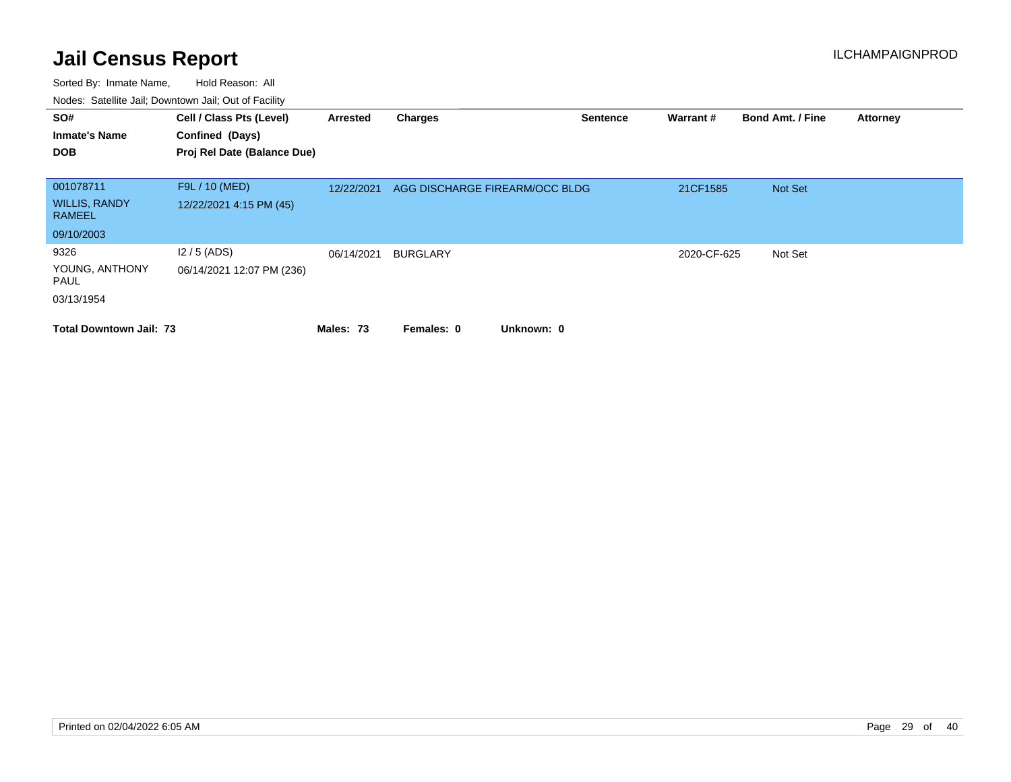| SO#<br><b>Inmate's Name</b><br><b>DOB</b>           | Cell / Class Pts (Level)<br>Confined (Days)<br>Proj Rel Date (Balance Due) | Arrested   | <b>Charges</b>                 | <b>Sentence</b> | Warrant #   | <b>Bond Amt. / Fine</b> | <b>Attorney</b> |
|-----------------------------------------------------|----------------------------------------------------------------------------|------------|--------------------------------|-----------------|-------------|-------------------------|-----------------|
| 001078711<br><b>WILLIS, RANDY</b><br><b>RAMEEL</b>  | F9L / 10 (MED)<br>12/22/2021 4:15 PM (45)                                  | 12/22/2021 | AGG DISCHARGE FIREARM/OCC BLDG |                 | 21CF1585    | Not Set                 |                 |
| 09/10/2003                                          |                                                                            |            |                                |                 |             |                         |                 |
| 9326<br>YOUNG, ANTHONY<br><b>PAUL</b><br>03/13/1954 | $12/5$ (ADS)<br>06/14/2021 12:07 PM (236)                                  | 06/14/2021 | <b>BURGLARY</b>                |                 | 2020-CF-625 | Not Set                 |                 |
| <b>Total Downtown Jail: 73</b>                      |                                                                            | Males: 73  | Unknown: 0<br>Females: 0       |                 |             |                         |                 |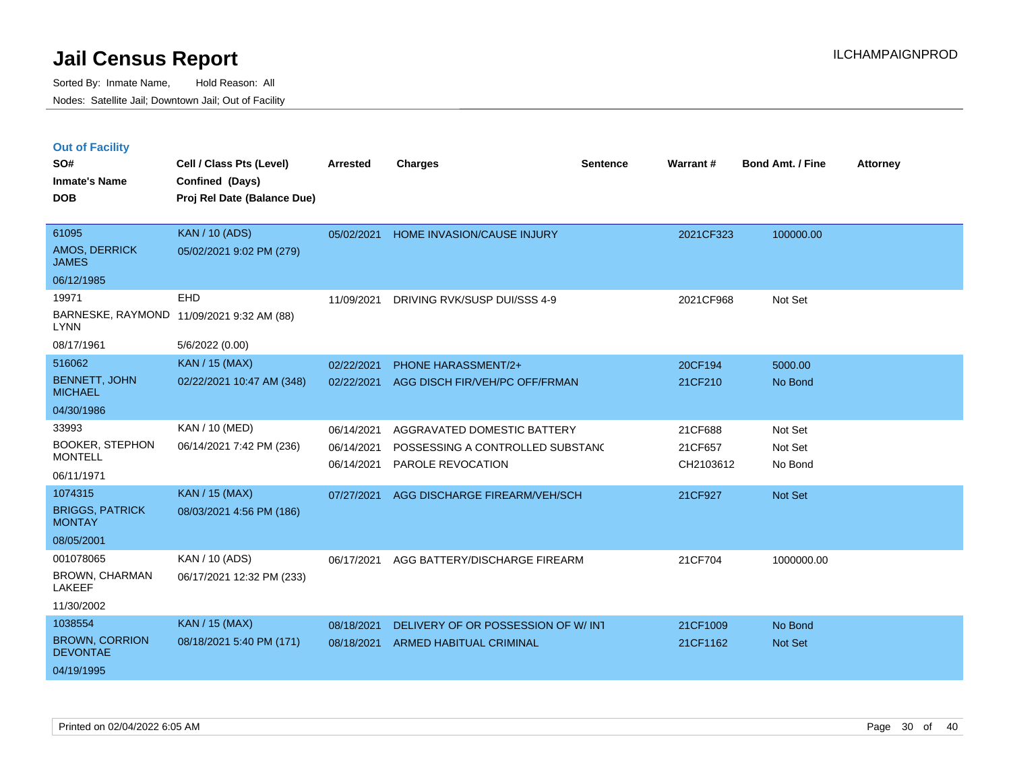| <b>Out of Facility</b> |  |  |
|------------------------|--|--|
|------------------------|--|--|

| SO#<br><b>Inmate's Name</b>              | Cell / Class Pts (Level)<br>Confined (Days) | <b>Arrested</b> | <b>Charges</b>                     | <b>Sentence</b> | Warrant#  | <b>Bond Amt. / Fine</b> | <b>Attorney</b> |
|------------------------------------------|---------------------------------------------|-----------------|------------------------------------|-----------------|-----------|-------------------------|-----------------|
| <b>DOB</b>                               | Proj Rel Date (Balance Due)                 |                 |                                    |                 |           |                         |                 |
|                                          |                                             |                 |                                    |                 |           |                         |                 |
| 61095                                    | <b>KAN / 10 (ADS)</b>                       | 05/02/2021      | HOME INVASION/CAUSE INJURY         |                 | 2021CF323 | 100000.00               |                 |
| AMOS, DERRICK<br><b>JAMES</b>            | 05/02/2021 9:02 PM (279)                    |                 |                                    |                 |           |                         |                 |
| 06/12/1985                               |                                             |                 |                                    |                 |           |                         |                 |
| 19971                                    | <b>EHD</b>                                  | 11/09/2021      | DRIVING RVK/SUSP DUI/SSS 4-9       |                 | 2021CF968 | Not Set                 |                 |
| <b>LYNN</b>                              | BARNESKE, RAYMOND 11/09/2021 9:32 AM (88)   |                 |                                    |                 |           |                         |                 |
| 08/17/1961                               | 5/6/2022 (0.00)                             |                 |                                    |                 |           |                         |                 |
| 516062                                   | <b>KAN / 15 (MAX)</b>                       | 02/22/2021      | <b>PHONE HARASSMENT/2+</b>         |                 | 20CF194   | 5000.00                 |                 |
| <b>BENNETT, JOHN</b><br><b>MICHAEL</b>   | 02/22/2021 10:47 AM (348)                   | 02/22/2021      | AGG DISCH FIR/VEH/PC OFF/FRMAN     |                 | 21CF210   | No Bond                 |                 |
| 04/30/1986                               |                                             |                 |                                    |                 |           |                         |                 |
| 33993                                    | <b>KAN / 10 (MED)</b>                       | 06/14/2021      | AGGRAVATED DOMESTIC BATTERY        |                 | 21CF688   | Not Set                 |                 |
| <b>BOOKER, STEPHON</b><br><b>MONTELL</b> | 06/14/2021 7:42 PM (236)                    | 06/14/2021      | POSSESSING A CONTROLLED SUBSTANC   |                 | 21CF657   | Not Set                 |                 |
|                                          |                                             | 06/14/2021      | PAROLE REVOCATION                  |                 | CH2103612 | No Bond                 |                 |
| 06/11/1971<br>1074315                    | <b>KAN / 15 (MAX)</b>                       |                 |                                    |                 |           |                         |                 |
| <b>BRIGGS, PATRICK</b>                   |                                             | 07/27/2021      | AGG DISCHARGE FIREARM/VEH/SCH      |                 | 21CF927   | <b>Not Set</b>          |                 |
| <b>MONTAY</b>                            | 08/03/2021 4:56 PM (186)                    |                 |                                    |                 |           |                         |                 |
| 08/05/2001                               |                                             |                 |                                    |                 |           |                         |                 |
| 001078065                                | KAN / 10 (ADS)                              | 06/17/2021      | AGG BATTERY/DISCHARGE FIREARM      |                 | 21CF704   | 1000000.00              |                 |
| BROWN, CHARMAN<br>LAKEEF                 | 06/17/2021 12:32 PM (233)                   |                 |                                    |                 |           |                         |                 |
| 11/30/2002                               |                                             |                 |                                    |                 |           |                         |                 |
| 1038554                                  | <b>KAN / 15 (MAX)</b>                       | 08/18/2021      | DELIVERY OF OR POSSESSION OF W/INT |                 | 21CF1009  | No Bond                 |                 |
| <b>BROWN, CORRION</b><br><b>DEVONTAE</b> | 08/18/2021 5:40 PM (171)                    | 08/18/2021      | ARMED HABITUAL CRIMINAL            |                 | 21CF1162  | <b>Not Set</b>          |                 |
| 04/19/1995                               |                                             |                 |                                    |                 |           |                         |                 |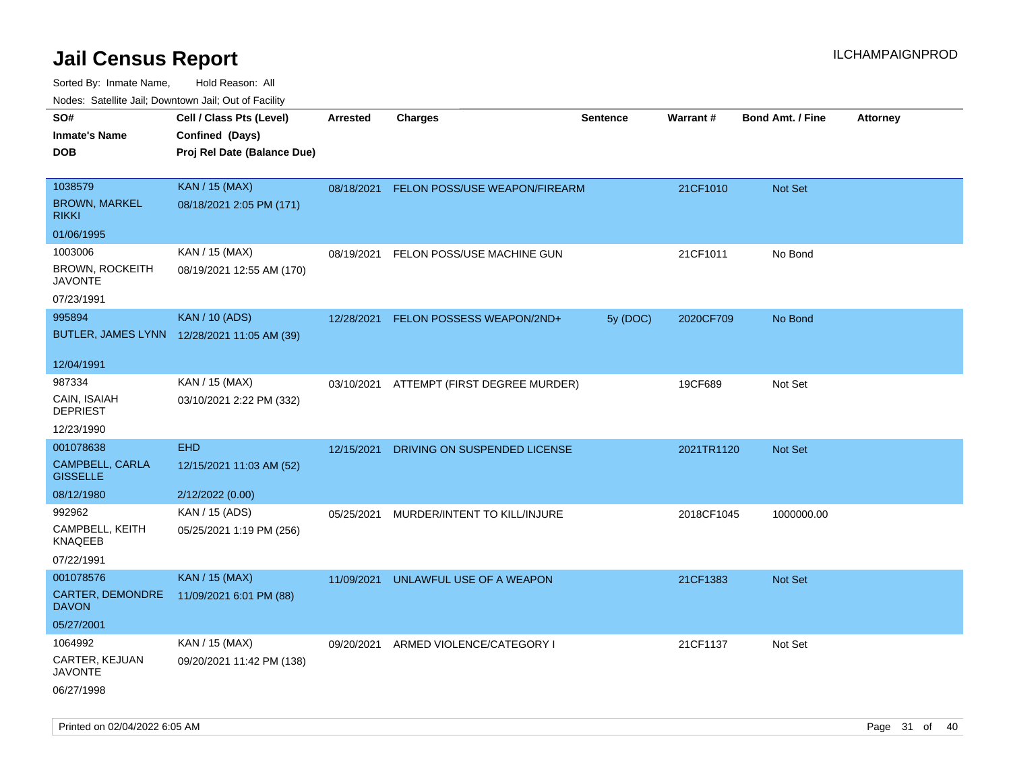| ivouss. Satellite Jali, Downtown Jali, Out of Facility |                                             |            |                                          |                 |            |                         |                 |
|--------------------------------------------------------|---------------------------------------------|------------|------------------------------------------|-----------------|------------|-------------------------|-----------------|
| SO#                                                    | Cell / Class Pts (Level)                    | Arrested   | <b>Charges</b>                           | <b>Sentence</b> | Warrant#   | <b>Bond Amt. / Fine</b> | <b>Attorney</b> |
| Inmate's Name                                          | Confined (Days)                             |            |                                          |                 |            |                         |                 |
| DOB                                                    | Proj Rel Date (Balance Due)                 |            |                                          |                 |            |                         |                 |
|                                                        |                                             |            |                                          |                 |            |                         |                 |
| 1038579                                                | <b>KAN / 15 (MAX)</b>                       | 08/18/2021 | FELON POSS/USE WEAPON/FIREARM            |                 | 21CF1010   | Not Set                 |                 |
| <b>BROWN, MARKEL</b><br>rikki                          | 08/18/2021 2:05 PM (171)                    |            |                                          |                 |            |                         |                 |
| 01/06/1995                                             |                                             |            |                                          |                 |            |                         |                 |
| 1003006                                                | KAN / 15 (MAX)                              | 08/19/2021 | FELON POSS/USE MACHINE GUN               |                 | 21CF1011   | No Bond                 |                 |
| BROWN, ROCKEITH<br>JAVONTE                             | 08/19/2021 12:55 AM (170)                   |            |                                          |                 |            |                         |                 |
| 07/23/1991                                             |                                             |            |                                          |                 |            |                         |                 |
| 995894                                                 | <b>KAN / 10 (ADS)</b>                       | 12/28/2021 | FELON POSSESS WEAPON/2ND+                | 5y (DOC)        | 2020CF709  | No Bond                 |                 |
|                                                        | BUTLER, JAMES LYNN 12/28/2021 11:05 AM (39) |            |                                          |                 |            |                         |                 |
| 12/04/1991                                             |                                             |            |                                          |                 |            |                         |                 |
| 987334                                                 | KAN / 15 (MAX)                              |            | 03/10/2021 ATTEMPT (FIRST DEGREE MURDER) |                 | 19CF689    | Not Set                 |                 |
| CAIN, ISAIAH<br><b>DEPRIEST</b>                        | 03/10/2021 2:22 PM (332)                    |            |                                          |                 |            |                         |                 |
| 12/23/1990                                             |                                             |            |                                          |                 |            |                         |                 |
| 001078638                                              | <b>EHD</b>                                  | 12/15/2021 | DRIVING ON SUSPENDED LICENSE             |                 | 2021TR1120 | <b>Not Set</b>          |                 |
| CAMPBELL, CARLA<br><b>GISSELLE</b>                     | 12/15/2021 11:03 AM (52)                    |            |                                          |                 |            |                         |                 |
| 08/12/1980                                             | 2/12/2022 (0.00)                            |            |                                          |                 |            |                         |                 |
| 992962                                                 | KAN / 15 (ADS)                              | 05/25/2021 | MURDER/INTENT TO KILL/INJURE             |                 | 2018CF1045 | 1000000.00              |                 |
| CAMPBELL, KEITH<br>KNAQEEB                             | 05/25/2021 1:19 PM (256)                    |            |                                          |                 |            |                         |                 |
| 07/22/1991                                             |                                             |            |                                          |                 |            |                         |                 |
| 001078576                                              | <b>KAN / 15 (MAX)</b>                       | 11/09/2021 | UNLAWFUL USE OF A WEAPON                 |                 | 21CF1383   | <b>Not Set</b>          |                 |
| <b>CARTER, DEMONDRE</b><br>DAVON                       | 11/09/2021 6:01 PM (88)                     |            |                                          |                 |            |                         |                 |
| 05/27/2001                                             |                                             |            |                                          |                 |            |                         |                 |
| 1064992                                                | KAN / 15 (MAX)                              | 09/20/2021 | ARMED VIOLENCE/CATEGORY I                |                 | 21CF1137   | Not Set                 |                 |
| CARTER, KEJUAN<br>JAVONTE                              | 09/20/2021 11:42 PM (138)                   |            |                                          |                 |            |                         |                 |
| 06/27/1998                                             |                                             |            |                                          |                 |            |                         |                 |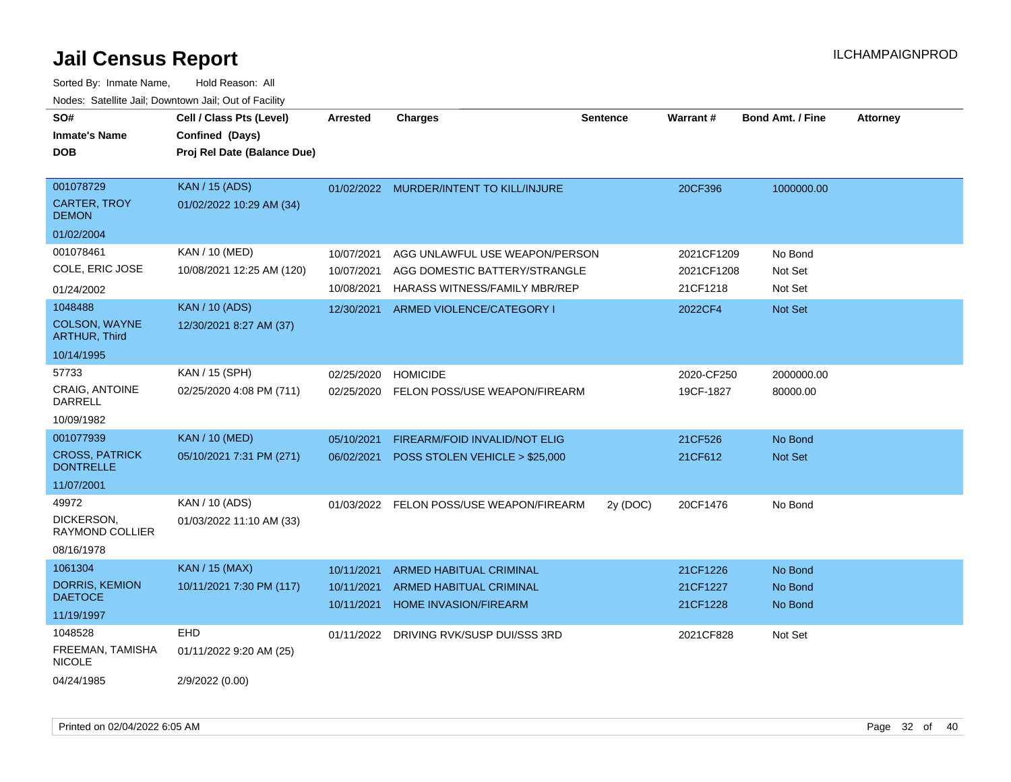| SO#<br><b>Inmate's Name</b><br><b>DOB</b>                            | Cell / Class Pts (Level)<br>Confined (Days)<br>Proj Rel Date (Balance Due) | <b>Arrested</b>                        | <b>Charges</b>                                                                                   | <b>Sentence</b> | <b>Warrant#</b>                      | <b>Bond Amt. / Fine</b>       | <b>Attorney</b> |
|----------------------------------------------------------------------|----------------------------------------------------------------------------|----------------------------------------|--------------------------------------------------------------------------------------------------|-----------------|--------------------------------------|-------------------------------|-----------------|
| 001078729<br><b>CARTER, TROY</b><br><b>DEMON</b><br>01/02/2004       | <b>KAN / 15 (ADS)</b><br>01/02/2022 10:29 AM (34)                          |                                        | 01/02/2022 MURDER/INTENT TO KILL/INJURE                                                          |                 | 20CF396                              | 1000000.00                    |                 |
| 001078461<br>COLE, ERIC JOSE<br>01/24/2002                           | KAN / 10 (MED)<br>10/08/2021 12:25 AM (120)                                | 10/07/2021<br>10/07/2021<br>10/08/2021 | AGG UNLAWFUL USE WEAPON/PERSON<br>AGG DOMESTIC BATTERY/STRANGLE<br>HARASS WITNESS/FAMILY MBR/REP |                 | 2021CF1209<br>2021CF1208<br>21CF1218 | No Bond<br>Not Set<br>Not Set |                 |
| 1048488<br>COLSON, WAYNE<br><b>ARTHUR, Third</b><br>10/14/1995       | <b>KAN / 10 (ADS)</b><br>12/30/2021 8:27 AM (37)                           | 12/30/2021                             | ARMED VIOLENCE/CATEGORY I                                                                        |                 | 2022CF4                              | <b>Not Set</b>                |                 |
| 57733<br><b>CRAIG. ANTOINE</b><br><b>DARRELL</b><br>10/09/1982       | KAN / 15 (SPH)<br>02/25/2020 4:08 PM (711)                                 | 02/25/2020<br>02/25/2020               | <b>HOMICIDE</b><br>FELON POSS/USE WEAPON/FIREARM                                                 |                 | 2020-CF250<br>19CF-1827              | 2000000.00<br>80000.00        |                 |
| 001077939<br><b>CROSS, PATRICK</b><br><b>DONTRELLE</b><br>11/07/2001 | <b>KAN / 10 (MED)</b><br>05/10/2021 7:31 PM (271)                          | 05/10/2021<br>06/02/2021               | FIREARM/FOID INVALID/NOT ELIG<br>POSS STOLEN VEHICLE > \$25,000                                  |                 | 21CF526<br>21CF612                   | No Bond<br>Not Set            |                 |
| 49972<br>DICKERSON,<br>RAYMOND COLLIER<br>08/16/1978                 | KAN / 10 (ADS)<br>01/03/2022 11:10 AM (33)                                 | 01/03/2022                             | FELON POSS/USE WEAPON/FIREARM                                                                    | 2y (DOC)        | 20CF1476                             | No Bond                       |                 |
| 1061304<br><b>DORRIS, KEMION</b><br><b>DAETOCE</b><br>11/19/1997     | <b>KAN / 15 (MAX)</b><br>10/11/2021 7:30 PM (117)                          | 10/11/2021<br>10/11/2021<br>10/11/2021 | <b>ARMED HABITUAL CRIMINAL</b><br>ARMED HABITUAL CRIMINAL<br>HOME INVASION/FIREARM               |                 | 21CF1226<br>21CF1227<br>21CF1228     | No Bond<br>No Bond<br>No Bond |                 |
| 1048528<br>FREEMAN, TAMISHA<br><b>NICOLE</b><br>04/24/1985           | <b>EHD</b><br>01/11/2022 9:20 AM (25)<br>2/9/2022 (0.00)                   | 01/11/2022                             | DRIVING RVK/SUSP DUI/SSS 3RD                                                                     |                 | 2021CF828                            | Not Set                       |                 |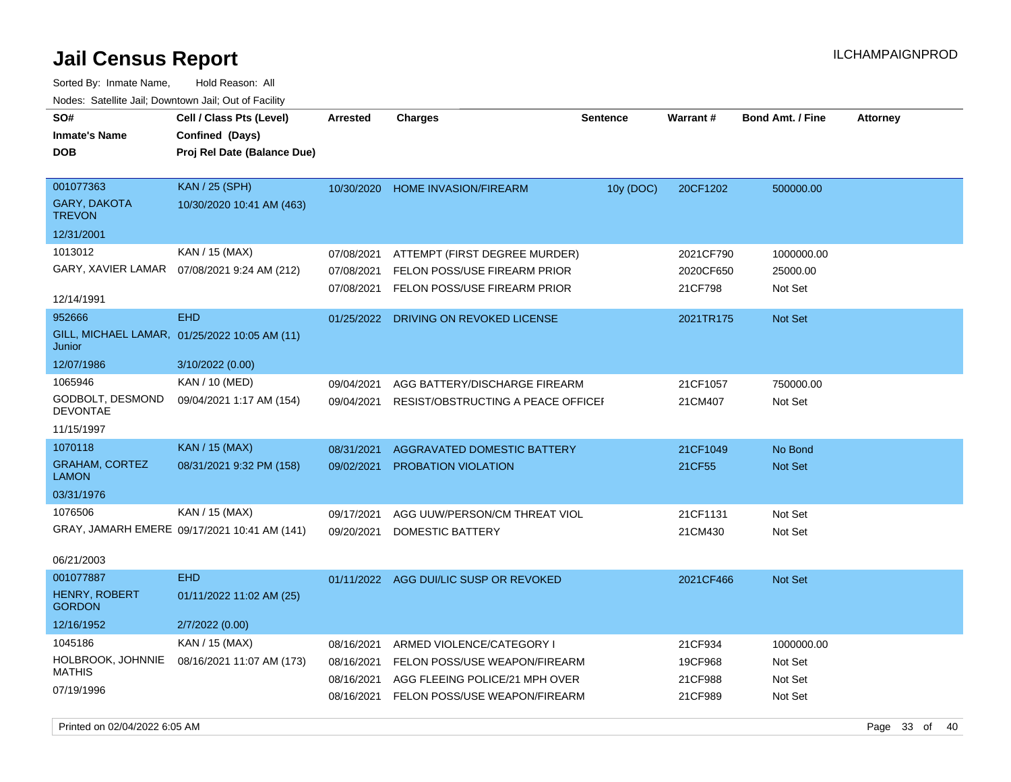| Nuuts. Saltiille Jall, Duwilluwii Jall, Oul UI Facilly |                                               |                 |                                        |                 |                 |                         |                 |
|--------------------------------------------------------|-----------------------------------------------|-----------------|----------------------------------------|-----------------|-----------------|-------------------------|-----------------|
| SO#                                                    | Cell / Class Pts (Level)                      | <b>Arrested</b> | <b>Charges</b>                         | <b>Sentence</b> | <b>Warrant#</b> | <b>Bond Amt. / Fine</b> | <b>Attorney</b> |
| <b>Inmate's Name</b>                                   | Confined (Days)                               |                 |                                        |                 |                 |                         |                 |
| <b>DOB</b>                                             | Proj Rel Date (Balance Due)                   |                 |                                        |                 |                 |                         |                 |
|                                                        |                                               |                 |                                        |                 |                 |                         |                 |
| 001077363                                              | <b>KAN</b> / 25 (SPH)                         | 10/30/2020      | <b>HOME INVASION/FIREARM</b>           | 10y (DOC)       | 20CF1202        | 500000.00               |                 |
| <b>GARY, DAKOTA</b><br><b>TREVON</b>                   | 10/30/2020 10:41 AM (463)                     |                 |                                        |                 |                 |                         |                 |
| 12/31/2001                                             |                                               |                 |                                        |                 |                 |                         |                 |
| 1013012                                                | KAN / 15 (MAX)                                | 07/08/2021      | ATTEMPT (FIRST DEGREE MURDER)          |                 | 2021CF790       | 1000000.00              |                 |
|                                                        | GARY, XAVIER LAMAR  07/08/2021 9:24 AM (212)  | 07/08/2021      | FELON POSS/USE FIREARM PRIOR           |                 | 2020CF650       | 25000.00                |                 |
|                                                        |                                               | 07/08/2021      | FELON POSS/USE FIREARM PRIOR           |                 | 21CF798         | Not Set                 |                 |
| 12/14/1991                                             |                                               |                 |                                        |                 |                 |                         |                 |
| 952666                                                 | <b>EHD</b>                                    | 01/25/2022      | DRIVING ON REVOKED LICENSE             |                 | 2021TR175       | Not Set                 |                 |
| Junior                                                 | GILL, MICHAEL LAMAR, 01/25/2022 10:05 AM (11) |                 |                                        |                 |                 |                         |                 |
| 12/07/1986                                             | 3/10/2022 (0.00)                              |                 |                                        |                 |                 |                         |                 |
| 1065946                                                | KAN / 10 (MED)                                | 09/04/2021      | AGG BATTERY/DISCHARGE FIREARM          |                 | 21CF1057        | 750000.00               |                 |
| GODBOLT, DESMOND<br>DEVONTAE                           | 09/04/2021 1:17 AM (154)                      | 09/04/2021      | RESIST/OBSTRUCTING A PEACE OFFICEF     |                 | 21CM407         | Not Set                 |                 |
| 11/15/1997                                             |                                               |                 |                                        |                 |                 |                         |                 |
| 1070118                                                | KAN / 15 (MAX)                                | 08/31/2021      | AGGRAVATED DOMESTIC BATTERY            |                 | 21CF1049        | No Bond                 |                 |
| <b>GRAHAM, CORTEZ</b><br><b>LAMON</b>                  | 08/31/2021 9:32 PM (158)                      | 09/02/2021      | PROBATION VIOLATION                    |                 | 21CF55          | Not Set                 |                 |
| 03/31/1976                                             |                                               |                 |                                        |                 |                 |                         |                 |
| 1076506                                                | KAN / 15 (MAX)                                | 09/17/2021      | AGG UUW/PERSON/CM THREAT VIOL          |                 | 21CF1131        | Not Set                 |                 |
|                                                        | GRAY, JAMARH EMERE 09/17/2021 10:41 AM (141)  | 09/20/2021      | DOMESTIC BATTERY                       |                 | 21CM430         | Not Set                 |                 |
|                                                        |                                               |                 |                                        |                 |                 |                         |                 |
| 06/21/2003                                             |                                               |                 |                                        |                 |                 |                         |                 |
| 001077887                                              | <b>EHD</b>                                    |                 | 01/11/2022 AGG DUI/LIC SUSP OR REVOKED |                 | 2021CF466       | Not Set                 |                 |
| <b>HENRY, ROBERT</b><br><b>GORDON</b>                  | 01/11/2022 11:02 AM (25)                      |                 |                                        |                 |                 |                         |                 |
| 12/16/1952                                             | 2/7/2022 (0.00)                               |                 |                                        |                 |                 |                         |                 |
| 1045186                                                | KAN / 15 (MAX)                                | 08/16/2021      | ARMED VIOLENCE/CATEGORY I              |                 | 21CF934         | 1000000.00              |                 |
| HOLBROOK, JOHNNIE                                      | 08/16/2021 11:07 AM (173)                     | 08/16/2021      | FELON POSS/USE WEAPON/FIREARM          |                 | 19CF968         | Not Set                 |                 |
| <b>MATHIS</b>                                          |                                               | 08/16/2021      | AGG FLEEING POLICE/21 MPH OVER         |                 | 21CF988         | Not Set                 |                 |
| 07/19/1996                                             |                                               | 08/16/2021      | FELON POSS/USE WEAPON/FIREARM          |                 | 21CF989         | Not Set                 |                 |
|                                                        |                                               |                 |                                        |                 |                 |                         |                 |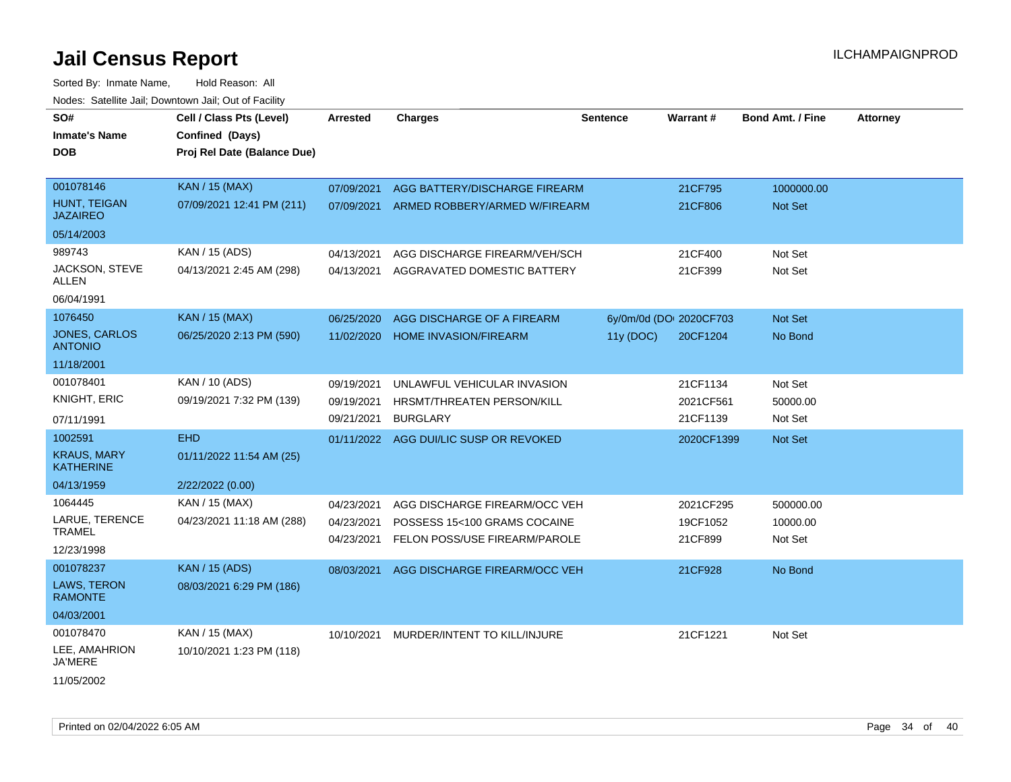| SO#                                    | Cell / Class Pts (Level)    | <b>Arrested</b> | <b>Charges</b>                | <b>Sentence</b> | <b>Warrant#</b>         | <b>Bond Amt. / Fine</b> | <b>Attorney</b> |
|----------------------------------------|-----------------------------|-----------------|-------------------------------|-----------------|-------------------------|-------------------------|-----------------|
| <b>Inmate's Name</b>                   | Confined (Days)             |                 |                               |                 |                         |                         |                 |
| <b>DOB</b>                             | Proj Rel Date (Balance Due) |                 |                               |                 |                         |                         |                 |
|                                        |                             |                 |                               |                 |                         |                         |                 |
| 001078146                              | <b>KAN / 15 (MAX)</b>       | 07/09/2021      | AGG BATTERY/DISCHARGE FIREARM |                 | 21CF795                 | 1000000.00              |                 |
| HUNT, TEIGAN<br><b>JAZAIREO</b>        | 07/09/2021 12:41 PM (211)   | 07/09/2021      | ARMED ROBBERY/ARMED W/FIREARM |                 | 21CF806                 | Not Set                 |                 |
| 05/14/2003                             |                             |                 |                               |                 |                         |                         |                 |
| 989743                                 | KAN / 15 (ADS)              | 04/13/2021      | AGG DISCHARGE FIREARM/VEH/SCH |                 | 21CF400                 | Not Set                 |                 |
| JACKSON, STEVE<br>ALLEN                | 04/13/2021 2:45 AM (298)    | 04/13/2021      | AGGRAVATED DOMESTIC BATTERY   |                 | 21CF399                 | Not Set                 |                 |
| 06/04/1991                             |                             |                 |                               |                 |                         |                         |                 |
| 1076450                                | <b>KAN / 15 (MAX)</b>       | 06/25/2020      | AGG DISCHARGE OF A FIREARM    |                 | 6y/0m/0d (DOI 2020CF703 | Not Set                 |                 |
| <b>JONES, CARLOS</b><br><b>ANTONIO</b> | 06/25/2020 2:13 PM (590)    | 11/02/2020      | <b>HOME INVASION/FIREARM</b>  | 11y (DOC)       | 20CF1204                | No Bond                 |                 |
| 11/18/2001                             |                             |                 |                               |                 |                         |                         |                 |
| 001078401                              | KAN / 10 (ADS)              | 09/19/2021      | UNLAWFUL VEHICULAR INVASION   |                 | 21CF1134                | Not Set                 |                 |
| KNIGHT, ERIC                           | 09/19/2021 7:32 PM (139)    | 09/19/2021      | HRSMT/THREATEN PERSON/KILL    |                 | 2021CF561               | 50000.00                |                 |
| 07/11/1991                             |                             | 09/21/2021      | <b>BURGLARY</b>               |                 | 21CF1139                | Not Set                 |                 |
| 1002591                                | <b>EHD</b>                  | 01/11/2022      | AGG DUI/LIC SUSP OR REVOKED   |                 | 2020CF1399              | Not Set                 |                 |
| <b>KRAUS, MARY</b><br><b>KATHERINE</b> | 01/11/2022 11:54 AM (25)    |                 |                               |                 |                         |                         |                 |
| 04/13/1959                             | 2/22/2022 (0.00)            |                 |                               |                 |                         |                         |                 |
| 1064445                                | KAN / 15 (MAX)              | 04/23/2021      | AGG DISCHARGE FIREARM/OCC VEH |                 | 2021CF295               | 500000.00               |                 |
| LARUE, TERENCE                         | 04/23/2021 11:18 AM (288)   | 04/23/2021      | POSSESS 15<100 GRAMS COCAINE  |                 | 19CF1052                | 10000.00                |                 |
| <b>TRAMEL</b>                          |                             | 04/23/2021      | FELON POSS/USE FIREARM/PAROLE |                 | 21CF899                 | Not Set                 |                 |
| 12/23/1998                             |                             |                 |                               |                 |                         |                         |                 |
| 001078237                              | <b>KAN / 15 (ADS)</b>       | 08/03/2021      | AGG DISCHARGE FIREARM/OCC VEH |                 | 21CF928                 | No Bond                 |                 |
| LAWS, TERON<br><b>RAMONTE</b>          | 08/03/2021 6:29 PM (186)    |                 |                               |                 |                         |                         |                 |
| 04/03/2001                             |                             |                 |                               |                 |                         |                         |                 |
| 001078470                              | KAN / 15 (MAX)              | 10/10/2021      | MURDER/INTENT TO KILL/INJURE  |                 | 21CF1221                | Not Set                 |                 |
| LEE, AMAHRION<br>JA'MERE               | 10/10/2021 1:23 PM (118)    |                 |                               |                 |                         |                         |                 |
| 11/05/2002                             |                             |                 |                               |                 |                         |                         |                 |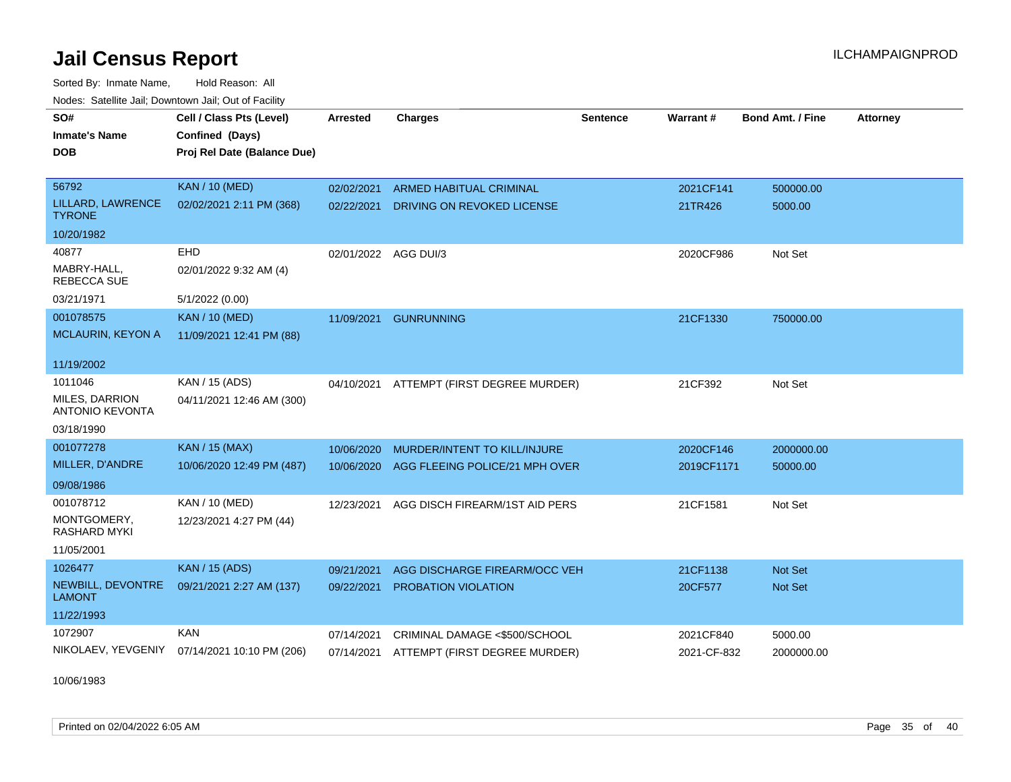Sorted By: Inmate Name, Hold Reason: All Nodes: Satellite Jail; Downtown Jail; Out of Facility

| SO#                                      | Cell / Class Pts (Level)    | <b>Arrested</b>      | <b>Charges</b>                           | <b>Sentence</b> | Warrant#    | <b>Bond Amt. / Fine</b> | <b>Attorney</b> |
|------------------------------------------|-----------------------------|----------------------|------------------------------------------|-----------------|-------------|-------------------------|-----------------|
| <b>Inmate's Name</b>                     | Confined (Days)             |                      |                                          |                 |             |                         |                 |
| <b>DOB</b>                               | Proj Rel Date (Balance Due) |                      |                                          |                 |             |                         |                 |
|                                          |                             |                      |                                          |                 |             |                         |                 |
| 56792                                    | <b>KAN / 10 (MED)</b>       | 02/02/2021           | <b>ARMED HABITUAL CRIMINAL</b>           |                 | 2021CF141   | 500000.00               |                 |
| LILLARD, LAWRENCE<br><b>TYRONE</b>       | 02/02/2021 2:11 PM (368)    | 02/22/2021           | DRIVING ON REVOKED LICENSE               |                 | 21TR426     | 5000.00                 |                 |
| 10/20/1982                               |                             |                      |                                          |                 |             |                         |                 |
| 40877                                    | EHD                         | 02/01/2022 AGG DUI/3 |                                          |                 | 2020CF986   | Not Set                 |                 |
| MABRY-HALL.<br><b>REBECCA SUE</b>        | 02/01/2022 9:32 AM (4)      |                      |                                          |                 |             |                         |                 |
| 03/21/1971                               | 5/1/2022 (0.00)             |                      |                                          |                 |             |                         |                 |
| 001078575                                | <b>KAN / 10 (MED)</b>       | 11/09/2021           | <b>GUNRUNNING</b>                        |                 | 21CF1330    | 750000.00               |                 |
| MCLAURIN, KEYON A                        | 11/09/2021 12:41 PM (88)    |                      |                                          |                 |             |                         |                 |
| 11/19/2002                               |                             |                      |                                          |                 |             |                         |                 |
| 1011046                                  | KAN / 15 (ADS)              | 04/10/2021           | ATTEMPT (FIRST DEGREE MURDER)            |                 | 21CF392     | Not Set                 |                 |
| MILES, DARRION<br><b>ANTONIO KEVONTA</b> | 04/11/2021 12:46 AM (300)   |                      |                                          |                 |             |                         |                 |
| 03/18/1990                               |                             |                      |                                          |                 |             |                         |                 |
| 001077278                                | <b>KAN / 15 (MAX)</b>       | 10/06/2020           | MURDER/INTENT TO KILL/INJURE             |                 | 2020CF146   | 2000000.00              |                 |
| MILLER, D'ANDRE                          | 10/06/2020 12:49 PM (487)   | 10/06/2020           | AGG FLEEING POLICE/21 MPH OVER           |                 | 2019CF1171  | 50000.00                |                 |
| 09/08/1986                               |                             |                      |                                          |                 |             |                         |                 |
| 001078712                                | KAN / 10 (MED)              | 12/23/2021           | AGG DISCH FIREARM/1ST AID PERS           |                 | 21CF1581    | Not Set                 |                 |
| MONTGOMERY,<br><b>RASHARD MYKI</b>       | 12/23/2021 4:27 PM (44)     |                      |                                          |                 |             |                         |                 |
| 11/05/2001                               |                             |                      |                                          |                 |             |                         |                 |
| 1026477                                  | <b>KAN / 15 (ADS)</b>       | 09/21/2021           | AGG DISCHARGE FIREARM/OCC VEH            |                 | 21CF1138    | <b>Not Set</b>          |                 |
| NEWBILL, DEVONTRE<br><b>LAMONT</b>       | 09/21/2021 2:27 AM (137)    | 09/22/2021           | PROBATION VIOLATION                      |                 | 20CF577     | Not Set                 |                 |
| 11/22/1993                               |                             |                      |                                          |                 |             |                         |                 |
| 1072907                                  | <b>KAN</b>                  | 07/14/2021           | CRIMINAL DAMAGE <\$500/SCHOOL            |                 | 2021CF840   | 5000.00                 |                 |
| NIKOLAEV, YEVGENIY                       | 07/14/2021 10:10 PM (206)   |                      | 07/14/2021 ATTEMPT (FIRST DEGREE MURDER) |                 | 2021-CF-832 | 2000000.00              |                 |

10/06/1983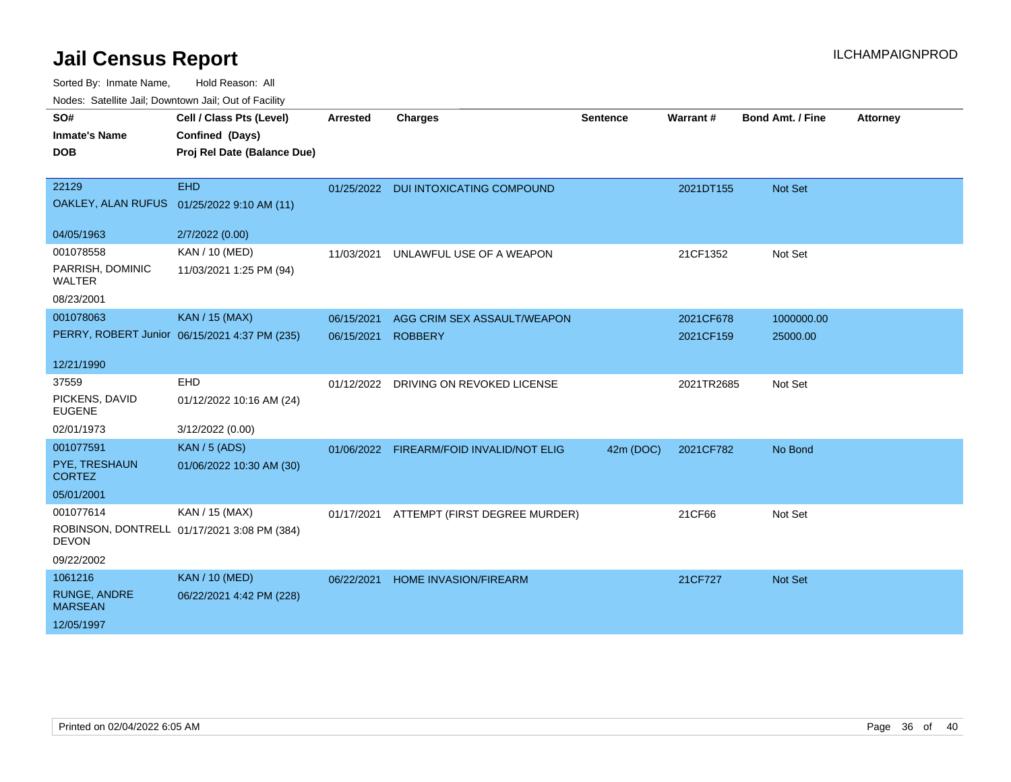| wacs. Calcinic Jan, Downtown Jan, Out of Facility |                                               |            |                                          |                 |            |                         |          |
|---------------------------------------------------|-----------------------------------------------|------------|------------------------------------------|-----------------|------------|-------------------------|----------|
| SO#                                               | Cell / Class Pts (Level)                      | Arrested   | <b>Charges</b>                           | <b>Sentence</b> | Warrant#   | <b>Bond Amt. / Fine</b> | Attorney |
| <b>Inmate's Name</b>                              | Confined (Days)                               |            |                                          |                 |            |                         |          |
| <b>DOB</b>                                        | Proj Rel Date (Balance Due)                   |            |                                          |                 |            |                         |          |
|                                                   |                                               |            |                                          |                 |            |                         |          |
| 22129                                             | <b>EHD</b>                                    |            | 01/25/2022 DUI INTOXICATING COMPOUND     |                 | 2021DT155  | Not Set                 |          |
|                                                   | OAKLEY, ALAN RUFUS 01/25/2022 9:10 AM (11)    |            |                                          |                 |            |                         |          |
|                                                   |                                               |            |                                          |                 |            |                         |          |
| 04/05/1963                                        | 2/7/2022 (0.00)                               |            |                                          |                 |            |                         |          |
| 001078558                                         | KAN / 10 (MED)                                | 11/03/2021 | UNLAWFUL USE OF A WEAPON                 |                 | 21CF1352   | Not Set                 |          |
| PARRISH, DOMINIC<br>WALTER                        | 11/03/2021 1:25 PM (94)                       |            |                                          |                 |            |                         |          |
| 08/23/2001                                        |                                               |            |                                          |                 |            |                         |          |
| 001078063                                         | <b>KAN / 15 (MAX)</b>                         | 06/15/2021 | AGG CRIM SEX ASSAULT/WEAPON              |                 | 2021CF678  | 1000000.00              |          |
|                                                   | PERRY, ROBERT Junior 06/15/2021 4:37 PM (235) | 06/15/2021 | <b>ROBBERY</b>                           |                 | 2021CF159  | 25000.00                |          |
|                                                   |                                               |            |                                          |                 |            |                         |          |
| 12/21/1990                                        |                                               |            |                                          |                 |            |                         |          |
| 37559                                             | <b>EHD</b>                                    |            | 01/12/2022 DRIVING ON REVOKED LICENSE    |                 | 2021TR2685 | Not Set                 |          |
| PICKENS, DAVID<br><b>EUGENE</b>                   | 01/12/2022 10:16 AM (24)                      |            |                                          |                 |            |                         |          |
| 02/01/1973                                        | 3/12/2022 (0.00)                              |            |                                          |                 |            |                         |          |
| 001077591                                         | <b>KAN / 5 (ADS)</b>                          |            | 01/06/2022 FIREARM/FOID INVALID/NOT ELIG | 42m (DOC)       | 2021CF782  | No Bond                 |          |
| PYE, TRESHAUN<br><b>CORTEZ</b>                    | 01/06/2022 10:30 AM (30)                      |            |                                          |                 |            |                         |          |
| 05/01/2001                                        |                                               |            |                                          |                 |            |                         |          |
| 001077614                                         | KAN / 15 (MAX)                                | 01/17/2021 | ATTEMPT (FIRST DEGREE MURDER)            |                 | 21CF66     | Not Set                 |          |
| <b>DEVON</b>                                      | ROBINSON, DONTRELL 01/17/2021 3:08 PM (384)   |            |                                          |                 |            |                         |          |
| 09/22/2002                                        |                                               |            |                                          |                 |            |                         |          |
| 1061216                                           | <b>KAN / 10 (MED)</b>                         | 06/22/2021 | HOME INVASION/FIREARM                    |                 | 21CF727    | <b>Not Set</b>          |          |
| <b>RUNGE, ANDRE</b><br><b>MARSEAN</b>             | 06/22/2021 4:42 PM (228)                      |            |                                          |                 |            |                         |          |
| 12/05/1997                                        |                                               |            |                                          |                 |            |                         |          |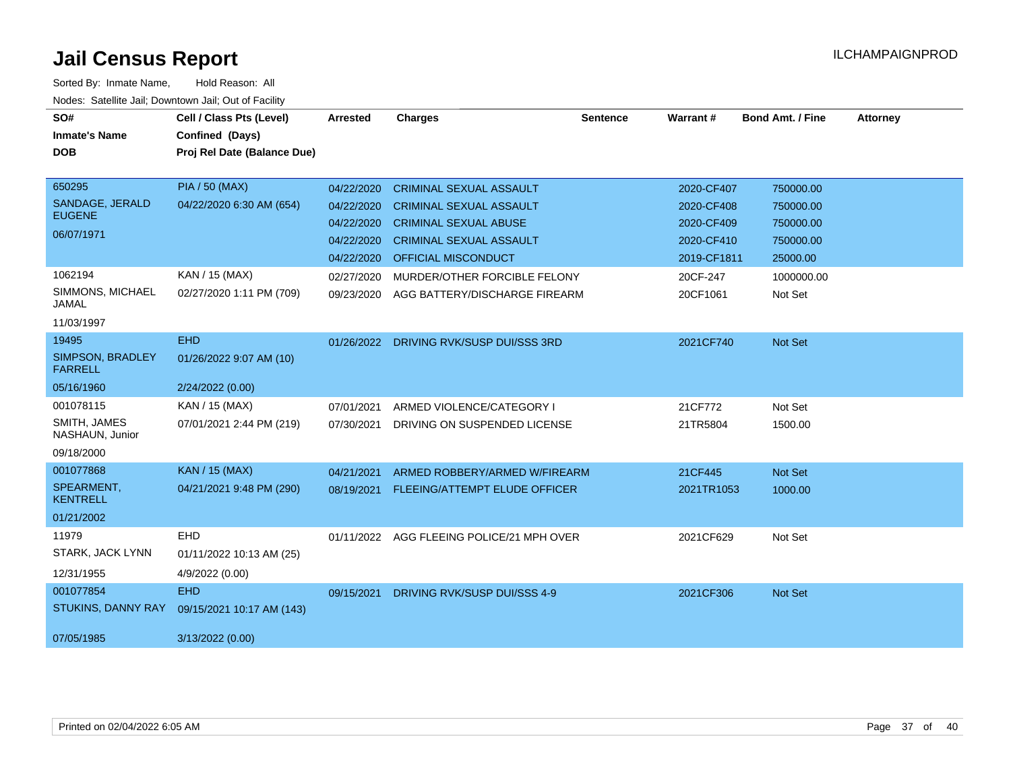| SO#<br><b>Inmate's Name</b>        | Cell / Class Pts (Level)<br>Confined (Days) | Arrested   | <b>Charges</b>                            | <b>Sentence</b> | <b>Warrant#</b> | <b>Bond Amt. / Fine</b> | <b>Attorney</b> |
|------------------------------------|---------------------------------------------|------------|-------------------------------------------|-----------------|-----------------|-------------------------|-----------------|
| <b>DOB</b>                         | Proj Rel Date (Balance Due)                 |            |                                           |                 |                 |                         |                 |
| 650295                             | <b>PIA / 50 (MAX)</b>                       | 04/22/2020 | <b>CRIMINAL SEXUAL ASSAULT</b>            |                 | 2020-CF407      | 750000.00               |                 |
| SANDAGE, JERALD<br><b>EUGENE</b>   | 04/22/2020 6:30 AM (654)                    | 04/22/2020 | <b>CRIMINAL SEXUAL ASSAULT</b>            |                 | 2020-CF408      | 750000.00               |                 |
| 06/07/1971                         |                                             | 04/22/2020 | <b>CRIMINAL SEXUAL ABUSE</b>              |                 | 2020-CF409      | 750000.00               |                 |
|                                    |                                             | 04/22/2020 | <b>CRIMINAL SEXUAL ASSAULT</b>            |                 | 2020-CF410      | 750000.00               |                 |
|                                    |                                             | 04/22/2020 | <b>OFFICIAL MISCONDUCT</b>                |                 | 2019-CF1811     | 25000.00                |                 |
| 1062194                            | KAN / 15 (MAX)                              | 02/27/2020 | MURDER/OTHER FORCIBLE FELONY              |                 | 20CF-247        | 1000000.00              |                 |
| SIMMONS, MICHAEL<br><b>JAMAL</b>   | 02/27/2020 1:11 PM (709)                    | 09/23/2020 | AGG BATTERY/DISCHARGE FIREARM             |                 | 20CF1061        | Not Set                 |                 |
| 11/03/1997                         |                                             |            |                                           |                 |                 |                         |                 |
| 19495                              | <b>EHD</b>                                  | 01/26/2022 | DRIVING RVK/SUSP DUI/SSS 3RD              |                 | 2021CF740       | Not Set                 |                 |
| SIMPSON, BRADLEY<br><b>FARRELL</b> | 01/26/2022 9:07 AM (10)                     |            |                                           |                 |                 |                         |                 |
| 05/16/1960                         | 2/24/2022 (0.00)                            |            |                                           |                 |                 |                         |                 |
| 001078115                          | KAN / 15 (MAX)                              | 07/01/2021 | ARMED VIOLENCE/CATEGORY I                 |                 | 21CF772         | Not Set                 |                 |
| SMITH, JAMES<br>NASHAUN, Junior    | 07/01/2021 2:44 PM (219)                    | 07/30/2021 | DRIVING ON SUSPENDED LICENSE              |                 | 21TR5804        | 1500.00                 |                 |
| 09/18/2000                         |                                             |            |                                           |                 |                 |                         |                 |
| 001077868                          | <b>KAN / 15 (MAX)</b>                       | 04/21/2021 | ARMED ROBBERY/ARMED W/FIREARM             |                 | 21CF445         | Not Set                 |                 |
| SPEARMENT,<br><b>KENTRELL</b>      | 04/21/2021 9:48 PM (290)                    | 08/19/2021 | FLEEING/ATTEMPT ELUDE OFFICER             |                 | 2021TR1053      | 1000.00                 |                 |
| 01/21/2002                         |                                             |            |                                           |                 |                 |                         |                 |
| 11979                              | EHD                                         |            | 01/11/2022 AGG FLEEING POLICE/21 MPH OVER |                 | 2021CF629       | Not Set                 |                 |
| STARK, JACK LYNN                   | 01/11/2022 10:13 AM (25)                    |            |                                           |                 |                 |                         |                 |
| 12/31/1955                         | 4/9/2022 (0.00)                             |            |                                           |                 |                 |                         |                 |
| 001077854                          | <b>EHD</b>                                  | 09/15/2021 | DRIVING RVK/SUSP DUI/SSS 4-9              |                 | 2021CF306       | Not Set                 |                 |
| <b>STUKINS, DANNY RAY</b>          | 09/15/2021 10:17 AM (143)                   |            |                                           |                 |                 |                         |                 |
| 07/05/1985                         | 3/13/2022 (0.00)                            |            |                                           |                 |                 |                         |                 |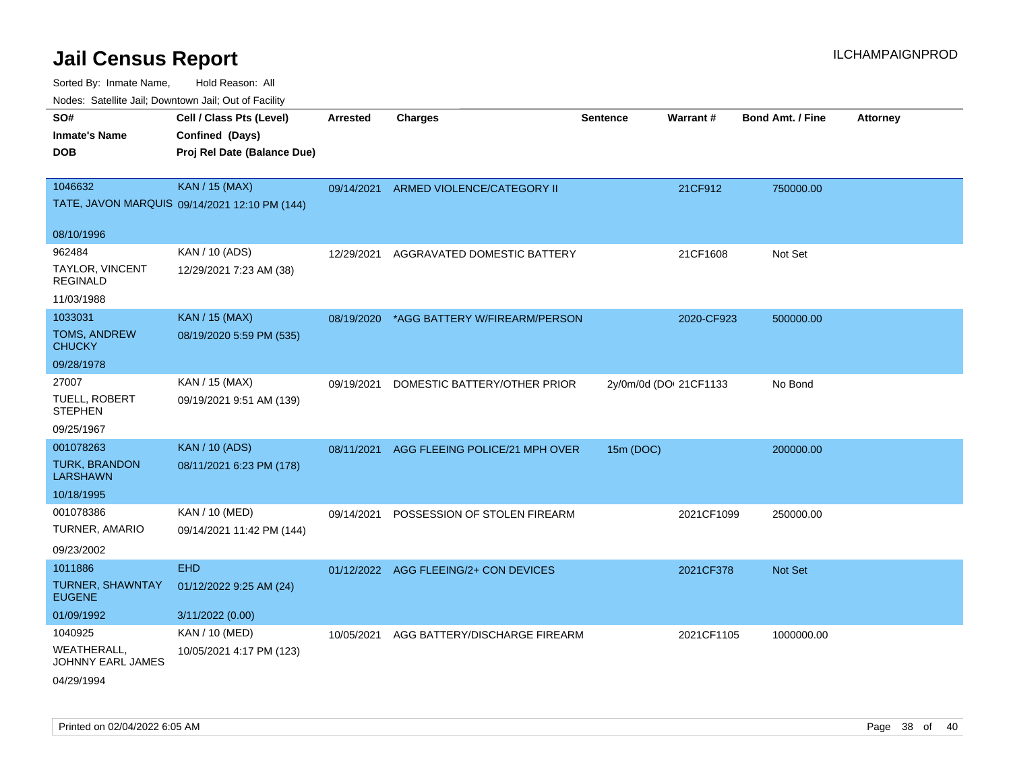| rouco. Calcillo Jali, Downtown Jali, Out of Facility      |                                                                            |                 |                                          |                 |                        |                         |                 |
|-----------------------------------------------------------|----------------------------------------------------------------------------|-----------------|------------------------------------------|-----------------|------------------------|-------------------------|-----------------|
| SO#<br>Inmate's Name<br><b>DOB</b>                        | Cell / Class Pts (Level)<br>Confined (Days)<br>Proj Rel Date (Balance Due) | <b>Arrested</b> | <b>Charges</b>                           | <b>Sentence</b> | Warrant#               | <b>Bond Amt. / Fine</b> | <b>Attorney</b> |
| 1046632                                                   | <b>KAN / 15 (MAX)</b><br>TATE, JAVON MARQUIS 09/14/2021 12:10 PM (144)     | 09/14/2021      | ARMED VIOLENCE/CATEGORY II               |                 | 21CF912                | 750000.00               |                 |
| 08/10/1996                                                |                                                                            |                 |                                          |                 |                        |                         |                 |
| 962484<br>TAYLOR, VINCENT<br>REGINALD                     | KAN / 10 (ADS)<br>12/29/2021 7:23 AM (38)                                  | 12/29/2021      | AGGRAVATED DOMESTIC BATTERY              |                 | 21CF1608               | Not Set                 |                 |
| 11/03/1988                                                |                                                                            |                 |                                          |                 |                        |                         |                 |
| 1033031<br>TOMS, ANDREW<br>CHUCKY                         | <b>KAN / 15 (MAX)</b><br>08/19/2020 5:59 PM (535)                          |                 | 08/19/2020 *AGG BATTERY W/FIREARM/PERSON |                 | 2020-CF923             | 500000.00               |                 |
| 09/28/1978                                                |                                                                            |                 |                                          |                 |                        |                         |                 |
| 27007<br>TUELL, ROBERT<br><b>STEPHEN</b><br>09/25/1967    | KAN / 15 (MAX)<br>09/19/2021 9:51 AM (139)                                 | 09/19/2021      | DOMESTIC BATTERY/OTHER PRIOR             |                 | 2y/0m/0d (DOI 21CF1133 | No Bond                 |                 |
| 001078263<br><b>TURK, BRANDON</b><br>LARSHAWN             | <b>KAN / 10 (ADS)</b><br>08/11/2021 6:23 PM (178)                          | 08/11/2021      | AGG FLEEING POLICE/21 MPH OVER           | 15m (DOC)       |                        | 200000.00               |                 |
| 10/18/1995                                                |                                                                            |                 |                                          |                 |                        |                         |                 |
| 001078386<br>TURNER, AMARIO<br>09/23/2002                 | KAN / 10 (MED)<br>09/14/2021 11:42 PM (144)                                | 09/14/2021      | POSSESSION OF STOLEN FIREARM             |                 | 2021CF1099             | 250000.00               |                 |
| 1011886<br>TURNER, SHAWNTAY<br><b>EUGENE</b>              | <b>EHD</b><br>01/12/2022 9:25 AM (24)                                      |                 | 01/12/2022 AGG FLEEING/2+ CON DEVICES    |                 | 2021CF378              | <b>Not Set</b>          |                 |
| 01/09/1992                                                | 3/11/2022 (0.00)                                                           |                 |                                          |                 |                        |                         |                 |
| 1040925<br>WEATHERALL.<br>JOHNNY EARL JAMES<br>04/29/1994 | KAN / 10 (MED)<br>10/05/2021 4:17 PM (123)                                 | 10/05/2021      | AGG BATTERY/DISCHARGE FIREARM            |                 | 2021CF1105             | 1000000.00              |                 |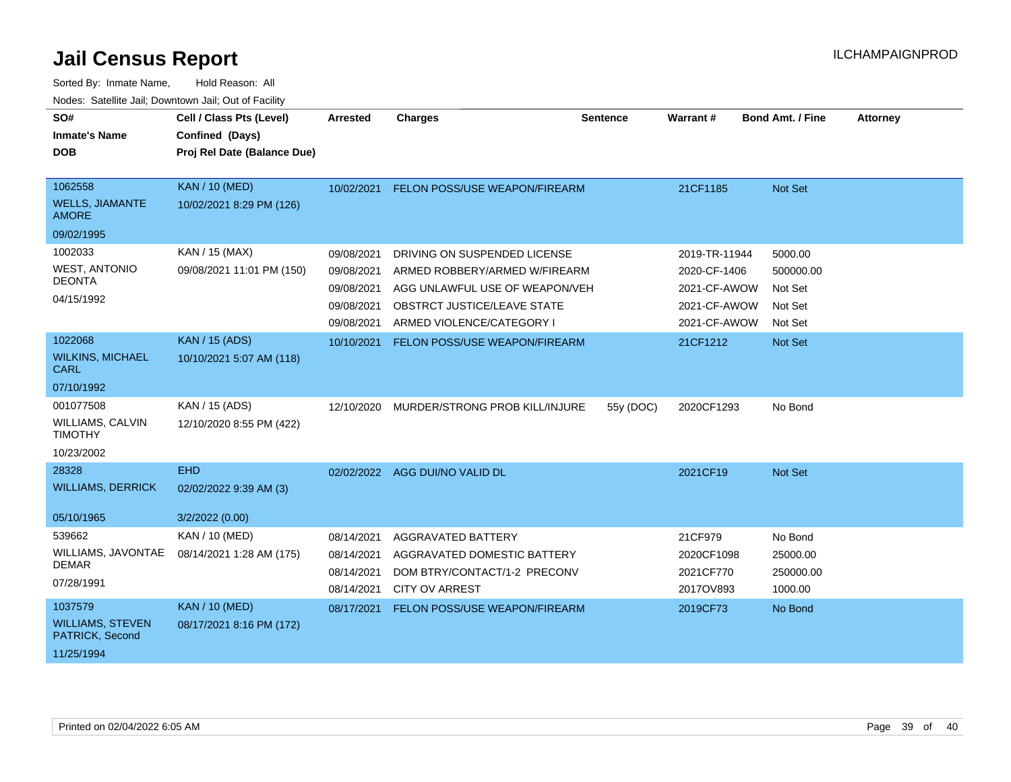| SO#<br><b>Inmate's Name</b><br><b>DOB</b>                            | Cell / Class Pts (Level)<br>Confined (Days)<br>Proj Rel Date (Balance Due) | <b>Arrested</b>                                                    | <b>Charges</b>                                                                                                                                              | <b>Sentence</b> | <b>Warrant#</b>                                                               | <b>Bond Amt. / Fine</b>                               | <b>Attorney</b> |
|----------------------------------------------------------------------|----------------------------------------------------------------------------|--------------------------------------------------------------------|-------------------------------------------------------------------------------------------------------------------------------------------------------------|-----------------|-------------------------------------------------------------------------------|-------------------------------------------------------|-----------------|
| 1062558<br><b>WELLS, JIAMANTE</b><br><b>AMORE</b>                    | <b>KAN / 10 (MED)</b><br>10/02/2021 8:29 PM (126)                          | 10/02/2021                                                         | FELON POSS/USE WEAPON/FIREARM                                                                                                                               |                 | 21CF1185                                                                      | Not Set                                               |                 |
| 09/02/1995                                                           |                                                                            |                                                                    |                                                                                                                                                             |                 |                                                                               |                                                       |                 |
| 1002033<br><b>WEST, ANTONIO</b><br><b>DEONTA</b><br>04/15/1992       | KAN / 15 (MAX)<br>09/08/2021 11:01 PM (150)                                | 09/08/2021<br>09/08/2021<br>09/08/2021<br>09/08/2021<br>09/08/2021 | DRIVING ON SUSPENDED LICENSE<br>ARMED ROBBERY/ARMED W/FIREARM<br>AGG UNLAWFUL USE OF WEAPON/VEH<br>OBSTRCT JUSTICE/LEAVE STATE<br>ARMED VIOLENCE/CATEGORY I |                 | 2019-TR-11944<br>2020-CF-1406<br>2021-CF-AWOW<br>2021-CF-AWOW<br>2021-CF-AWOW | 5000.00<br>500000.00<br>Not Set<br>Not Set<br>Not Set |                 |
| 1022068<br><b>WILKINS, MICHAEL</b>                                   | <b>KAN / 15 (ADS)</b><br>10/10/2021 5:07 AM (118)                          | 10/10/2021                                                         | <b>FELON POSS/USE WEAPON/FIREARM</b>                                                                                                                        |                 | 21CF1212                                                                      | Not Set                                               |                 |
| <b>CARL</b>                                                          |                                                                            |                                                                    |                                                                                                                                                             |                 |                                                                               |                                                       |                 |
| 07/10/1992                                                           |                                                                            |                                                                    |                                                                                                                                                             |                 |                                                                               |                                                       |                 |
| 001077508<br><b>WILLIAMS, CALVIN</b><br><b>TIMOTHY</b><br>10/23/2002 | KAN / 15 (ADS)<br>12/10/2020 8:55 PM (422)                                 | 12/10/2020                                                         | MURDER/STRONG PROB KILL/INJURE                                                                                                                              | 55y (DOC)       | 2020CF1293                                                                    | No Bond                                               |                 |
| 28328                                                                | <b>EHD</b>                                                                 |                                                                    | 02/02/2022 AGG DUI/NO VALID DL                                                                                                                              |                 | 2021CF19                                                                      | Not Set                                               |                 |
| <b>WILLIAMS, DERRICK</b><br>05/10/1965                               | 02/02/2022 9:39 AM (3)<br>3/2/2022 (0.00)                                  |                                                                    |                                                                                                                                                             |                 |                                                                               |                                                       |                 |
| 539662<br>WILLIAMS, JAVONTAE<br><b>DEMAR</b><br>07/28/1991           | KAN / 10 (MED)<br>08/14/2021 1:28 AM (175)                                 | 08/14/2021<br>08/14/2021<br>08/14/2021<br>08/14/2021               | <b>AGGRAVATED BATTERY</b><br>AGGRAVATED DOMESTIC BATTERY<br>DOM BTRY/CONTACT/1-2 PRECONV<br><b>CITY OV ARREST</b>                                           |                 | 21CF979<br>2020CF1098<br>2021CF770<br>2017OV893                               | No Bond<br>25000.00<br>250000.00<br>1000.00           |                 |
| 1037579<br><b>WILLIAMS, STEVEN</b><br>PATRICK, Second<br>11/25/1994  | <b>KAN / 10 (MED)</b><br>08/17/2021 8:16 PM (172)                          | 08/17/2021                                                         | FELON POSS/USE WEAPON/FIREARM                                                                                                                               |                 | 2019CF73                                                                      | No Bond                                               |                 |